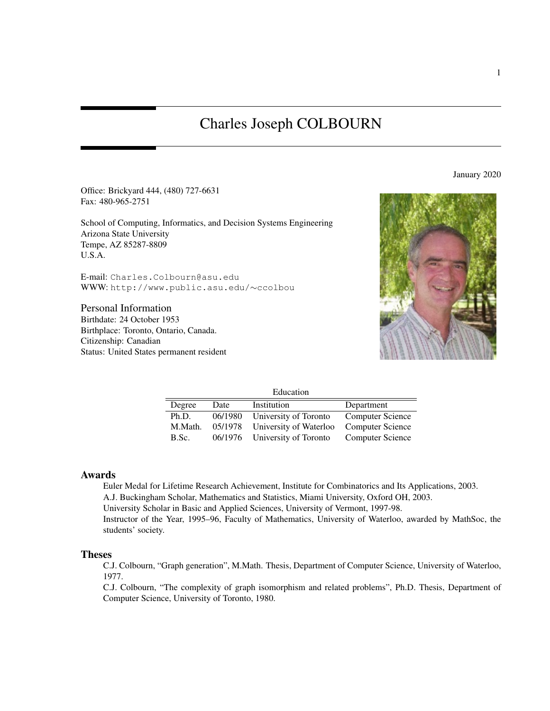# Charles Joseph COLBOURN

January 2020

Office: Brickyard 444, (480) 727-6631 Fax: 480-965-2751

School of Computing, Informatics, and Decision Systems Engineering Arizona State University Tempe, AZ 85287-8809 U.S.A.

E-mail: Charles.Colbourn@asu.edu WWW: http://www.public.asu.edu/∼ccolbou

Personal Information Birthdate: 24 October 1953 Birthplace: Toronto, Ontario, Canada. Citizenship: Canadian Status: United States permanent resident



| Education |         |                        |                         |
|-----------|---------|------------------------|-------------------------|
| Degree    | Date    | Institution            | Department              |
| Ph.D.     | 06/1980 | University of Toronto  | <b>Computer Science</b> |
| M.Math.   | 05/1978 | University of Waterloo | <b>Computer Science</b> |
| B.Sc.     | 06/1976 | University of Toronto  | <b>Computer Science</b> |

#### Awards

Euler Medal for Lifetime Research Achievement, Institute for Combinatorics and Its Applications, 2003. A.J. Buckingham Scholar, Mathematics and Statistics, Miami University, Oxford OH, 2003. University Scholar in Basic and Applied Sciences, University of Vermont, 1997-98. Instructor of the Year, 1995–96, Faculty of Mathematics, University of Waterloo, awarded by MathSoc, the students' society.

#### Theses

C.J. Colbourn, "Graph generation", M.Math. Thesis, Department of Computer Science, University of Waterloo, 1977.

C.J. Colbourn, "The complexity of graph isomorphism and related problems", Ph.D. Thesis, Department of Computer Science, University of Toronto, 1980.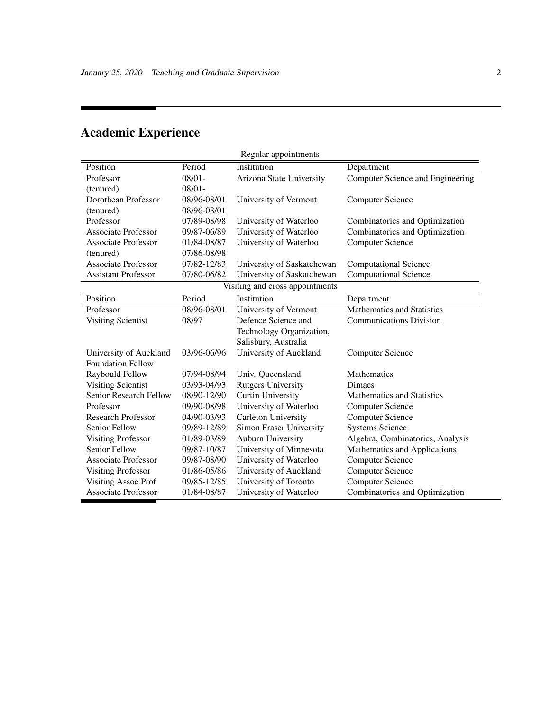| Regular appointments          |             |                                 |                                   |
|-------------------------------|-------------|---------------------------------|-----------------------------------|
| Position                      | Period      | Institution                     | Department                        |
| Professor                     | $08/01 -$   | Arizona State University        | Computer Science and Engineering  |
| (tenured)                     | $08/01 -$   |                                 |                                   |
| Dorothean Professor           | 08/96-08/01 | University of Vermont           | <b>Computer Science</b>           |
| (tenured)                     | 08/96-08/01 |                                 |                                   |
| Professor                     | 07/89-08/98 | University of Waterloo          | Combinatorics and Optimization    |
| <b>Associate Professor</b>    | 09/87-06/89 | University of Waterloo          | Combinatorics and Optimization    |
| <b>Associate Professor</b>    | 01/84-08/87 | University of Waterloo          | <b>Computer Science</b>           |
| (tenured)                     | 07/86-08/98 |                                 |                                   |
| <b>Associate Professor</b>    | 07/82-12/83 | University of Saskatchewan      | <b>Computational Science</b>      |
| <b>Assistant Professor</b>    | 07/80-06/82 | University of Saskatchewan      | <b>Computational Science</b>      |
|                               |             | Visiting and cross appointments |                                   |
| Position                      | Period      | Institution                     | Department                        |
| Professor                     | 08/96-08/01 | University of Vermont           | <b>Mathematics and Statistics</b> |
| <b>Visiting Scientist</b>     | 08/97       | Defence Science and             | <b>Communications Division</b>    |
|                               |             | Technology Organization,        |                                   |
|                               |             | Salisbury, Australia            |                                   |
| University of Auckland        | 03/96-06/96 | University of Auckland          | <b>Computer Science</b>           |
| <b>Foundation Fellow</b>      |             |                                 |                                   |
| Raybould Fellow               | 07/94-08/94 | Univ. Queensland                | Mathematics                       |
| <b>Visiting Scientist</b>     | 03/93-04/93 | <b>Rutgers University</b>       | <b>Dimacs</b>                     |
| <b>Senior Research Fellow</b> | 08/90-12/90 | <b>Curtin University</b>        | <b>Mathematics and Statistics</b> |
| Professor                     | 09/90-08/98 | University of Waterloo          | <b>Computer Science</b>           |
| <b>Research Professor</b>     | 04/90-03/93 | Carleton University             | <b>Computer Science</b>           |
| Senior Fellow                 | 09/89-12/89 | <b>Simon Fraser University</b>  | <b>Systems Science</b>            |
| <b>Visiting Professor</b>     | 01/89-03/89 | Auburn University               | Algebra, Combinatorics, Analysis  |
| Senior Fellow                 | 09/87-10/87 | University of Minnesota         | Mathematics and Applications      |
| <b>Associate Professor</b>    | 09/87-08/90 | University of Waterloo          | <b>Computer Science</b>           |
| <b>Visiting Professor</b>     | 01/86-05/86 | University of Auckland          | <b>Computer Science</b>           |
| <b>Visiting Assoc Prof</b>    | 09/85-12/85 | University of Toronto           | <b>Computer Science</b>           |
| <b>Associate Professor</b>    | 01/84-08/87 | University of Waterloo          | Combinatorics and Optimization    |

# Academic Experience

÷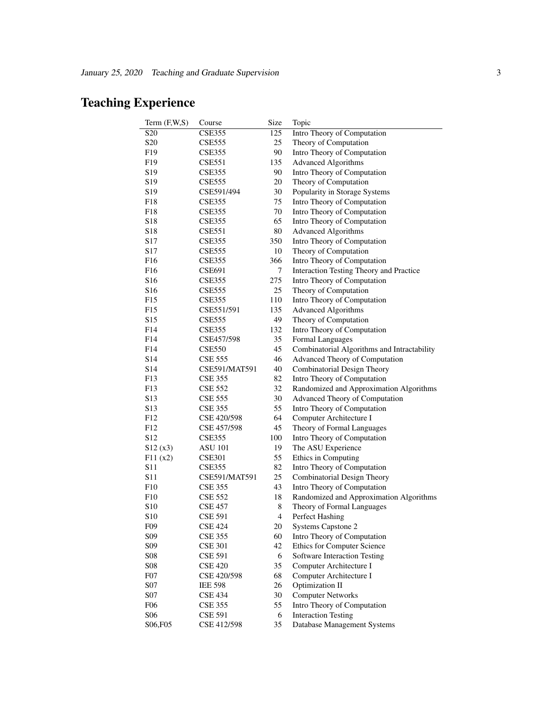# Teaching Experience

| Term $(F,W,S)$                     | Course         | Size | Topic                                             |
|------------------------------------|----------------|------|---------------------------------------------------|
| S <sub>20</sub>                    | <b>CSE355</b>  | 125  | Intro Theory of Computation                       |
| S <sub>20</sub>                    | <b>CSE555</b>  | 25   | Theory of Computation                             |
| F <sub>19</sub>                    | <b>CSE355</b>  | 90   | Intro Theory of Computation                       |
| F <sub>19</sub>                    | <b>CSE551</b>  | 135  | <b>Advanced Algorithms</b>                        |
| S19                                | <b>CSE355</b>  | 90   | Intro Theory of Computation                       |
| S <sub>19</sub>                    | <b>CSE555</b>  | 20   | Theory of Computation                             |
| S <sub>19</sub>                    | CSE591/494     | 30   | Popularity in Storage Systems                     |
| F18                                | <b>CSE355</b>  | 75   | Intro Theory of Computation                       |
| F18                                | <b>CSE355</b>  | 70   | Intro Theory of Computation                       |
| S <sub>18</sub>                    | <b>CSE355</b>  | 65   | Intro Theory of Computation                       |
| S <sub>18</sub>                    | <b>CSE551</b>  | 80   | <b>Advanced Algorithms</b>                        |
| S <sub>17</sub>                    | <b>CSE355</b>  | 350  | Intro Theory of Computation                       |
| S <sub>17</sub>                    | <b>CSE555</b>  | 10   | Theory of Computation                             |
| F16                                | <b>CSE355</b>  | 366  | Intro Theory of Computation                       |
| F <sub>16</sub>                    | <b>CSE691</b>  | 7    | Interaction Testing Theory and Practice           |
| S <sub>16</sub>                    | <b>CSE355</b>  | 275  | Intro Theory of Computation                       |
| S <sub>16</sub>                    | <b>CSE555</b>  | 25   | Theory of Computation                             |
| F15                                | <b>CSE355</b>  | 110  | Intro Theory of Computation                       |
| F15                                | CSE551/591     | 135  | <b>Advanced Algorithms</b>                        |
| S <sub>15</sub>                    | <b>CSE555</b>  | 49   | Theory of Computation                             |
| F <sub>14</sub>                    | <b>CSE355</b>  | 132  | Intro Theory of Computation                       |
| F <sub>14</sub>                    | CSE457/598     | 35   | Formal Languages                                  |
| F <sub>14</sub>                    | <b>CSE550</b>  | 45   | Combinatorial Algorithms and Intractability       |
| S <sub>14</sub>                    | <b>CSE 555</b> | 46   | Advanced Theory of Computation                    |
| S14                                | CSE591/MAT591  | 40   | Combinatorial Design Theory                       |
| F13                                | <b>CSE 355</b> | 82   | Intro Theory of Computation                       |
| F13                                | <b>CSE 552</b> | 32   | Randomized and Approximation Algorithms           |
| S <sub>13</sub>                    | <b>CSE 555</b> | 30   | Advanced Theory of Computation                    |
| S <sub>13</sub>                    | <b>CSE 355</b> | 55   | Intro Theory of Computation                       |
| F12                                | CSE 420/598    | 64   | Computer Architecture I                           |
| F12                                | CSE 457/598    | 45   | Theory of Formal Languages                        |
| S <sub>12</sub>                    | <b>CSE355</b>  | 100  | Intro Theory of Computation                       |
| S12(x3)                            | <b>ASU 101</b> | 19   | The ASU Experience                                |
| F11(x2)                            | <b>CSE301</b>  | 55   | Ethics in Computing                               |
| S <sub>11</sub>                    | <b>CSE355</b>  | 82   | Intro Theory of Computation                       |
| S11                                | CSE591/MAT591  | 25   | Combinatorial Design Theory                       |
| F10                                | <b>CSE 355</b> | 43   | Intro Theory of Computation                       |
| F10                                | <b>CSE 552</b> | 18   | Randomized and Approximation Algorithms           |
| S <sub>10</sub>                    | <b>CSE 457</b> | 8    | Theory of Formal Languages                        |
|                                    |                | 4    | Perfect Hashing                                   |
| S <sub>10</sub><br>F <sub>09</sub> | CSE 591        | 20   |                                                   |
| S <sub>09</sub>                    | CSE 424        | 60   | Systems Capstone 2<br>Intro Theory of Computation |
| S <sub>09</sub>                    | <b>CSE 355</b> | 42   | Ethics for Computer Science                       |
|                                    | <b>CSE 301</b> |      |                                                   |
| <b>S08</b>                         | <b>CSE 591</b> | 6    | Software Interaction Testing                      |
| <b>S08</b>                         | <b>CSE 420</b> | 35   | Computer Architecture I                           |
| F <sub>0</sub> 7                   | CSE 420/598    | 68   | Computer Architecture I                           |
| S07                                | <b>IEE 598</b> | 26   | Optimization II                                   |
| <b>S07</b>                         | <b>CSE 434</b> | 30   | <b>Computer Networks</b>                          |
| F <sub>06</sub>                    | <b>CSE 355</b> | 55   | Intro Theory of Computation                       |
| <b>S06</b>                         | <b>CSE 591</b> | 6    | <b>Interaction Testing</b>                        |
| S <sub>06</sub> , F <sub>05</sub>  | CSE 412/598    | 35   | Database Management Systems                       |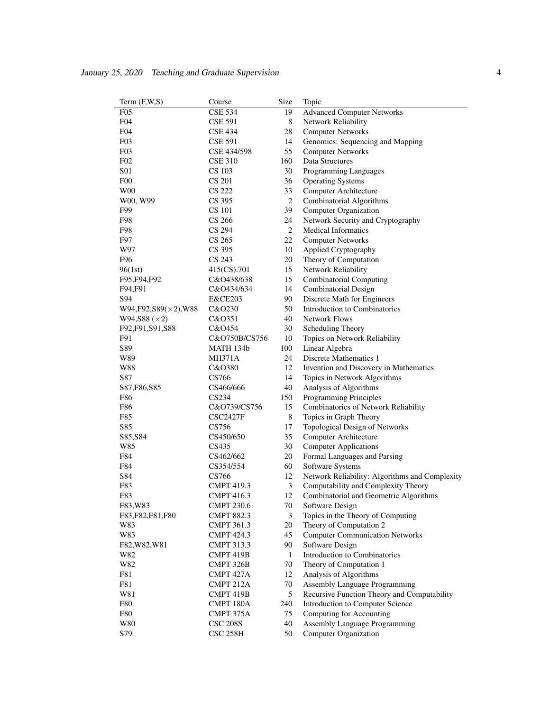| Term $(F,W,S)$                 | Course            | Size             | Topic                                          |
|--------------------------------|-------------------|------------------|------------------------------------------------|
| F05                            | <b>CSE 534</b>    | 19               | <b>Advanced Computer Networks</b>              |
| F <sub>04</sub>                | <b>CSE 591</b>    | 8                | Network Reliability                            |
| F <sub>04</sub>                | <b>CSE 434</b>    | 28               | <b>Computer Networks</b>                       |
| F <sub>0</sub> 3               | <b>CSE 591</b>    | 14               | Genomics: Sequencing and Mapping               |
| F03                            | CSE 434/598       | 55               | <b>Computer Networks</b>                       |
| F02                            | <b>CSE 310</b>    | 160              | Data Structures                                |
| <b>S01</b>                     | CS 103            | 30               | Programming Languages                          |
| F00                            | CS 201            | 36               | <b>Operating Systems</b>                       |
| W <sub>00</sub>                | <b>CS 222</b>     | 33               | Computer Architecture                          |
| W00, W99                       | CS 395            | $\overline{c}$   | Combinatorial Algorithms                       |
| F99                            | <b>CS</b> 101     | 39               | <b>Computer Organization</b>                   |
| F98                            | CS 266            | 24               | Network Security and Cryptography              |
| F98                            | CS 294            | $\boldsymbol{2}$ | <b>Medical Informatics</b>                     |
| F97                            | CS 265            | 22               | <b>Computer Networks</b>                       |
| W97                            | CS 395            | 10               | Applied Cryptography                           |
| F96                            | CS 243            | 20               | Theory of Computation                          |
| 96(1st)                        | 415(CS).701       | 15               | Network Reliability                            |
| F95, F94, F92                  | C&O438/638        | 15               | <b>Combinatorial Computing</b>                 |
| F94,F91                        | C&O434/634        | 14               | Combinatorial Design                           |
| S94                            | E&CE203           | 90               | Discrete Math for Engineers                    |
|                                |                   | 50               | Introduction to Combinatorics                  |
| $W94, F92, S89(\times 2), W88$ | C&O230            |                  | <b>Network Flows</b>                           |
| W94, S88 (×2)                  | C&O351            | 40               |                                                |
| F92, F91, S91, S88             | C&O454            | 30               | Scheduling Theory                              |
| F91                            | C&O750B/CS756     | 10               | Topics on Network Reliability                  |
| S89                            | MATH 134b         | 100              | Linear Algebra                                 |
| W89                            | <b>MH371A</b>     | 24               | Discrete Mathematics 1                         |
| W88                            | C&O380            | 12               | Invention and Discovery in Mathematics         |
| S87                            | CS766             | 14               | Topics in Network Algorithms                   |
| S87, F86, S85                  | CS466/666         | 40               | Analysis of Algorithms                         |
| F86                            | CS234             | 150              | Programming Principles                         |
| F86                            | C&O739/CS756      | 15               | Combinatorics of Network Reliability           |
| F85                            | <b>CSC2427F</b>   | 8                | Topics in Graph Theory                         |
| S85                            | CS756             | 17               | Topological Design of Networks                 |
| S85, S84                       | CS450/650         | 35               | Computer Architecture                          |
| W85                            | CS435             | 30               | <b>Computer Applications</b>                   |
| F84                            | CS462/662         | 20               | Formal Languages and Parsing                   |
| F84                            | CS354/554         | 60               | Software Systems                               |
| S84                            | CS766             | 12               | Network Reliability: Algorithms and Complexity |
| F83                            | <b>CMPT 419.3</b> | 3                | Computability and Complexity Theory            |
| F83                            | <b>CMPT 416.3</b> | 12               | Combinatorial and Geometric Algorithms         |
| F83, W83                       | <b>CMPT 230.6</b> | $70\,$           | Software Design                                |
| F83, F82, F81, F80             | <b>CMPT 882.3</b> | 3                | Topics in the Theory of Computing              |
| W83                            | <b>CMPT 361.3</b> | 20               | Theory of Computation 2                        |
| W83                            | <b>CMPT 424.3</b> | 45               | <b>Computer Communication Networks</b>         |
| F82, W82, W81                  | <b>CMPT 313.3</b> | 90               | Software Design                                |
| W82                            | CMPT 419B         | $\mathbf{1}$     | Introduction to Combinatorics                  |
| W82                            | CMPT 326B         | 70               | Theory of Computation 1                        |
| F81                            | CMPT 427A         | 12               | Analysis of Algorithms                         |
| F81                            | CMPT 212A         | 70               | Assembly Language Programming                  |
| W81                            | CMPT 419B         | 5                | Recursive Function Theory and Computability    |
| <b>F80</b>                     | CMPT 180A         | 240              | Introduction to Computer Science               |
| <b>F80</b>                     | CMPT 375A         | 75               | Computing for Accounting                       |
| W80                            | <b>CSC 208S</b>   | 40               | Assembly Language Programming                  |
|                                |                   |                  |                                                |
| S79                            | <b>CSC 258H</b>   | 50               | <b>Computer Organization</b>                   |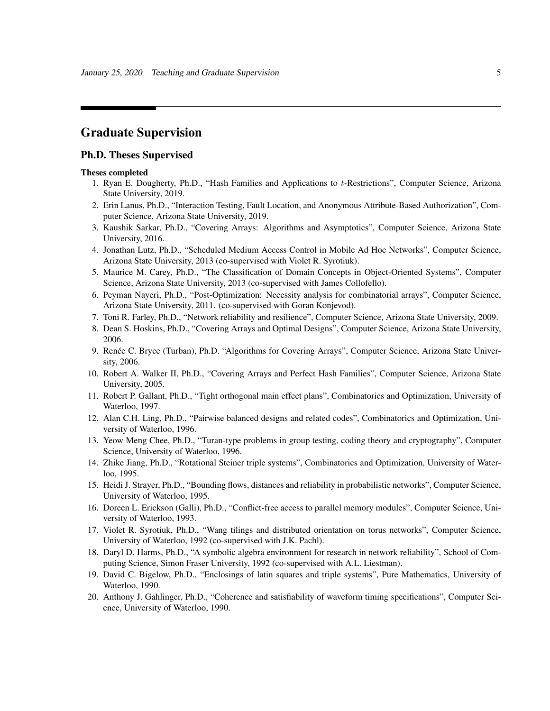## Graduate Supervision

#### Ph.D. Theses Supervised

#### Theses completed

- 1. Ryan E. Dougherty, Ph.D., "Hash Families and Applications to t-Restrictions", Computer Science, Arizona State University, 2019.
- 2. Erin Lanus, Ph.D., "Interaction Testing, Fault Location, and Anonymous Attribute-Based Authorization", Computer Science, Arizona State University, 2019.
- 3. Kaushik Sarkar, Ph.D., "Covering Arrays: Algorithms and Asymptotics", Computer Science, Arizona State University, 2016.
- 4. Jonathan Lutz, Ph.D., "Scheduled Medium Access Control in Mobile Ad Hoc Networks", Computer Science, Arizona State University, 2013 (co-supervised with Violet R. Syrotiuk).
- 5. Maurice M. Carey, Ph.D., "The Classification of Domain Concepts in Object-Oriented Systems", Computer Science, Arizona State University, 2013 (co-supervised with James Collofello).
- 6. Peyman Nayeri, Ph.D., "Post-Optimization: Necessity analysis for combinatorial arrays", Computer Science, Arizona State University, 2011. (co-supervised with Goran Konjevod).
- 7. Toni R. Farley, Ph.D., "Network reliability and resilience", Computer Science, Arizona State University, 2009.
- 8. Dean S. Hoskins, Ph.D., "Covering Arrays and Optimal Designs", Computer Science, Arizona State University, 2006.
- 9. Renée C. Bryce (Turban), Ph.D. "Algorithms for Covering Arrays", Computer Science, Arizona State University, 2006.
- 10. Robert A. Walker II, Ph.D., "Covering Arrays and Perfect Hash Families", Computer Science, Arizona State University, 2005.
- 11. Robert P. Gallant, Ph.D., "Tight orthogonal main effect plans", Combinatorics and Optimization, University of Waterloo, 1997.
- 12. Alan C.H. Ling, Ph.D., "Pairwise balanced designs and related codes", Combinatorics and Optimization, University of Waterloo, 1996.
- 13. Yeow Meng Chee, Ph.D., "Turan-type problems in group testing, coding theory and cryptography", Computer Science, University of Waterloo, 1996.
- 14. Zhike Jiang, Ph.D., "Rotational Steiner triple systems", Combinatorics and Optimization, University of Waterloo, 1995.
- 15. Heidi J. Strayer, Ph.D., "Bounding flows, distances and reliability in probabilistic networks", Computer Science, University of Waterloo, 1995.
- 16. Doreen L. Erickson (Galli), Ph.D., "Conflict-free access to parallel memory modules", Computer Science, University of Waterloo, 1993.
- 17. Violet R. Syrotiuk, Ph.D., "Wang tilings and distributed orientation on torus networks", Computer Science, University of Waterloo, 1992 (co-supervised with J.K. Pachl).
- 18. Daryl D. Harms, Ph.D., "A symbolic algebra environment for research in network reliability", School of Computing Science, Simon Fraser University, 1992 (co-supervised with A.L. Liestman).
- 19. David C. Bigelow, Ph.D., "Enclosings of latin squares and triple systems", Pure Mathematics, University of Waterloo, 1990.
- 20. Anthony J. Gahlinger, Ph.D., "Coherence and satisfiability of waveform timing specifications", Computer Science, University of Waterloo, 1990.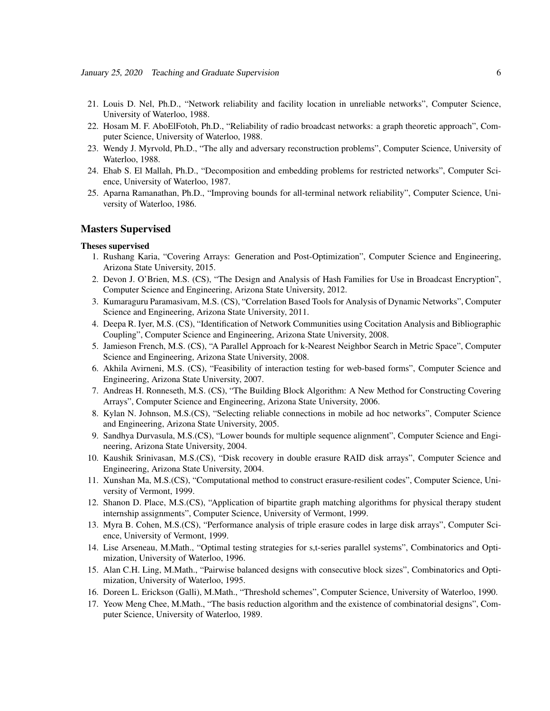- 21. Louis D. Nel, Ph.D., "Network reliability and facility location in unreliable networks", Computer Science, University of Waterloo, 1988.
- 22. Hosam M. F. AboElFotoh, Ph.D., "Reliability of radio broadcast networks: a graph theoretic approach", Computer Science, University of Waterloo, 1988.
- 23. Wendy J. Myrvold, Ph.D., "The ally and adversary reconstruction problems", Computer Science, University of Waterloo, 1988.
- 24. Ehab S. El Mallah, Ph.D., "Decomposition and embedding problems for restricted networks", Computer Science, University of Waterloo, 1987.
- 25. Aparna Ramanathan, Ph.D., "Improving bounds for all-terminal network reliability", Computer Science, University of Waterloo, 1986.

#### Masters Supervised

#### Theses supervised

- 1. Rushang Karia, "Covering Arrays: Generation and Post-Optimization", Computer Science and Engineering, Arizona State University, 2015.
- 2. Devon J. O'Brien, M.S. (CS), "The Design and Analysis of Hash Families for Use in Broadcast Encryption", Computer Science and Engineering, Arizona State University, 2012.
- 3. Kumaraguru Paramasivam, M.S. (CS), "Correlation Based Tools for Analysis of Dynamic Networks", Computer Science and Engineering, Arizona State University, 2011.
- 4. Deepa R. Iyer, M.S. (CS), "Identification of Network Communities using Cocitation Analysis and Bibliographic Coupling", Computer Science and Engineering, Arizona State University, 2008.
- 5. Jamieson French, M.S. (CS), "A Parallel Approach for k-Nearest Neighbor Search in Metric Space", Computer Science and Engineering, Arizona State University, 2008.
- 6. Akhila Avirneni, M.S. (CS), "Feasibility of interaction testing for web-based forms", Computer Science and Engineering, Arizona State University, 2007.
- 7. Andreas H. Ronneseth, M.S. (CS), "The Building Block Algorithm: A New Method for Constructing Covering Arrays", Computer Science and Engineering, Arizona State University, 2006.
- 8. Kylan N. Johnson, M.S.(CS), "Selecting reliable connections in mobile ad hoc networks", Computer Science and Engineering, Arizona State University, 2005.
- 9. Sandhya Durvasula, M.S.(CS), "Lower bounds for multiple sequence alignment", Computer Science and Engineering, Arizona State University, 2004.
- 10. Kaushik Srinivasan, M.S.(CS), "Disk recovery in double erasure RAID disk arrays", Computer Science and Engineering, Arizona State University, 2004.
- 11. Xunshan Ma, M.S.(CS), "Computational method to construct erasure-resilient codes", Computer Science, University of Vermont, 1999.
- 12. Shanon D. Place, M.S.(CS), "Application of bipartite graph matching algorithms for physical therapy student internship assignments", Computer Science, University of Vermont, 1999.
- 13. Myra B. Cohen, M.S.(CS), "Performance analysis of triple erasure codes in large disk arrays", Computer Science, University of Vermont, 1999.
- 14. Lise Arseneau, M.Math., "Optimal testing strategies for s,t-series parallel systems", Combinatorics and Optimization, University of Waterloo, 1996.
- 15. Alan C.H. Ling, M.Math., "Pairwise balanced designs with consecutive block sizes", Combinatorics and Optimization, University of Waterloo, 1995.
- 16. Doreen L. Erickson (Galli), M.Math., "Threshold schemes", Computer Science, University of Waterloo, 1990.
- 17. Yeow Meng Chee, M.Math., "The basis reduction algorithm and the existence of combinatorial designs", Computer Science, University of Waterloo, 1989.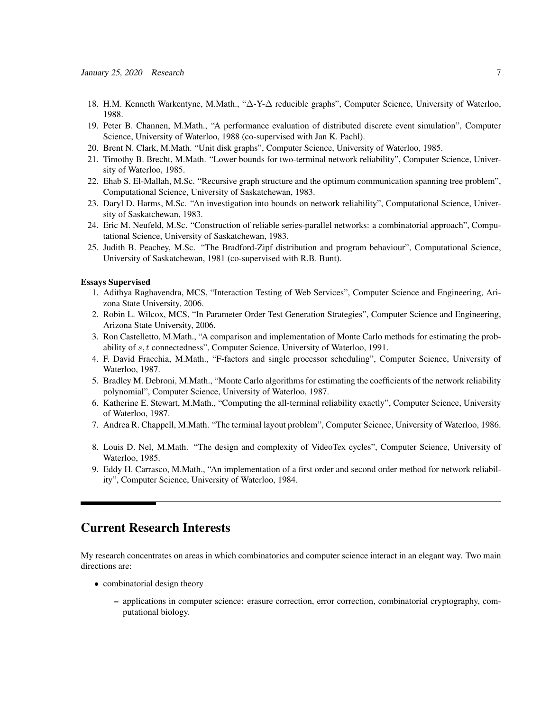- 18. H.M. Kenneth Warkentyne, M.Math., "∆-Y-∆ reducible graphs", Computer Science, University of Waterloo, 1988.
- 19. Peter B. Channen, M.Math., "A performance evaluation of distributed discrete event simulation", Computer Science, University of Waterloo, 1988 (co-supervised with Jan K. Pachl).
- 20. Brent N. Clark, M.Math. "Unit disk graphs", Computer Science, University of Waterloo, 1985.
- 21. Timothy B. Brecht, M.Math. "Lower bounds for two-terminal network reliability", Computer Science, University of Waterloo, 1985.
- 22. Ehab S. El-Mallah, M.Sc. "Recursive graph structure and the optimum communication spanning tree problem", Computational Science, University of Saskatchewan, 1983.
- 23. Daryl D. Harms, M.Sc. "An investigation into bounds on network reliability", Computational Science, University of Saskatchewan, 1983.
- 24. Eric M. Neufeld, M.Sc. "Construction of reliable series-parallel networks: a combinatorial approach", Computational Science, University of Saskatchewan, 1983.
- 25. Judith B. Peachey, M.Sc. "The Bradford-Zipf distribution and program behaviour", Computational Science, University of Saskatchewan, 1981 (co-supervised with R.B. Bunt).

#### Essays Supervised

- 1. Adithya Raghavendra, MCS, "Interaction Testing of Web Services", Computer Science and Engineering, Arizona State University, 2006.
- 2. Robin L. Wilcox, MCS, "In Parameter Order Test Generation Strategies", Computer Science and Engineering, Arizona State University, 2006.
- 3. Ron Castelletto, M.Math., "A comparison and implementation of Monte Carlo methods for estimating the probability of s, t connectedness", Computer Science, University of Waterloo, 1991.
- 4. F. David Fracchia, M.Math., "F-factors and single processor scheduling", Computer Science, University of Waterloo, 1987.
- 5. Bradley M. Debroni, M.Math., "Monte Carlo algorithms for estimating the coefficients of the network reliability polynomial", Computer Science, University of Waterloo, 1987.
- 6. Katherine E. Stewart, M.Math., "Computing the all-terminal reliability exactly", Computer Science, University of Waterloo, 1987.
- 7. Andrea R. Chappell, M.Math. "The terminal layout problem", Computer Science, University of Waterloo, 1986.
- 8. Louis D. Nel, M.Math. "The design and complexity of VideoTex cycles", Computer Science, University of Waterloo, 1985.
- 9. Eddy H. Carrasco, M.Math., "An implementation of a first order and second order method for network reliability", Computer Science, University of Waterloo, 1984.

## Current Research Interests

My research concentrates on areas in which combinatorics and computer science interact in an elegant way. Two main directions are:

- combinatorial design theory
	- applications in computer science: erasure correction, error correction, combinatorial cryptography, computational biology.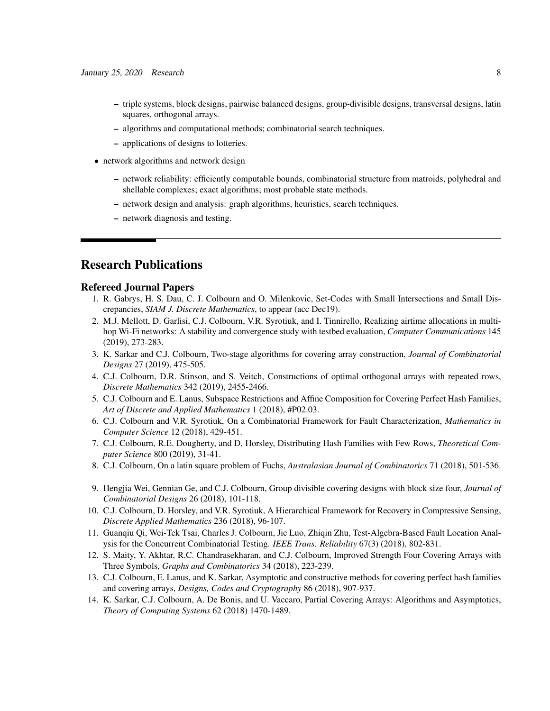- triple systems, block designs, pairwise balanced designs, group-divisible designs, transversal designs, latin squares, orthogonal arrays.
- algorithms and computational methods; combinatorial search techniques.
- applications of designs to lotteries.
- network algorithms and network design
	- network reliability: efficiently computable bounds, combinatorial structure from matroids, polyhedral and shellable complexes; exact algorithms; most probable state methods.
	- network design and analysis: graph algorithms, heuristics, search techniques.
	- network diagnosis and testing.

## Research Publications

#### Refereed Journal Papers

- 1. R. Gabrys, H. S. Dau, C. J. Colbourn and O. Milenkovic, Set-Codes with Small Intersections and Small Discrepancies, *SIAM J. Discrete Mathematics*, to appear (acc Dec19).
- 2. M.J. Mellott, D. Garlisi, C.J. Colbourn, V.R. Syrotiuk, and I. Tinnirello, Realizing airtime allocations in multihop Wi-Fi networks: A stability and convergence study with testbed evaluation, *Computer Communications* 145 (2019), 273-283.
- 3. K. Sarkar and C.J. Colbourn, Two-stage algorithms for covering array construction, *Journal of Combinatorial Designs* 27 (2019), 475-505.
- 4. C.J. Colbourn, D.R. Stinson, and S. Veitch, Constructions of optimal orthogonal arrays with repeated rows, *Discrete Mathematics* 342 (2019), 2455-2466.
- 5. C.J. Colbourn and E. Lanus, Subspace Restrictions and Affine Composition for Covering Perfect Hash Families, *Art of Discrete and Applied Mathematics* 1 (2018), #P02.03.
- 6. C.J. Colbourn and V.R. Syrotiuk, On a Combinatorial Framework for Fault Characterization, *Mathematics in Computer Science* 12 (2018), 429-451.
- 7. C.J. Colbourn, R.E. Dougherty, and D, Horsley, Distributing Hash Families with Few Rows, *Theoretical Computer Science* 800 (2019), 31-41.
- 8. C.J. Colbourn, On a latin square problem of Fuchs, *Australasian Journal of Combinatorics* 71 (2018), 501-536.
- 9. Hengjia Wei, Gennian Ge, and C.J. Colbourn, Group divisible covering designs with block size four, *Journal of Combinatorial Designs* 26 (2018), 101-118.
- 10. C.J. Colbourn, D. Horsley, and V.R. Syrotiuk, A Hierarchical Framework for Recovery in Compressive Sensing, *Discrete Applied Mathematics* 236 (2018), 96-107.
- 11. Guanqiu Qi, Wei-Tek Tsai, Charles J. Colbourn, Jie Luo, Zhiqin Zhu, Test-Algebra-Based Fault Location Analysis for the Concurrent Combinatorial Testing. *IEEE Trans. Reliability* 67(3) (2018), 802-831.
- 12. S. Maity, Y. Akhtar, R.C. Chandrasekharan, and C.J. Colbourn, Improved Strength Four Covering Arrays with Three Symbols, *Graphs and Combinatorics* 34 (2018), 223-239.
- 13. C.J. Colbourn, E. Lanus, and K. Sarkar, Asymptotic and constructive methods for covering perfect hash families and covering arrays, *Designs, Codes and Cryptography* 86 (2018), 907-937.
- 14. K. Sarkar, C.J. Colbourn, A. De Bonis, and U. Vaccaro, Partial Covering Arrays: Algorithms and Asymptotics, *Theory of Computing Systems* 62 (2018) 1470-1489.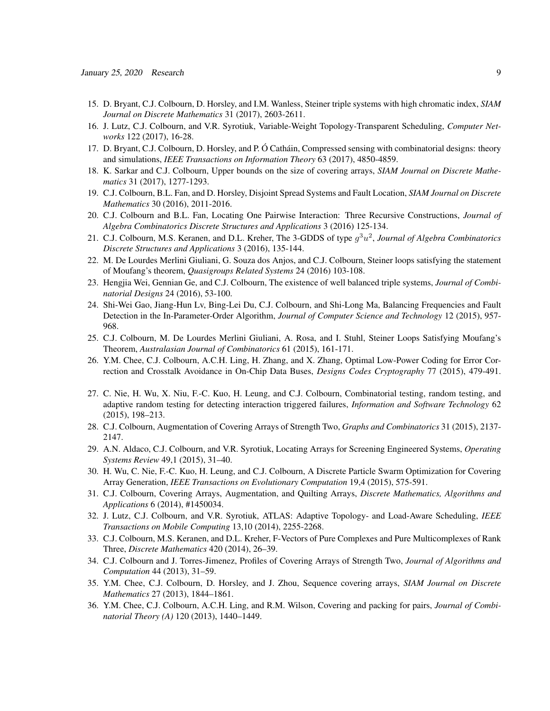- 15. D. Bryant, C.J. Colbourn, D. Horsley, and I.M. Wanless, Steiner triple systems with high chromatic index, *SIAM Journal on Discrete Mathematics* 31 (2017), 2603-2611.
- 16. J. Lutz, C.J. Colbourn, and V.R. Syrotiuk, Variable-Weight Topology-Transparent Scheduling, *Computer Networks* 122 (2017), 16-28.
- 17. D. Bryant, C.J. Colbourn, D. Horsley, and P. Ó Catháin, Compressed sensing with combinatorial designs: theory and simulations, *IEEE Transactions on Information Theory* 63 (2017), 4850-4859.
- 18. K. Sarkar and C.J. Colbourn, Upper bounds on the size of covering arrays, *SIAM Journal on Discrete Mathematics* 31 (2017), 1277-1293.
- 19. C.J. Colbourn, B.L. Fan, and D. Horsley, Disjoint Spread Systems and Fault Location, *SIAM Journal on Discrete Mathematics* 30 (2016), 2011-2016.
- 20. C.J. Colbourn and B.L. Fan, Locating One Pairwise Interaction: Three Recursive Constructions, *Journal of Algebra Combinatorics Discrete Structures and Applications* 3 (2016) 125-134.
- 21. C.J. Colbourn, M.S. Keranen, and D.L. Kreher, The 3-GDDS of type g 3u 2 , *Journal of Algebra Combinatorics Discrete Structures and Applications* 3 (2016), 135-144.
- 22. M. De Lourdes Merlini Giuliani, G. Souza dos Anjos, and C.J. Colbourn, Steiner loops satisfying the statement of Moufang's theorem, *Quasigroups Related Systems* 24 (2016) 103-108.
- 23. Hengjia Wei, Gennian Ge, and C.J. Colbourn, The existence of well balanced triple systems, *Journal of Combinatorial Designs* 24 (2016), 53-100.
- 24. Shi-Wei Gao, Jiang-Hun Lv, Bing-Lei Du, C.J. Colbourn, and Shi-Long Ma, Balancing Frequencies and Fault Detection in the In-Parameter-Order Algorithm, *Journal of Computer Science and Technology* 12 (2015), 957- 968.
- 25. C.J. Colbourn, M. De Lourdes Merlini Giuliani, A. Rosa, and I. Stuhl, Steiner Loops Satisfying Moufang's Theorem, *Australasian Journal of Combinatorics* 61 (2015), 161-171.
- 26. Y.M. Chee, C.J. Colbourn, A.C.H. Ling, H. Zhang, and X. Zhang, Optimal Low-Power Coding for Error Correction and Crosstalk Avoidance in On-Chip Data Buses, *Designs Codes Cryptography* 77 (2015), 479-491.
- 27. C. Nie, H. Wu, X. Niu, F.-C. Kuo, H. Leung, and C.J. Colbourn, Combinatorial testing, random testing, and adaptive random testing for detecting interaction triggered failures, *Information and Software Technology* 62 (2015), 198–213.
- 28. C.J. Colbourn, Augmentation of Covering Arrays of Strength Two, *Graphs and Combinatorics* 31 (2015), 2137- 2147.
- 29. A.N. Aldaco, C.J. Colbourn, and V.R. Syrotiuk, Locating Arrays for Screening Engineered Systems, *Operating Systems Review* 49,1 (2015), 31–40.
- 30. H. Wu, C. Nie, F.-C. Kuo, H. Leung, and C.J. Colbourn, A Discrete Particle Swarm Optimization for Covering Array Generation, *IEEE Transactions on Evolutionary Computation* 19,4 (2015), 575-591.
- 31. C.J. Colbourn, Covering Arrays, Augmentation, and Quilting Arrays, *Discrete Mathematics, Algorithms and Applications* 6 (2014), #1450034.
- 32. J. Lutz, C.J. Colbourn, and V.R. Syrotiuk, ATLAS: Adaptive Topology- and Load-Aware Scheduling, *IEEE Transactions on Mobile Computing* 13,10 (2014), 2255-2268.
- 33. C.J. Colbourn, M.S. Keranen, and D.L. Kreher, F-Vectors of Pure Complexes and Pure Multicomplexes of Rank Three, *Discrete Mathematics* 420 (2014), 26–39.
- 34. C.J. Colbourn and J. Torres-Jimenez, Profiles of Covering Arrays of Strength Two, *Journal of Algorithms and Computation* 44 (2013), 31–59.
- 35. Y.M. Chee, C.J. Colbourn, D. Horsley, and J. Zhou, Sequence covering arrays, *SIAM Journal on Discrete Mathematics* 27 (2013), 1844–1861.
- 36. Y.M. Chee, C.J. Colbourn, A.C.H. Ling, and R.M. Wilson, Covering and packing for pairs, *Journal of Combinatorial Theory (A)* 120 (2013), 1440–1449.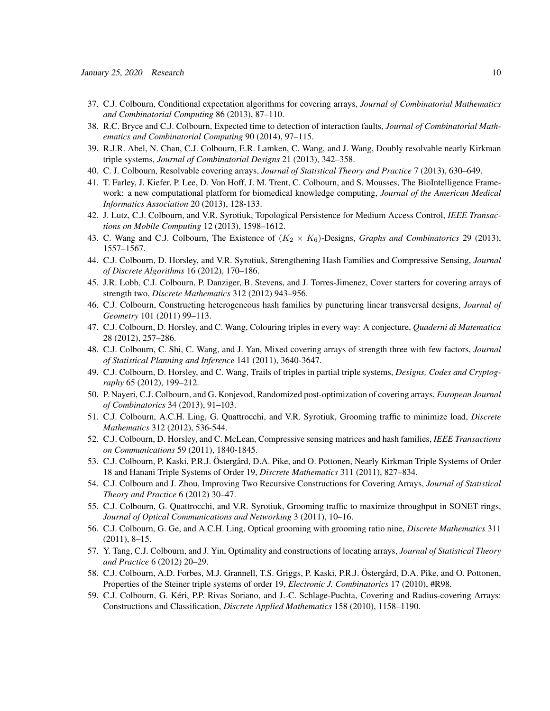- 37. C.J. Colbourn, Conditional expectation algorithms for covering arrays, *Journal of Combinatorial Mathematics and Combinatorial Computing* 86 (2013), 87–110.
- 38. R.C. Bryce and C.J. Colbourn, Expected time to detection of interaction faults, *Journal of Combinatorial Mathematics and Combinatorial Computing* 90 (2014), 97–115.
- 39. R.J.R. Abel, N. Chan, C.J. Colbourn, E.R. Lamken, C. Wang, and J. Wang, Doubly resolvable nearly Kirkman triple systems, *Journal of Combinatorial Designs* 21 (2013), 342–358.
- 40. C. J. Colbourn, Resolvable covering arrays, *Journal of Statistical Theory and Practice* 7 (2013), 630–649.
- 41. T. Farley, J. Kiefer, P. Lee, D. Von Hoff, J. M. Trent, C. Colbourn, and S. Mousses, The BioIntelligence Framework: a new computational platform for biomedical knowledge computing, *Journal of the American Medical Informatics Association* 20 (2013), 128-133.
- 42. J. Lutz, C.J. Colbourn, and V.R. Syrotiuk, Topological Persistence for Medium Access Control, *IEEE Transactions on Mobile Computing* 12 (2013), 1598–1612.
- 43. C. Wang and C.J. Colbourn, The Existence of  $(K_2 \times K_6)$ -Designs, *Graphs and Combinatorics* 29 (2013), 1557–1567.
- 44. C.J. Colbourn, D. Horsley, and V.R. Syrotiuk, Strengthening Hash Families and Compressive Sensing, *Journal of Discrete Algorithms* 16 (2012), 170–186.
- 45. J.R. Lobb, C.J. Colbourn, P. Danziger, B. Stevens, and J. Torres-Jimenez, Cover starters for covering arrays of strength two, *Discrete Mathematics* 312 (2012) 943–956.
- 46. C.J. Colbourn, Constructing heterogeneous hash families by puncturing linear transversal designs, *Journal of Geometry* 101 (2011) 99–113.
- 47. C.J. Colbourn, D. Horsley, and C. Wang, Colouring triples in every way: A conjecture, *Quaderni di Matematica* 28 (2012), 257–286.
- 48. C.J. Colbourn, C. Shi, C. Wang, and J. Yan, Mixed covering arrays of strength three with few factors, *Journal of Statistical Planning and Inference* 141 (2011), 3640-3647.
- 49. C.J. Colbourn, D. Horsley, and C. Wang, Trails of triples in partial triple systems, *Designs, Codes and Cryptography* 65 (2012), 199–212.
- 50. P. Nayeri, C.J. Colbourn, and G. Konjevod, Randomized post-optimization of covering arrays, *European Journal of Combinatorics* 34 (2013), 91–103.
- 51. C.J. Colbourn, A.C.H. Ling, G. Quattrocchi, and V.R. Syrotiuk, Grooming traffic to minimize load, *Discrete Mathematics* 312 (2012), 536-544.
- 52. C.J. Colbourn, D. Horsley, and C. McLean, Compressive sensing matrices and hash families, *IEEE Transactions on Communications* 59 (2011), 1840-1845.
- 53. C.J. Colbourn, P. Kaski, P.R.J. Östergård, D.A. Pike, and O. Pottonen, Nearly Kirkman Triple Systems of Order 18 and Hanani Triple Systems of Order 19, *Discrete Mathematics* 311 (2011), 827–834.
- 54. C.J. Colbourn and J. Zhou, Improving Two Recursive Constructions for Covering Arrays, *Journal of Statistical Theory and Practice* 6 (2012) 30–47.
- 55. C.J. Colbourn, G. Quattrocchi, and V.R. Syrotiuk, Grooming traffic to maximize throughput in SONET rings, *Journal of Optical Communications and Networking* 3 (2011), 10–16.
- 56. C.J. Colbourn, G. Ge, and A.C.H. Ling, Optical grooming with grooming ratio nine, *Discrete Mathematics* 311 (2011), 8–15.
- 57. Y. Tang, C.J. Colbourn, and J. Yin, Optimality and constructions of locating arrays, *Journal of Statistical Theory and Practice* 6 (2012) 20–29.
- 58. C.J. Colbourn, A.D. Forbes, M.J. Grannell, T.S. Griggs, P. Kaski, P.R.J. Östergård, D.A. Pike, and O. Pottonen, Properties of the Steiner triple systems of order 19, *Electronic J. Combinatorics* 17 (2010), #R98.
- 59. C.J. Colbourn, G. Keri, P.P. Rivas Soriano, and J.-C. Schlage-Puchta, Covering and Radius-covering Arrays: ´ Constructions and Classification, *Discrete Applied Mathematics* 158 (2010), 1158–1190.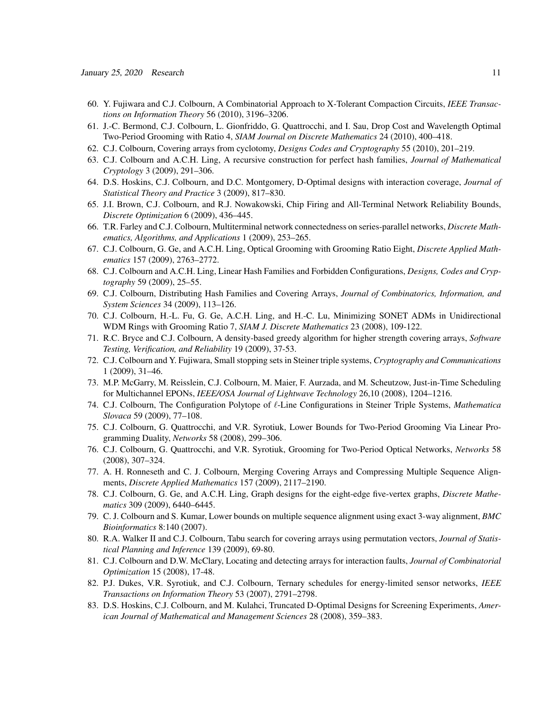- 60. Y. Fujiwara and C.J. Colbourn, A Combinatorial Approach to X-Tolerant Compaction Circuits, *IEEE Transactions on Information Theory* 56 (2010), 3196–3206.
- 61. J.-C. Bermond, C.J. Colbourn, L. Gionfriddo, G. Quattrocchi, and I. Sau, Drop Cost and Wavelength Optimal Two-Period Grooming with Ratio 4, *SIAM Journal on Discrete Mathematics* 24 (2010), 400–418.
- 62. C.J. Colbourn, Covering arrays from cyclotomy, *Designs Codes and Cryptography* 55 (2010), 201–219.
- 63. C.J. Colbourn and A.C.H. Ling, A recursive construction for perfect hash families, *Journal of Mathematical Cryptology* 3 (2009), 291–306.
- 64. D.S. Hoskins, C.J. Colbourn, and D.C. Montgomery, D-Optimal designs with interaction coverage, *Journal of Statistical Theory and Practice* 3 (2009), 817–830.
- 65. J.I. Brown, C.J. Colbourn, and R.J. Nowakowski, Chip Firing and All-Terminal Network Reliability Bounds, *Discrete Optimization* 6 (2009), 436–445.
- 66. T.R. Farley and C.J. Colbourn, Multiterminal network connectedness on series-parallel networks, *Discrete Mathematics, Algorithms, and Applications* 1 (2009), 253–265.
- 67. C.J. Colbourn, G. Ge, and A.C.H. Ling, Optical Grooming with Grooming Ratio Eight, *Discrete Applied Mathematics* 157 (2009), 2763–2772.
- 68. C.J. Colbourn and A.C.H. Ling, Linear Hash Families and Forbidden Configurations, *Designs, Codes and Cryptography* 59 (2009), 25–55.
- 69. C.J. Colbourn, Distributing Hash Families and Covering Arrays, *Journal of Combinatorics, Information, and System Sciences* 34 (2009), 113–126.
- 70. C.J. Colbourn, H.-L. Fu, G. Ge, A.C.H. Ling, and H.-C. Lu, Minimizing SONET ADMs in Unidirectional WDM Rings with Grooming Ratio 7, *SIAM J. Discrete Mathematics* 23 (2008), 109-122.
- 71. R.C. Bryce and C.J. Colbourn, A density-based greedy algorithm for higher strength covering arrays, *Software Testing, Verification, and Reliability* 19 (2009), 37-53.
- 72. C.J. Colbourn and Y. Fujiwara, Small stopping sets in Steiner triple systems, *Cryptography and Communications* 1 (2009), 31–46.
- 73. M.P. McGarry, M. Reisslein, C.J. Colbourn, M. Maier, F. Aurzada, and M. Scheutzow, Just-in-Time Scheduling for Multichannel EPONs, *IEEE/OSA Journal of Lightwave Technology* 26,10 (2008), 1204–1216.
- 74. C.J. Colbourn, The Configuration Polytope of  $\ell$ -Line Configurations in Steiner Triple Systems, *Mathematica Slovaca* 59 (2009), 77–108.
- 75. C.J. Colbourn, G. Quattrocchi, and V.R. Syrotiuk, Lower Bounds for Two-Period Grooming Via Linear Programming Duality, *Networks* 58 (2008), 299–306.
- 76. C.J. Colbourn, G. Quattrocchi, and V.R. Syrotiuk, Grooming for Two-Period Optical Networks, *Networks* 58 (2008), 307–324.
- 77. A. H. Ronneseth and C. J. Colbourn, Merging Covering Arrays and Compressing Multiple Sequence Alignments, *Discrete Applied Mathematics* 157 (2009), 2117–2190.
- 78. C.J. Colbourn, G. Ge, and A.C.H. Ling, Graph designs for the eight-edge five-vertex graphs, *Discrete Mathematics* 309 (2009), 6440–6445.
- 79. C. J. Colbourn and S. Kumar, Lower bounds on multiple sequence alignment using exact 3-way alignment, *BMC Bioinformatics* 8:140 (2007).
- 80. R.A. Walker II and C.J. Colbourn, Tabu search for covering arrays using permutation vectors, *Journal of Statistical Planning and Inference* 139 (2009), 69-80.
- 81. C.J. Colbourn and D.W. McClary, Locating and detecting arrays for interaction faults, *Journal of Combinatorial Optimization* 15 (2008), 17-48.
- 82. P.J. Dukes, V.R. Syrotiuk, and C.J. Colbourn, Ternary schedules for energy-limited sensor networks, *IEEE Transactions on Information Theory* 53 (2007), 2791–2798.
- 83. D.S. Hoskins, C.J. Colbourn, and M. Kulahci, Truncated D-Optimal Designs for Screening Experiments, *American Journal of Mathematical and Management Sciences* 28 (2008), 359–383.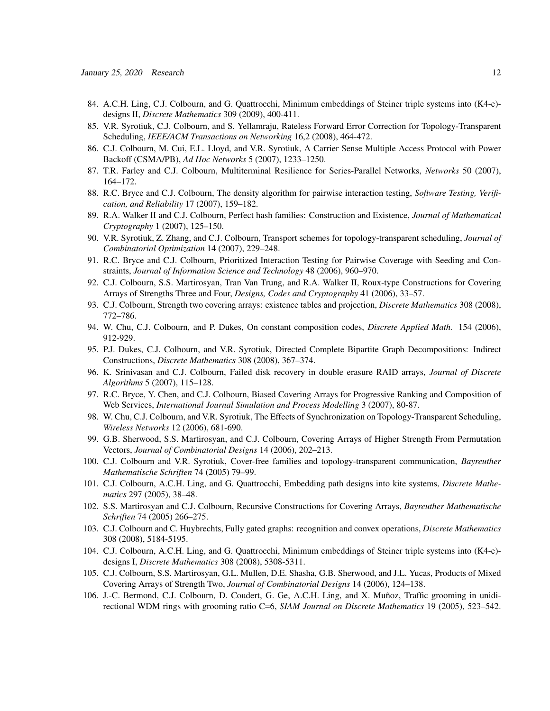- 84. A.C.H. Ling, C.J. Colbourn, and G. Quattrocchi, Minimum embeddings of Steiner triple systems into (K4-e) designs II, *Discrete Mathematics* 309 (2009), 400-411.
- 85. V.R. Syrotiuk, C.J. Colbourn, and S. Yellamraju, Rateless Forward Error Correction for Topology-Transparent Scheduling, *IEEE/ACM Transactions on Networking* 16,2 (2008), 464-472.
- 86. C.J. Colbourn, M. Cui, E.L. Lloyd, and V.R. Syrotiuk, A Carrier Sense Multiple Access Protocol with Power Backoff (CSMA/PB), *Ad Hoc Networks* 5 (2007), 1233–1250.
- 87. T.R. Farley and C.J. Colbourn, Multiterminal Resilience for Series-Parallel Networks, *Networks* 50 (2007), 164–172.
- 88. R.C. Bryce and C.J. Colbourn, The density algorithm for pairwise interaction testing, *Software Testing, Verification, and Reliability* 17 (2007), 159–182.
- 89. R.A. Walker II and C.J. Colbourn, Perfect hash families: Construction and Existence, *Journal of Mathematical Cryptography* 1 (2007), 125–150.
- 90. V.R. Syrotiuk, Z. Zhang, and C.J. Colbourn, Transport schemes for topology-transparent scheduling, *Journal of Combinatorial Optimization* 14 (2007), 229–248.
- 91. R.C. Bryce and C.J. Colbourn, Prioritized Interaction Testing for Pairwise Coverage with Seeding and Constraints, *Journal of Information Science and Technology* 48 (2006), 960–970.
- 92. C.J. Colbourn, S.S. Martirosyan, Tran Van Trung, and R.A. Walker II, Roux-type Constructions for Covering Arrays of Strengths Three and Four, *Designs, Codes and Cryptography* 41 (2006), 33–57.
- 93. C.J. Colbourn, Strength two covering arrays: existence tables and projection, *Discrete Mathematics* 308 (2008), 772–786.
- 94. W. Chu, C.J. Colbourn, and P. Dukes, On constant composition codes, *Discrete Applied Math.* 154 (2006), 912-929.
- 95. P.J. Dukes, C.J. Colbourn, and V.R. Syrotiuk, Directed Complete Bipartite Graph Decompositions: Indirect Constructions, *Discrete Mathematics* 308 (2008), 367–374.
- 96. K. Srinivasan and C.J. Colbourn, Failed disk recovery in double erasure RAID arrays, *Journal of Discrete Algorithms* 5 (2007), 115–128.
- 97. R.C. Bryce, Y. Chen, and C.J. Colbourn, Biased Covering Arrays for Progressive Ranking and Composition of Web Services, *International Journal Simulation and Process Modelling* 3 (2007), 80-87.
- 98. W. Chu, C.J. Colbourn, and V.R. Syrotiuk, The Effects of Synchronization on Topology-Transparent Scheduling, *Wireless Networks* 12 (2006), 681-690.
- 99. G.B. Sherwood, S.S. Martirosyan, and C.J. Colbourn, Covering Arrays of Higher Strength From Permutation Vectors, *Journal of Combinatorial Designs* 14 (2006), 202–213.
- 100. C.J. Colbourn and V.R. Syrotiuk, Cover-free families and topology-transparent communication, *Bayreuther Mathematische Schriften* 74 (2005) 79–99.
- 101. C.J. Colbourn, A.C.H. Ling, and G. Quattrocchi, Embedding path designs into kite systems, *Discrete Mathematics* 297 (2005), 38–48.
- 102. S.S. Martirosyan and C.J. Colbourn, Recursive Constructions for Covering Arrays, *Bayreuther Mathematische Schriften* 74 (2005) 266–275.
- 103. C.J. Colbourn and C. Huybrechts, Fully gated graphs: recognition and convex operations, *Discrete Mathematics* 308 (2008), 5184-5195.
- 104. C.J. Colbourn, A.C.H. Ling, and G. Quattrocchi, Minimum embeddings of Steiner triple systems into (K4-e) designs I, *Discrete Mathematics* 308 (2008), 5308-5311.
- 105. C.J. Colbourn, S.S. Martirosyan, G.L. Mullen, D.E. Shasha, G.B. Sherwood, and J.L. Yucas, Products of Mixed Covering Arrays of Strength Two, *Journal of Combinatorial Designs* 14 (2006), 124–138.
- 106. J.-C. Bermond, C.J. Colbourn, D. Coudert, G. Ge, A.C.H. Ling, and X. Muñoz, Traffic grooming in unidirectional WDM rings with grooming ratio C=6, *SIAM Journal on Discrete Mathematics* 19 (2005), 523–542.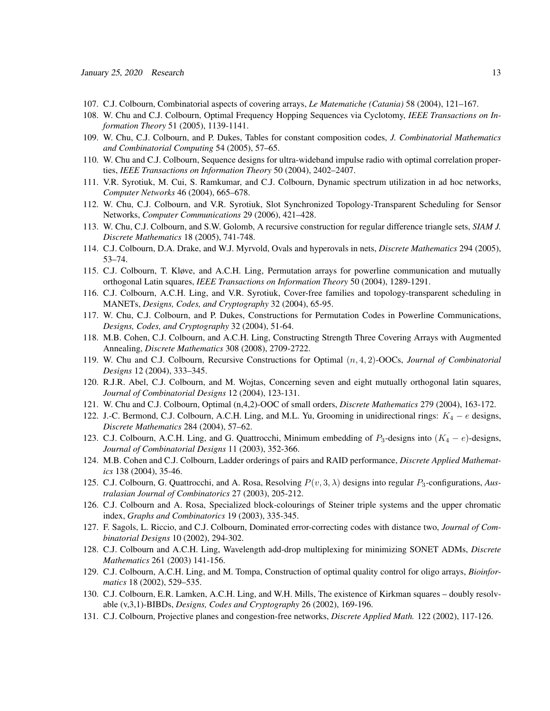- 107. C.J. Colbourn, Combinatorial aspects of covering arrays, *Le Matematiche (Catania)* 58 (2004), 121–167.
- 108. W. Chu and C.J. Colbourn, Optimal Frequency Hopping Sequences via Cyclotomy, *IEEE Transactions on Information Theory* 51 (2005), 1139-1141.
- 109. W. Chu, C.J. Colbourn, and P. Dukes, Tables for constant composition codes, *J. Combinatorial Mathematics and Combinatorial Computing* 54 (2005), 57–65.
- 110. W. Chu and C.J. Colbourn, Sequence designs for ultra-wideband impulse radio with optimal correlation properties, *IEEE Transactions on Information Theory* 50 (2004), 2402–2407.
- 111. V.R. Syrotiuk, M. Cui, S. Ramkumar, and C.J. Colbourn, Dynamic spectrum utilization in ad hoc networks, *Computer Networks* 46 (2004), 665–678.
- 112. W. Chu, C.J. Colbourn, and V.R. Syrotiuk, Slot Synchronized Topology-Transparent Scheduling for Sensor Networks, *Computer Communications* 29 (2006), 421–428.
- 113. W. Chu, C.J. Colbourn, and S.W. Golomb, A recursive construction for regular difference triangle sets, *SIAM J. Discrete Mathematics* 18 (2005), 741-748.
- 114. C.J. Colbourn, D.A. Drake, and W.J. Myrvold, Ovals and hyperovals in nets, *Discrete Mathematics* 294 (2005), 53–74.
- 115. C.J. Colbourn, T. Kløve, and A.C.H. Ling, Permutation arrays for powerline communication and mutually orthogonal Latin squares, *IEEE Transactions on Information Theory* 50 (2004), 1289-1291.
- 116. C.J. Colbourn, A.C.H. Ling, and V.R. Syrotiuk, Cover-free families and topology-transparent scheduling in MANETs, *Designs, Codes, and Cryptography* 32 (2004), 65-95.
- 117. W. Chu, C.J. Colbourn, and P. Dukes, Constructions for Permutation Codes in Powerline Communications, *Designs, Codes, and Cryptography* 32 (2004), 51-64.
- 118. M.B. Cohen, C.J. Colbourn, and A.C.H. Ling, Constructing Strength Three Covering Arrays with Augmented Annealing, *Discrete Mathematics* 308 (2008), 2709-2722.
- 119. W. Chu and C.J. Colbourn, Recursive Constructions for Optimal (n, 4, 2)-OOCs, *Journal of Combinatorial Designs* 12 (2004), 333–345.
- 120. R.J.R. Abel, C.J. Colbourn, and M. Wojtas, Concerning seven and eight mutually orthogonal latin squares, *Journal of Combinatorial Designs* 12 (2004), 123-131.
- 121. W. Chu and C.J. Colbourn, Optimal (n,4,2)-OOC of small orders, *Discrete Mathematics* 279 (2004), 163-172.
- 122. J.-C. Bermond, C.J. Colbourn, A.C.H. Ling, and M.L. Yu, Grooming in unidirectional rings:  $K_4 e$  designs, *Discrete Mathematics* 284 (2004), 57–62.
- 123. C.J. Colbourn, A.C.H. Ling, and G. Quattrocchi, Minimum embedding of  $P_3$ -designs into  $(K_4 e)$ -designs, *Journal of Combinatorial Designs* 11 (2003), 352-366.
- 124. M.B. Cohen and C.J. Colbourn, Ladder orderings of pairs and RAID performance, *Discrete Applied Mathematics* 138 (2004), 35-46.
- 125. C.J. Colbourn, G. Quattrocchi, and A. Rosa, Resolving P(v, 3, λ) designs into regular P3-configurations, *Australasian Journal of Combinatorics* 27 (2003), 205-212.
- 126. C.J. Colbourn and A. Rosa, Specialized block-colourings of Steiner triple systems and the upper chromatic index, *Graphs and Combinatorics* 19 (2003), 335-345.
- 127. F. Sagols, L. Riccio, and C.J. Colbourn, Dominated error-correcting codes with distance two, *Journal of Combinatorial Designs* 10 (2002), 294-302.
- 128. C.J. Colbourn and A.C.H. Ling, Wavelength add-drop multiplexing for minimizing SONET ADMs, *Discrete Mathematics* 261 (2003) 141-156.
- 129. C.J. Colbourn, A.C.H. Ling, and M. Tompa, Construction of optimal quality control for oligo arrays, *Bioinformatics* 18 (2002), 529–535.
- 130. C.J. Colbourn, E.R. Lamken, A.C.H. Ling, and W.H. Mills, The existence of Kirkman squares doubly resolvable (v,3,1)-BIBDs, *Designs, Codes and Cryptography* 26 (2002), 169-196.
- 131. C.J. Colbourn, Projective planes and congestion-free networks, *Discrete Applied Math.* 122 (2002), 117-126.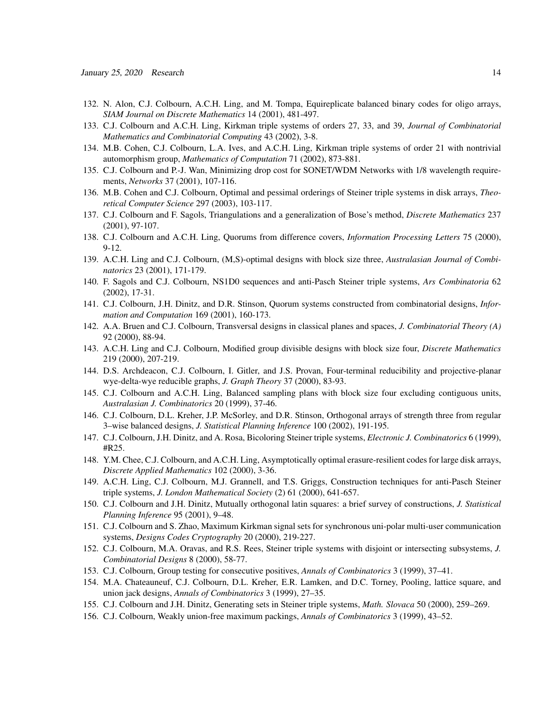- 132. N. Alon, C.J. Colbourn, A.C.H. Ling, and M. Tompa, Equireplicate balanced binary codes for oligo arrays, *SIAM Journal on Discrete Mathematics* 14 (2001), 481-497.
- 133. C.J. Colbourn and A.C.H. Ling, Kirkman triple systems of orders 27, 33, and 39, *Journal of Combinatorial Mathematics and Combinatorial Computing* 43 (2002), 3-8.
- 134. M.B. Cohen, C.J. Colbourn, L.A. Ives, and A.C.H. Ling, Kirkman triple systems of order 21 with nontrivial automorphism group, *Mathematics of Computation* 71 (2002), 873-881.
- 135. C.J. Colbourn and P.-J. Wan, Minimizing drop cost for SONET/WDM Networks with 1/8 wavelength requirements, *Networks* 37 (2001), 107-116.
- 136. M.B. Cohen and C.J. Colbourn, Optimal and pessimal orderings of Steiner triple systems in disk arrays, *Theoretical Computer Science* 297 (2003), 103-117.
- 137. C.J. Colbourn and F. Sagols, Triangulations and a generalization of Bose's method, *Discrete Mathematics* 237 (2001), 97-107.
- 138. C.J. Colbourn and A.C.H. Ling, Quorums from difference covers, *Information Processing Letters* 75 (2000), 9-12.
- 139. A.C.H. Ling and C.J. Colbourn, (M,S)-optimal designs with block size three, *Australasian Journal of Combinatorics* 23 (2001), 171-179.
- 140. F. Sagols and C.J. Colbourn, NS1D0 sequences and anti-Pasch Steiner triple systems, *Ars Combinatoria* 62 (2002), 17-31.
- 141. C.J. Colbourn, J.H. Dinitz, and D.R. Stinson, Quorum systems constructed from combinatorial designs, *Information and Computation* 169 (2001), 160-173.
- 142. A.A. Bruen and C.J. Colbourn, Transversal designs in classical planes and spaces, *J. Combinatorial Theory (A)* 92 (2000), 88-94.
- 143. A.C.H. Ling and C.J. Colbourn, Modified group divisible designs with block size four, *Discrete Mathematics* 219 (2000), 207-219.
- 144. D.S. Archdeacon, C.J. Colbourn, I. Gitler, and J.S. Provan, Four-terminal reducibility and projective-planar wye-delta-wye reducible graphs, *J. Graph Theory* 37 (2000), 83-93.
- 145. C.J. Colbourn and A.C.H. Ling, Balanced sampling plans with block size four excluding contiguous units, *Australasian J. Combinatorics* 20 (1999), 37-46.
- 146. C.J. Colbourn, D.L. Kreher, J.P. McSorley, and D.R. Stinson, Orthogonal arrays of strength three from regular 3–wise balanced designs, *J. Statistical Planning Inference* 100 (2002), 191-195.
- 147. C.J. Colbourn, J.H. Dinitz, and A. Rosa, Bicoloring Steiner triple systems, *Electronic J. Combinatorics* 6 (1999), #R25.
- 148. Y.M. Chee, C.J. Colbourn, and A.C.H. Ling, Asymptotically optimal erasure-resilient codes for large disk arrays, *Discrete Applied Mathematics* 102 (2000), 3-36.
- 149. A.C.H. Ling, C.J. Colbourn, M.J. Grannell, and T.S. Griggs, Construction techniques for anti-Pasch Steiner triple systems, *J. London Mathematical Society* (2) 61 (2000), 641-657.
- 150. C.J. Colbourn and J.H. Dinitz, Mutually orthogonal latin squares: a brief survey of constructions, *J. Statistical Planning Inference* 95 (2001), 9–48.
- 151. C.J. Colbourn and S. Zhao, Maximum Kirkman signal sets for synchronous uni-polar multi-user communication systems, *Designs Codes Cryptography* 20 (2000), 219-227.
- 152. C.J. Colbourn, M.A. Oravas, and R.S. Rees, Steiner triple systems with disjoint or intersecting subsystems, *J. Combinatorial Designs* 8 (2000), 58-77.
- 153. C.J. Colbourn, Group testing for consecutive positives, *Annals of Combinatorics* 3 (1999), 37–41.
- 154. M.A. Chateauneuf, C.J. Colbourn, D.L. Kreher, E.R. Lamken, and D.C. Torney, Pooling, lattice square, and union jack designs, *Annals of Combinatorics* 3 (1999), 27–35.
- 155. C.J. Colbourn and J.H. Dinitz, Generating sets in Steiner triple systems, *Math. Slovaca* 50 (2000), 259–269.
- 156. C.J. Colbourn, Weakly union-free maximum packings, *Annals of Combinatorics* 3 (1999), 43–52.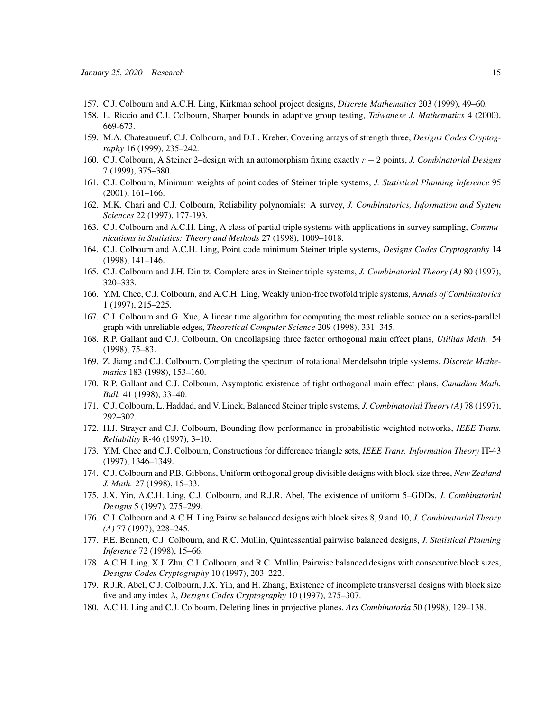- 157. C.J. Colbourn and A.C.H. Ling, Kirkman school project designs, *Discrete Mathematics* 203 (1999), 49–60.
- 158. L. Riccio and C.J. Colbourn, Sharper bounds in adaptive group testing, *Taiwanese J. Mathematics* 4 (2000), 669-673.
- 159. M.A. Chateauneuf, C.J. Colbourn, and D.L. Kreher, Covering arrays of strength three, *Designs Codes Cryptography* 16 (1999), 235–242.
- 160. C.J. Colbourn, A Steiner 2–design with an automorphism fixing exactly r + 2 points, *J. Combinatorial Designs* 7 (1999), 375–380.
- 161. C.J. Colbourn, Minimum weights of point codes of Steiner triple systems, *J. Statistical Planning Inference* 95 (2001), 161–166.
- 162. M.K. Chari and C.J. Colbourn, Reliability polynomials: A survey, *J. Combinatorics, Information and System Sciences* 22 (1997), 177-193.
- 163. C.J. Colbourn and A.C.H. Ling, A class of partial triple systems with applications in survey sampling, *Communications in Statistics: Theory and Methods* 27 (1998), 1009–1018.
- 164. C.J. Colbourn and A.C.H. Ling, Point code minimum Steiner triple systems, *Designs Codes Cryptography* 14 (1998), 141–146.
- 165. C.J. Colbourn and J.H. Dinitz, Complete arcs in Steiner triple systems, *J. Combinatorial Theory (A)* 80 (1997), 320–333.
- 166. Y.M. Chee, C.J. Colbourn, and A.C.H. Ling, Weakly union-free twofold triple systems, *Annals of Combinatorics* 1 (1997), 215–225.
- 167. C.J. Colbourn and G. Xue, A linear time algorithm for computing the most reliable source on a series-parallel graph with unreliable edges, *Theoretical Computer Science* 209 (1998), 331–345.
- 168. R.P. Gallant and C.J. Colbourn, On uncollapsing three factor orthogonal main effect plans, *Utilitas Math.* 54 (1998), 75–83.
- 169. Z. Jiang and C.J. Colbourn, Completing the spectrum of rotational Mendelsohn triple systems, *Discrete Mathematics* 183 (1998), 153–160.
- 170. R.P. Gallant and C.J. Colbourn, Asymptotic existence of tight orthogonal main effect plans, *Canadian Math. Bull.* 41 (1998), 33–40.
- 171. C.J. Colbourn, L. Haddad, and V. Linek, Balanced Steiner triple systems, *J. Combinatorial Theory (A)* 78 (1997), 292–302.
- 172. H.J. Strayer and C.J. Colbourn, Bounding flow performance in probabilistic weighted networks, *IEEE Trans. Reliability* R-46 (1997), 3–10.
- 173. Y.M. Chee and C.J. Colbourn, Constructions for difference triangle sets, *IEEE Trans. Information Theory* IT-43 (1997), 1346–1349.
- 174. C.J. Colbourn and P.B. Gibbons, Uniform orthogonal group divisible designs with block size three, *New Zealand J. Math.* 27 (1998), 15–33.
- 175. J.X. Yin, A.C.H. Ling, C.J. Colbourn, and R.J.R. Abel, The existence of uniform 5–GDDs, *J. Combinatorial Designs* 5 (1997), 275–299.
- 176. C.J. Colbourn and A.C.H. Ling Pairwise balanced designs with block sizes 8, 9 and 10, *J. Combinatorial Theory (A)* 77 (1997), 228–245.
- 177. F.E. Bennett, C.J. Colbourn, and R.C. Mullin, Quintessential pairwise balanced designs, *J. Statistical Planning Inference* 72 (1998), 15–66.
- 178. A.C.H. Ling, X.J. Zhu, C.J. Colbourn, and R.C. Mullin, Pairwise balanced designs with consecutive block sizes, *Designs Codes Cryptography* 10 (1997), 203–222.
- 179. R.J.R. Abel, C.J. Colbourn, J.X. Yin, and H. Zhang, Existence of incomplete transversal designs with block size five and any index λ, *Designs Codes Cryptography* 10 (1997), 275–307.
- 180. A.C.H. Ling and C.J. Colbourn, Deleting lines in projective planes, *Ars Combinatoria* 50 (1998), 129–138.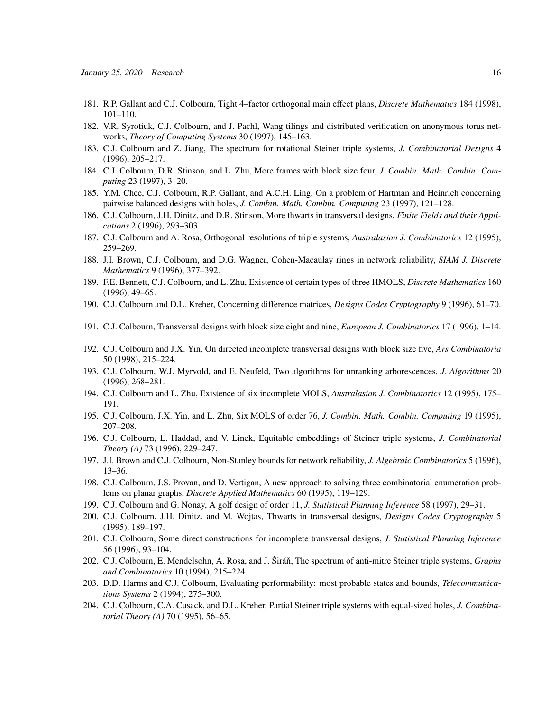- 181. R.P. Gallant and C.J. Colbourn, Tight 4–factor orthogonal main effect plans, *Discrete Mathematics* 184 (1998), 101–110.
- 182. V.R. Syrotiuk, C.J. Colbourn, and J. Pachl, Wang tilings and distributed verification on anonymous torus networks, *Theory of Computing Systems* 30 (1997), 145–163.
- 183. C.J. Colbourn and Z. Jiang, The spectrum for rotational Steiner triple systems, *J. Combinatorial Designs* 4 (1996), 205–217.
- 184. C.J. Colbourn, D.R. Stinson, and L. Zhu, More frames with block size four, *J. Combin. Math. Combin. Computing* 23 (1997), 3–20.
- 185. Y.M. Chee, C.J. Colbourn, R.P. Gallant, and A.C.H. Ling, On a problem of Hartman and Heinrich concerning pairwise balanced designs with holes, *J. Combin. Math. Combin. Computing* 23 (1997), 121–128.
- 186. C.J. Colbourn, J.H. Dinitz, and D.R. Stinson, More thwarts in transversal designs, *Finite Fields and their Applications* 2 (1996), 293–303.
- 187. C.J. Colbourn and A. Rosa, Orthogonal resolutions of triple systems, *Australasian J. Combinatorics* 12 (1995), 259–269.
- 188. J.I. Brown, C.J. Colbourn, and D.G. Wagner, Cohen-Macaulay rings in network reliability, *SIAM J. Discrete Mathematics* 9 (1996), 377–392.
- 189. F.E. Bennett, C.J. Colbourn, and L. Zhu, Existence of certain types of three HMOLS, *Discrete Mathematics* 160 (1996), 49–65.
- 190. C.J. Colbourn and D.L. Kreher, Concerning difference matrices, *Designs Codes Cryptography* 9 (1996), 61–70.
- 191. C.J. Colbourn, Transversal designs with block size eight and nine, *European J. Combinatorics* 17 (1996), 1–14.
- 192. C.J. Colbourn and J.X. Yin, On directed incomplete transversal designs with block size five, *Ars Combinatoria* 50 (1998), 215–224.
- 193. C.J. Colbourn, W.J. Myrvold, and E. Neufeld, Two algorithms for unranking arborescences, *J. Algorithms* 20 (1996), 268–281.
- 194. C.J. Colbourn and L. Zhu, Existence of six incomplete MOLS, *Australasian J. Combinatorics* 12 (1995), 175– 191.
- 195. C.J. Colbourn, J.X. Yin, and L. Zhu, Six MOLS of order 76, *J. Combin. Math. Combin. Computing* 19 (1995), 207–208.
- 196. C.J. Colbourn, L. Haddad, and V. Linek, Equitable embeddings of Steiner triple systems, *J. Combinatorial Theory (A)* 73 (1996), 229–247.
- 197. J.I. Brown and C.J. Colbourn, Non-Stanley bounds for network reliability, *J. Algebraic Combinatorics* 5 (1996), 13–36.
- 198. C.J. Colbourn, J.S. Provan, and D. Vertigan, A new approach to solving three combinatorial enumeration problems on planar graphs, *Discrete Applied Mathematics* 60 (1995), 119–129.
- 199. C.J. Colbourn and G. Nonay, A golf design of order 11, *J. Statistical Planning Inference* 58 (1997), 29–31.
- 200. C.J. Colbourn, J.H. Dinitz, and M. Wojtas, Thwarts in transversal designs, *Designs Codes Cryptography* 5 (1995), 189–197.
- 201. C.J. Colbourn, Some direct constructions for incomplete transversal designs, *J. Statistical Planning Inference* 56 (1996), 93–104.
- 202. C.J. Colbourn, E. Mendelsohn, A. Rosa, and J. Širáň, The spectrum of anti-mitre Steiner triple systems, *Graphs and Combinatorics* 10 (1994), 215–224.
- 203. D.D. Harms and C.J. Colbourn, Evaluating performability: most probable states and bounds, *Telecommunications Systems* 2 (1994), 275–300.
- 204. C.J. Colbourn, C.A. Cusack, and D.L. Kreher, Partial Steiner triple systems with equal-sized holes, *J. Combinatorial Theory (A)* 70 (1995), 56–65.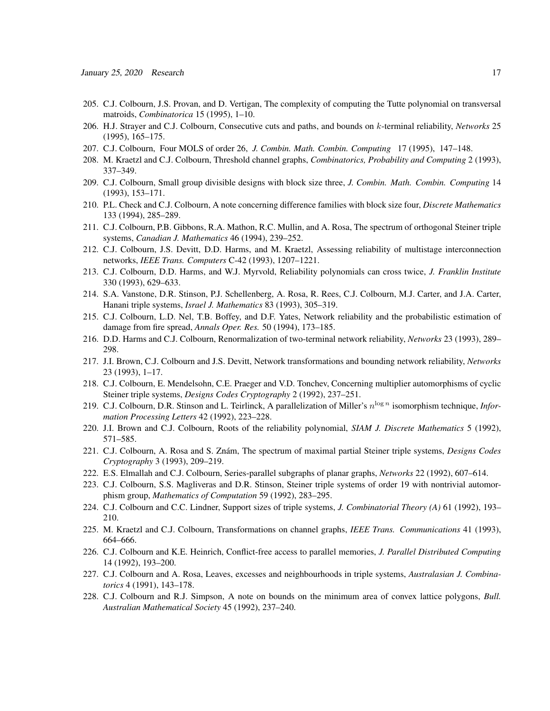- 205. C.J. Colbourn, J.S. Provan, and D. Vertigan, The complexity of computing the Tutte polynomial on transversal matroids, *Combinatorica* 15 (1995), 1–10.
- 206. H.J. Strayer and C.J. Colbourn, Consecutive cuts and paths, and bounds on k-terminal reliability, *Networks* 25 (1995), 165–175.
- 207. C.J. Colbourn, Four MOLS of order 26, *J. Combin. Math. Combin. Computing* 17 (1995), 147–148.
- 208. M. Kraetzl and C.J. Colbourn, Threshold channel graphs, *Combinatorics, Probability and Computing* 2 (1993), 337–349.
- 209. C.J. Colbourn, Small group divisible designs with block size three, *J. Combin. Math. Combin. Computing* 14 (1993), 153–171.
- 210. P.L. Check and C.J. Colbourn, A note concerning difference families with block size four, *Discrete Mathematics* 133 (1994), 285–289.
- 211. C.J. Colbourn, P.B. Gibbons, R.A. Mathon, R.C. Mullin, and A. Rosa, The spectrum of orthogonal Steiner triple systems, *Canadian J. Mathematics* 46 (1994), 239–252.
- 212. C.J. Colbourn, J.S. Devitt, D.D. Harms, and M. Kraetzl, Assessing reliability of multistage interconnection networks, *IEEE Trans. Computers* C-42 (1993), 1207–1221.
- 213. C.J. Colbourn, D.D. Harms, and W.J. Myrvold, Reliability polynomials can cross twice, *J. Franklin Institute* 330 (1993), 629–633.
- 214. S.A. Vanstone, D.R. Stinson, P.J. Schellenberg, A. Rosa, R. Rees, C.J. Colbourn, M.J. Carter, and J.A. Carter, Hanani triple systems, *Israel J. Mathematics* 83 (1993), 305–319.
- 215. C.J. Colbourn, L.D. Nel, T.B. Boffey, and D.F. Yates, Network reliability and the probabilistic estimation of damage from fire spread, *Annals Oper. Res.* 50 (1994), 173–185.
- 216. D.D. Harms and C.J. Colbourn, Renormalization of two-terminal network reliability, *Networks* 23 (1993), 289– 298.
- 217. J.I. Brown, C.J. Colbourn and J.S. Devitt, Network transformations and bounding network reliability, *Networks* 23 (1993), 1–17.
- 218. C.J. Colbourn, E. Mendelsohn, C.E. Praeger and V.D. Tonchev, Concerning multiplier automorphisms of cyclic Steiner triple systems, *Designs Codes Cryptography* 2 (1992), 237–251.
- 219. C.J. Colbourn, D.R. Stinson and L. Teirlinck, A parallelization of Miller's  $n^{\log n}$  isomorphism technique, *Information Processing Letters* 42 (1992), 223–228.
- 220. J.I. Brown and C.J. Colbourn, Roots of the reliability polynomial, *SIAM J. Discrete Mathematics* 5 (1992), 571–585.
- 221. C.J. Colbourn, A. Rosa and S. Znám, The spectrum of maximal partial Steiner triple systems, *Designs Codes Cryptography* 3 (1993), 209–219.
- 222. E.S. Elmallah and C.J. Colbourn, Series-parallel subgraphs of planar graphs, *Networks* 22 (1992), 607–614.
- 223. C.J. Colbourn, S.S. Magliveras and D.R. Stinson, Steiner triple systems of order 19 with nontrivial automorphism group, *Mathematics of Computation* 59 (1992), 283–295.
- 224. C.J. Colbourn and C.C. Lindner, Support sizes of triple systems, *J. Combinatorial Theory (A)* 61 (1992), 193– 210.
- 225. M. Kraetzl and C.J. Colbourn, Transformations on channel graphs, *IEEE Trans. Communications* 41 (1993), 664–666.
- 226. C.J. Colbourn and K.E. Heinrich, Conflict-free access to parallel memories, *J. Parallel Distributed Computing* 14 (1992), 193–200.
- 227. C.J. Colbourn and A. Rosa, Leaves, excesses and neighbourhoods in triple systems, *Australasian J. Combinatorics* 4 (1991), 143–178.
- 228. C.J. Colbourn and R.J. Simpson, A note on bounds on the minimum area of convex lattice polygons, *Bull. Australian Mathematical Society* 45 (1992), 237–240.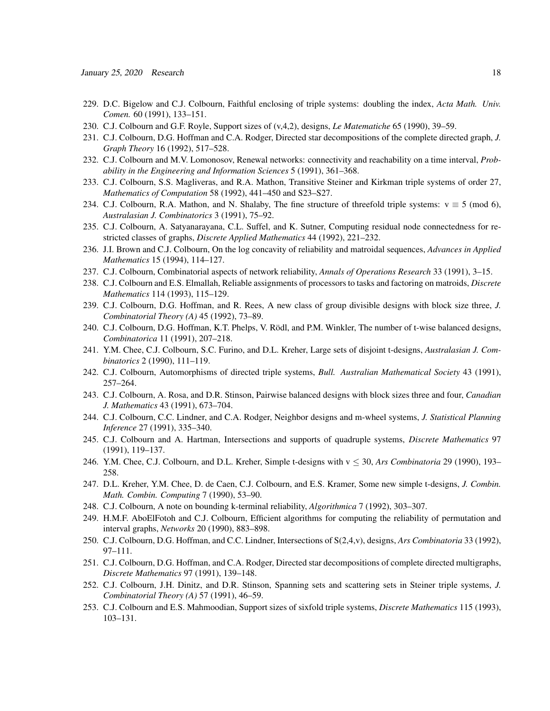- 229. D.C. Bigelow and C.J. Colbourn, Faithful enclosing of triple systems: doubling the index, *Acta Math. Univ. Comen.* 60 (1991), 133–151.
- 230. C.J. Colbourn and G.F. Royle, Support sizes of (v,4,2), designs, *Le Matematiche* 65 (1990), 39–59.
- 231. C.J. Colbourn, D.G. Hoffman and C.A. Rodger, Directed star decompositions of the complete directed graph, *J. Graph Theory* 16 (1992), 517–528.
- 232. C.J. Colbourn and M.V. Lomonosov, Renewal networks: connectivity and reachability on a time interval, *Probability in the Engineering and Information Sciences* 5 (1991), 361–368.
- 233. C.J. Colbourn, S.S. Magliveras, and R.A. Mathon, Transitive Steiner and Kirkman triple systems of order 27, *Mathematics of Computation* 58 (1992), 441–450 and S23–S27.
- 234. C.J. Colbourn, R.A. Mathon, and N. Shalaby, The fine structure of threefold triple systems:  $v \equiv 5 \pmod{6}$ , *Australasian J. Combinatorics* 3 (1991), 75–92.
- 235. C.J. Colbourn, A. Satyanarayana, C.L. Suffel, and K. Sutner, Computing residual node connectedness for restricted classes of graphs, *Discrete Applied Mathematics* 44 (1992), 221–232.
- 236. J.I. Brown and C.J. Colbourn, On the log concavity of reliability and matroidal sequences, *Advances in Applied Mathematics* 15 (1994), 114–127.
- 237. C.J. Colbourn, Combinatorial aspects of network reliability, *Annals of Operations Research* 33 (1991), 3–15.
- 238. C.J. Colbourn and E.S. Elmallah, Reliable assignments of processors to tasks and factoring on matroids, *Discrete Mathematics* 114 (1993), 115–129.
- 239. C.J. Colbourn, D.G. Hoffman, and R. Rees, A new class of group divisible designs with block size three, *J. Combinatorial Theory (A)* 45 (1992), 73–89.
- 240. C.J. Colbourn, D.G. Hoffman, K.T. Phelps, V. Rödl, and P.M. Winkler, The number of t-wise balanced designs, *Combinatorica* 11 (1991), 207–218.
- 241. Y.M. Chee, C.J. Colbourn, S.C. Furino, and D.L. Kreher, Large sets of disjoint t-designs, *Australasian J. Combinatorics* 2 (1990), 111–119.
- 242. C.J. Colbourn, Automorphisms of directed triple systems, *Bull. Australian Mathematical Society* 43 (1991), 257–264.
- 243. C.J. Colbourn, A. Rosa, and D.R. Stinson, Pairwise balanced designs with block sizes three and four, *Canadian J. Mathematics* 43 (1991), 673–704.
- 244. C.J. Colbourn, C.C. Lindner, and C.A. Rodger, Neighbor designs and m-wheel systems, *J. Statistical Planning Inference* 27 (1991), 335–340.
- 245. C.J. Colbourn and A. Hartman, Intersections and supports of quadruple systems, *Discrete Mathematics* 97 (1991), 119–137.
- 246. Y.M. Chee, C.J. Colbourn, and D.L. Kreher, Simple t-designs with  $v \le 30$ , *Ars Combinatoria* 29 (1990), 193– 258.
- 247. D.L. Kreher, Y.M. Chee, D. de Caen, C.J. Colbourn, and E.S. Kramer, Some new simple t-designs, *J. Combin. Math. Combin. Computing* 7 (1990), 53–90.
- 248. C.J. Colbourn, A note on bounding k-terminal reliability, *Algorithmica* 7 (1992), 303–307.
- 249. H.M.F. AboElFotoh and C.J. Colbourn, Efficient algorithms for computing the reliability of permutation and interval graphs, *Networks* 20 (1990), 883–898.
- 250. C.J. Colbourn, D.G. Hoffman, and C.C. Lindner, Intersections of S(2,4,v), designs, *Ars Combinatoria* 33 (1992), 97–111.
- 251. C.J. Colbourn, D.G. Hoffman, and C.A. Rodger, Directed star decompositions of complete directed multigraphs, *Discrete Mathematics* 97 (1991), 139–148.
- 252. C.J. Colbourn, J.H. Dinitz, and D.R. Stinson, Spanning sets and scattering sets in Steiner triple systems, *J. Combinatorial Theory (A)* 57 (1991), 46–59.
- 253. C.J. Colbourn and E.S. Mahmoodian, Support sizes of sixfold triple systems, *Discrete Mathematics* 115 (1993), 103–131.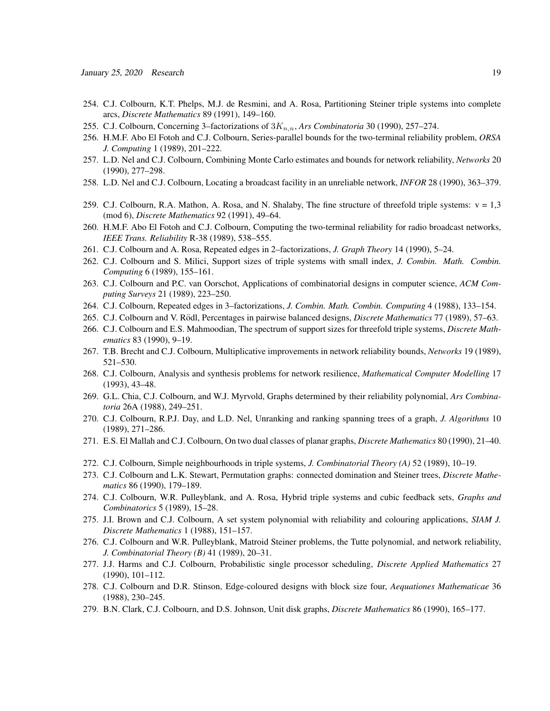- 254. C.J. Colbourn, K.T. Phelps, M.J. de Resmini, and A. Rosa, Partitioning Steiner triple systems into complete arcs, *Discrete Mathematics* 89 (1991), 149–160.
- 255. C.J. Colbourn, Concerning 3–factorizations of  $3K_{n,n}$ , *Ars Combinatoria* 30 (1990), 257–274.
- 256. H.M.F. Abo El Fotoh and C.J. Colbourn, Series-parallel bounds for the two-terminal reliability problem, *ORSA J. Computing* 1 (1989), 201–222.
- 257. L.D. Nel and C.J. Colbourn, Combining Monte Carlo estimates and bounds for network reliability, *Networks* 20 (1990), 277–298.
- 258. L.D. Nel and C.J. Colbourn, Locating a broadcast facility in an unreliable network, *INFOR* 28 (1990), 363–379.
- 259. C.J. Colbourn, R.A. Mathon, A. Rosa, and N. Shalaby, The fine structure of threefold triple systems:  $v = 1,3$ (mod 6), *Discrete Mathematics* 92 (1991), 49–64.
- 260. H.M.F. Abo El Fotoh and C.J. Colbourn, Computing the two-terminal reliability for radio broadcast networks, *IEEE Trans. Reliability* R-38 (1989), 538–555.
- 261. C.J. Colbourn and A. Rosa, Repeated edges in 2–factorizations, *J. Graph Theory* 14 (1990), 5–24.
- 262. C.J. Colbourn and S. Milici, Support sizes of triple systems with small index, *J. Combin. Math. Combin. Computing* 6 (1989), 155–161.
- 263. C.J. Colbourn and P.C. van Oorschot, Applications of combinatorial designs in computer science, *ACM Computing Surveys* 21 (1989), 223–250.
- 264. C.J. Colbourn, Repeated edges in 3–factorizations, *J. Combin. Math. Combin. Computing* 4 (1988), 133–154.
- 265. C.J. Colbourn and V. Rödl, Percentages in pairwise balanced designs, *Discrete Mathematics* 77 (1989), 57–63.
- 266. C.J. Colbourn and E.S. Mahmoodian, The spectrum of support sizes for threefold triple systems, *Discrete Mathematics* 83 (1990), 9–19.
- 267. T.B. Brecht and C.J. Colbourn, Multiplicative improvements in network reliability bounds, *Networks* 19 (1989), 521–530.
- 268. C.J. Colbourn, Analysis and synthesis problems for network resilience, *Mathematical Computer Modelling* 17 (1993), 43–48.
- 269. G.L. Chia, C.J. Colbourn, and W.J. Myrvold, Graphs determined by their reliability polynomial, *Ars Combinatoria* 26A (1988), 249–251.
- 270. C.J. Colbourn, R.P.J. Day, and L.D. Nel, Unranking and ranking spanning trees of a graph, *J. Algorithms* 10 (1989), 271–286.
- 271. E.S. El Mallah and C.J. Colbourn, On two dual classes of planar graphs, *Discrete Mathematics* 80 (1990), 21–40.
- 272. C.J. Colbourn, Simple neighbourhoods in triple systems, *J. Combinatorial Theory (A)* 52 (1989), 10–19.
- 273. C.J. Colbourn and L.K. Stewart, Permutation graphs: connected domination and Steiner trees, *Discrete Mathematics* 86 (1990), 179–189.
- 274. C.J. Colbourn, W.R. Pulleyblank, and A. Rosa, Hybrid triple systems and cubic feedback sets, *Graphs and Combinatorics* 5 (1989), 15–28.
- 275. J.I. Brown and C.J. Colbourn, A set system polynomial with reliability and colouring applications, *SIAM J. Discrete Mathematics* 1 (1988), 151–157.
- 276. C.J. Colbourn and W.R. Pulleyblank, Matroid Steiner problems, the Tutte polynomial, and network reliability, *J. Combinatorial Theory (B)* 41 (1989), 20–31.
- 277. J.J. Harms and C.J. Colbourn, Probabilistic single processor scheduling, *Discrete Applied Mathematics* 27 (1990), 101–112.
- 278. C.J. Colbourn and D.R. Stinson, Edge-coloured designs with block size four, *Aequationes Mathematicae* 36 (1988), 230–245.
- 279. B.N. Clark, C.J. Colbourn, and D.S. Johnson, Unit disk graphs, *Discrete Mathematics* 86 (1990), 165–177.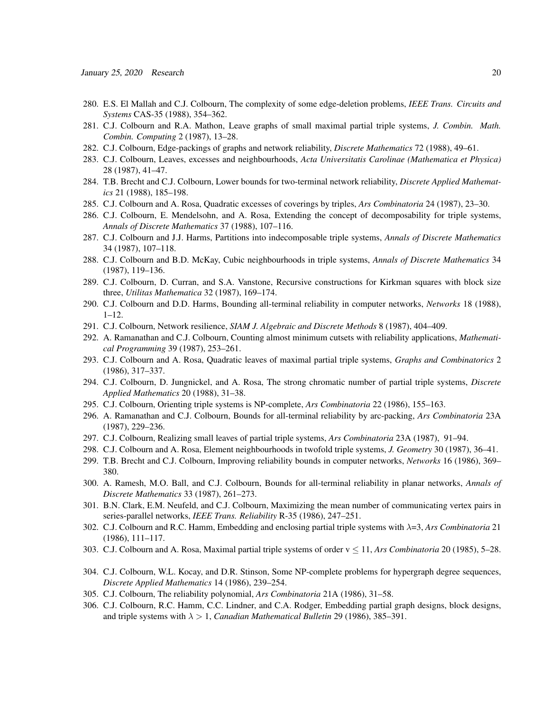- 280. E.S. El Mallah and C.J. Colbourn, The complexity of some edge-deletion problems, *IEEE Trans. Circuits and Systems* CAS-35 (1988), 354–362.
- 281. C.J. Colbourn and R.A. Mathon, Leave graphs of small maximal partial triple systems, *J. Combin. Math. Combin. Computing* 2 (1987), 13–28.
- 282. C.J. Colbourn, Edge-packings of graphs and network reliability, *Discrete Mathematics* 72 (1988), 49–61.
- 283. C.J. Colbourn, Leaves, excesses and neighbourhoods, *Acta Universitatis Carolinae (Mathematica et Physica)* 28 (1987), 41–47.
- 284. T.B. Brecht and C.J. Colbourn, Lower bounds for two-terminal network reliability, *Discrete Applied Mathematics* 21 (1988), 185–198.
- 285. C.J. Colbourn and A. Rosa, Quadratic excesses of coverings by triples, *Ars Combinatoria* 24 (1987), 23–30.
- 286. C.J. Colbourn, E. Mendelsohn, and A. Rosa, Extending the concept of decomposability for triple systems, *Annals of Discrete Mathematics* 37 (1988), 107–116.
- 287. C.J. Colbourn and J.J. Harms, Partitions into indecomposable triple systems, *Annals of Discrete Mathematics* 34 (1987), 107–118.
- 288. C.J. Colbourn and B.D. McKay, Cubic neighbourhoods in triple systems, *Annals of Discrete Mathematics* 34 (1987), 119–136.
- 289. C.J. Colbourn, D. Curran, and S.A. Vanstone, Recursive constructions for Kirkman squares with block size three, *Utilitas Mathematica* 32 (1987), 169–174.
- 290. C.J. Colbourn and D.D. Harms, Bounding all-terminal reliability in computer networks, *Networks* 18 (1988), 1–12.
- 291. C.J. Colbourn, Network resilience, *SIAM J. Algebraic and Discrete Methods* 8 (1987), 404–409.
- 292. A. Ramanathan and C.J. Colbourn, Counting almost minimum cutsets with reliability applications, *Mathematical Programming* 39 (1987), 253–261.
- 293. C.J. Colbourn and A. Rosa, Quadratic leaves of maximal partial triple systems, *Graphs and Combinatorics* 2 (1986), 317–337.
- 294. C.J. Colbourn, D. Jungnickel, and A. Rosa, The strong chromatic number of partial triple systems, *Discrete Applied Mathematics* 20 (1988), 31–38.
- 295. C.J. Colbourn, Orienting triple systems is NP-complete, *Ars Combinatoria* 22 (1986), 155–163.
- 296. A. Ramanathan and C.J. Colbourn, Bounds for all-terminal reliability by arc-packing, *Ars Combinatoria* 23A (1987), 229–236.
- 297. C.J. Colbourn, Realizing small leaves of partial triple systems, *Ars Combinatoria* 23A (1987), 91–94.
- 298. C.J. Colbourn and A. Rosa, Element neighbourhoods in twofold triple systems, *J. Geometry* 30 (1987), 36–41.
- 299. T.B. Brecht and C.J. Colbourn, Improving reliability bounds in computer networks, *Networks* 16 (1986), 369– 380.
- 300. A. Ramesh, M.O. Ball, and C.J. Colbourn, Bounds for all-terminal reliability in planar networks, *Annals of Discrete Mathematics* 33 (1987), 261–273.
- 301. B.N. Clark, E.M. Neufeld, and C.J. Colbourn, Maximizing the mean number of communicating vertex pairs in series-parallel networks, *IEEE Trans. Reliability* R-35 (1986), 247–251.
- 302. C.J. Colbourn and R.C. Hamm, Embedding and enclosing partial triple systems with λ=3, *Ars Combinatoria* 21 (1986), 111–117.
- 303. C.J. Colbourn and A. Rosa, Maximal partial triple systems of order v ≤ 11, *Ars Combinatoria* 20 (1985), 5–28.
- 304. C.J. Colbourn, W.L. Kocay, and D.R. Stinson, Some NP-complete problems for hypergraph degree sequences, *Discrete Applied Mathematics* 14 (1986), 239–254.
- 305. C.J. Colbourn, The reliability polynomial, *Ars Combinatoria* 21A (1986), 31–58.
- 306. C.J. Colbourn, R.C. Hamm, C.C. Lindner, and C.A. Rodger, Embedding partial graph designs, block designs, and triple systems with λ > 1, *Canadian Mathematical Bulletin* 29 (1986), 385–391.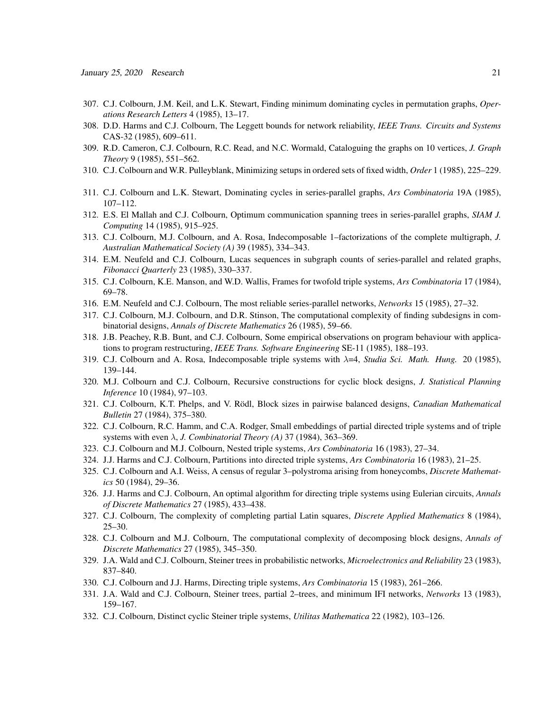- 307. C.J. Colbourn, J.M. Keil, and L.K. Stewart, Finding minimum dominating cycles in permutation graphs, *Operations Research Letters* 4 (1985), 13–17.
- 308. D.D. Harms and C.J. Colbourn, The Leggett bounds for network reliability, *IEEE Trans. Circuits and Systems* CAS-32 (1985), 609–611.
- 309. R.D. Cameron, C.J. Colbourn, R.C. Read, and N.C. Wormald, Cataloguing the graphs on 10 vertices, *J. Graph Theory* 9 (1985), 551–562.
- 310. C.J. Colbourn and W.R. Pulleyblank, Minimizing setups in ordered sets of fixed width, *Order* 1 (1985), 225–229.
- 311. C.J. Colbourn and L.K. Stewart, Dominating cycles in series-parallel graphs, *Ars Combinatoria* 19A (1985), 107–112.
- 312. E.S. El Mallah and C.J. Colbourn, Optimum communication spanning trees in series-parallel graphs, *SIAM J. Computing* 14 (1985), 915–925.
- 313. C.J. Colbourn, M.J. Colbourn, and A. Rosa, Indecomposable 1–factorizations of the complete multigraph, *J. Australian Mathematical Society (A)* 39 (1985), 334–343.
- 314. E.M. Neufeld and C.J. Colbourn, Lucas sequences in subgraph counts of series-parallel and related graphs, *Fibonacci Quarterly* 23 (1985), 330–337.
- 315. C.J. Colbourn, K.E. Manson, and W.D. Wallis, Frames for twofold triple systems, *Ars Combinatoria* 17 (1984), 69–78.
- 316. E.M. Neufeld and C.J. Colbourn, The most reliable series-parallel networks, *Networks* 15 (1985), 27–32.
- 317. C.J. Colbourn, M.J. Colbourn, and D.R. Stinson, The computational complexity of finding subdesigns in combinatorial designs, *Annals of Discrete Mathematics* 26 (1985), 59–66.
- 318. J.B. Peachey, R.B. Bunt, and C.J. Colbourn, Some empirical observations on program behaviour with applications to program restructuring, *IEEE Trans. Software Engineering* SE-11 (1985), 188–193.
- 319. C.J. Colbourn and A. Rosa, Indecomposable triple systems with λ=4, *Studia Sci. Math. Hung.* 20 (1985), 139–144.
- 320. M.J. Colbourn and C.J. Colbourn, Recursive constructions for cyclic block designs, *J. Statistical Planning Inference* 10 (1984), 97–103.
- 321. C.J. Colbourn, K.T. Phelps, and V. Rödl, Block sizes in pairwise balanced designs, *Canadian Mathematical Bulletin* 27 (1984), 375–380.
- 322. C.J. Colbourn, R.C. Hamm, and C.A. Rodger, Small embeddings of partial directed triple systems and of triple systems with even λ, *J. Combinatorial Theory (A)* 37 (1984), 363–369.
- 323. C.J. Colbourn and M.J. Colbourn, Nested triple systems, *Ars Combinatoria* 16 (1983), 27–34.
- 324. J.J. Harms and C.J. Colbourn, Partitions into directed triple systems, *Ars Combinatoria* 16 (1983), 21–25.
- 325. C.J. Colbourn and A.I. Weiss, A census of regular 3–polystroma arising from honeycombs, *Discrete Mathematics* 50 (1984), 29–36.
- 326. J.J. Harms and C.J. Colbourn, An optimal algorithm for directing triple systems using Eulerian circuits, *Annals of Discrete Mathematics* 27 (1985), 433–438.
- 327. C.J. Colbourn, The complexity of completing partial Latin squares, *Discrete Applied Mathematics* 8 (1984),  $25 - 30.$
- 328. C.J. Colbourn and M.J. Colbourn, The computational complexity of decomposing block designs, *Annals of Discrete Mathematics* 27 (1985), 345–350.
- 329. J.A. Wald and C.J. Colbourn, Steiner trees in probabilistic networks, *Microelectronics and Reliability* 23 (1983), 837–840.
- 330. C.J. Colbourn and J.J. Harms, Directing triple systems, *Ars Combinatoria* 15 (1983), 261–266.
- 331. J.A. Wald and C.J. Colbourn, Steiner trees, partial 2–trees, and minimum IFI networks, *Networks* 13 (1983), 159–167.
- 332. C.J. Colbourn, Distinct cyclic Steiner triple systems, *Utilitas Mathematica* 22 (1982), 103–126.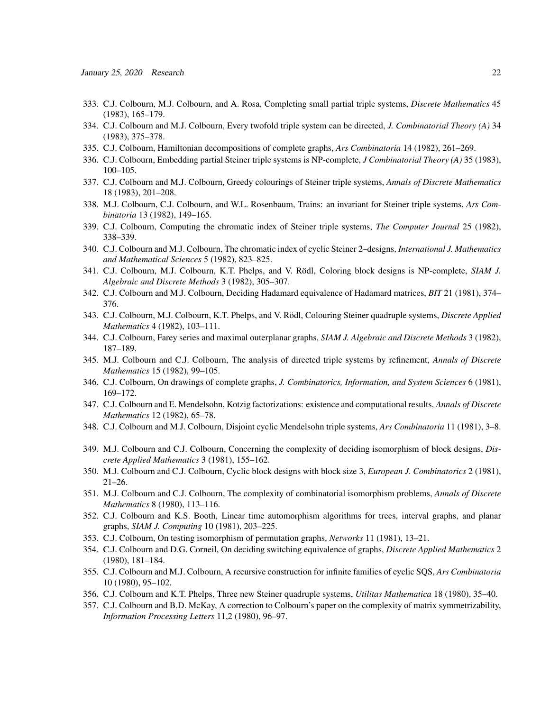- 333. C.J. Colbourn, M.J. Colbourn, and A. Rosa, Completing small partial triple systems, *Discrete Mathematics* 45 (1983), 165–179.
- 334. C.J. Colbourn and M.J. Colbourn, Every twofold triple system can be directed, *J. Combinatorial Theory (A)* 34 (1983), 375–378.
- 335. C.J. Colbourn, Hamiltonian decompositions of complete graphs, *Ars Combinatoria* 14 (1982), 261–269.
- 336. C.J. Colbourn, Embedding partial Steiner triple systems is NP-complete, *J Combinatorial Theory (A)* 35 (1983), 100–105.
- 337. C.J. Colbourn and M.J. Colbourn, Greedy colourings of Steiner triple systems, *Annals of Discrete Mathematics* 18 (1983), 201–208.
- 338. M.J. Colbourn, C.J. Colbourn, and W.L. Rosenbaum, Trains: an invariant for Steiner triple systems, *Ars Combinatoria* 13 (1982), 149–165.
- 339. C.J. Colbourn, Computing the chromatic index of Steiner triple systems, *The Computer Journal* 25 (1982), 338–339.
- 340. C.J. Colbourn and M.J. Colbourn, The chromatic index of cyclic Steiner 2–designs, *International J. Mathematics and Mathematical Sciences* 5 (1982), 823–825.
- 341. C.J. Colbourn, M.J. Colbourn, K.T. Phelps, and V. Rödl, Coloring block designs is NP-complete, SIAM J. *Algebraic and Discrete Methods* 3 (1982), 305–307.
- 342. C.J. Colbourn and M.J. Colbourn, Deciding Hadamard equivalence of Hadamard matrices, *BIT* 21 (1981), 374– 376.
- 343. C.J. Colbourn, M.J. Colbourn, K.T. Phelps, and V. Rödl, Colouring Steiner quadruple systems, *Discrete Applied Mathematics* 4 (1982), 103–111.
- 344. C.J. Colbourn, Farey series and maximal outerplanar graphs, *SIAM J. Algebraic and Discrete Methods* 3 (1982), 187–189.
- 345. M.J. Colbourn and C.J. Colbourn, The analysis of directed triple systems by refinement, *Annals of Discrete Mathematics* 15 (1982), 99–105.
- 346. C.J. Colbourn, On drawings of complete graphs, *J. Combinatorics, Information, and System Sciences* 6 (1981), 169–172.
- 347. C.J. Colbourn and E. Mendelsohn, Kotzig factorizations: existence and computational results, *Annals of Discrete Mathematics* 12 (1982), 65–78.
- 348. C.J. Colbourn and M.J. Colbourn, Disjoint cyclic Mendelsohn triple systems, *Ars Combinatoria* 11 (1981), 3–8.
- 349. M.J. Colbourn and C.J. Colbourn, Concerning the complexity of deciding isomorphism of block designs, *Discrete Applied Mathematics* 3 (1981), 155–162.
- 350. M.J. Colbourn and C.J. Colbourn, Cyclic block designs with block size 3, *European J. Combinatorics* 2 (1981), 21–26.
- 351. M.J. Colbourn and C.J. Colbourn, The complexity of combinatorial isomorphism problems, *Annals of Discrete Mathematics* 8 (1980), 113–116.
- 352. C.J. Colbourn and K.S. Booth, Linear time automorphism algorithms for trees, interval graphs, and planar graphs, *SIAM J. Computing* 10 (1981), 203–225.
- 353. C.J. Colbourn, On testing isomorphism of permutation graphs, *Networks* 11 (1981), 13–21.
- 354. C.J. Colbourn and D.G. Corneil, On deciding switching equivalence of graphs, *Discrete Applied Mathematics* 2 (1980), 181–184.
- 355. C.J. Colbourn and M.J. Colbourn, A recursive construction for infinite families of cyclic SQS, *Ars Combinatoria* 10 (1980), 95–102.
- 356. C.J. Colbourn and K.T. Phelps, Three new Steiner quadruple systems, *Utilitas Mathematica* 18 (1980), 35–40.
- 357. C.J. Colbourn and B.D. McKay, A correction to Colbourn's paper on the complexity of matrix symmetrizability, *Information Processing Letters* 11,2 (1980), 96–97.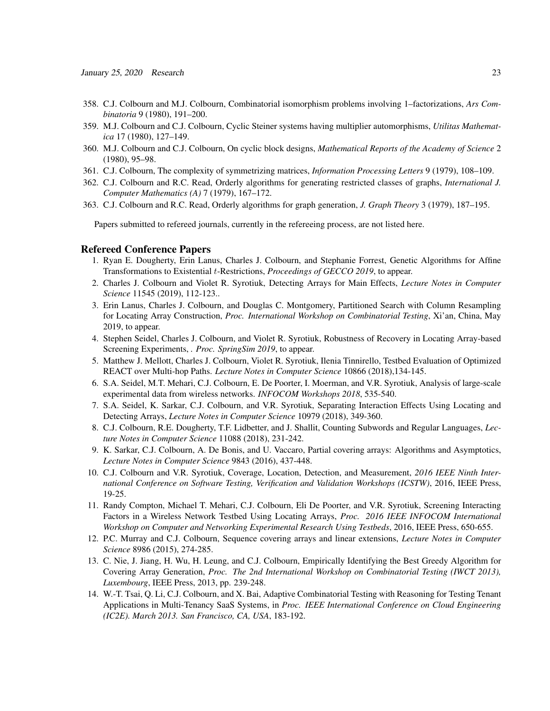- 358. C.J. Colbourn and M.J. Colbourn, Combinatorial isomorphism problems involving 1–factorizations, *Ars Combinatoria* 9 (1980), 191–200.
- 359. M.J. Colbourn and C.J. Colbourn, Cyclic Steiner systems having multiplier automorphisms, *Utilitas Mathematica* 17 (1980), 127–149.
- 360. M.J. Colbourn and C.J. Colbourn, On cyclic block designs, *Mathematical Reports of the Academy of Science* 2 (1980), 95–98.
- 361. C.J. Colbourn, The complexity of symmetrizing matrices, *Information Processing Letters* 9 (1979), 108–109.
- 362. C.J. Colbourn and R.C. Read, Orderly algorithms for generating restricted classes of graphs, *International J. Computer Mathematics (A)* 7 (1979), 167–172.
- 363. C.J. Colbourn and R.C. Read, Orderly algorithms for graph generation, *J. Graph Theory* 3 (1979), 187–195.

Papers submitted to refereed journals, currently in the refereeing process, are not listed here.

#### Refereed Conference Papers

- 1. Ryan E. Dougherty, Erin Lanus, Charles J. Colbourn, and Stephanie Forrest, Genetic Algorithms for Affine Transformations to Existential t-Restrictions, *Proceedings of GECCO 2019*, to appear.
- 2. Charles J. Colbourn and Violet R. Syrotiuk, Detecting Arrays for Main Effects, *Lecture Notes in Computer Science* 11545 (2019), 112-123..
- 3. Erin Lanus, Charles J. Colbourn, and Douglas C. Montgomery, Partitioned Search with Column Resampling for Locating Array Construction, *Proc. International Workshop on Combinatorial Testing*, Xi'an, China, May 2019, to appear.
- 4. Stephen Seidel, Charles J. Colbourn, and Violet R. Syrotiuk, Robustness of Recovery in Locating Array-based Screening Experiments, *. Proc. SpringSim 2019*, to appear.
- 5. Matthew J. Mellott, Charles J. Colbourn, Violet R. Syrotiuk, Ilenia Tinnirello, Testbed Evaluation of Optimized REACT over Multi-hop Paths. *Lecture Notes in Computer Science* 10866 (2018),134-145.
- 6. S.A. Seidel, M.T. Mehari, C.J. Colbourn, E. De Poorter, I. Moerman, and V.R. Syrotiuk, Analysis of large-scale experimental data from wireless networks. *INFOCOM Workshops 2018*, 535-540.
- 7. S.A. Seidel, K. Sarkar, C.J. Colbourn, and V.R. Syrotiuk, Separating Interaction Effects Using Locating and Detecting Arrays, *Lecture Notes in Computer Science* 10979 (2018), 349-360.
- 8. C.J. Colbourn, R.E. Dougherty, T.F. Lidbetter, and J. Shallit, Counting Subwords and Regular Languages, *Lecture Notes in Computer Science* 11088 (2018), 231-242.
- 9. K. Sarkar, C.J. Colbourn, A. De Bonis, and U. Vaccaro, Partial covering arrays: Algorithms and Asymptotics, *Lecture Notes in Computer Science* 9843 (2016), 437-448.
- 10. C.J. Colbourn and V.R. Syrotiuk, Coverage, Location, Detection, and Measurement, *2016 IEEE Ninth International Conference on Software Testing, Verification and Validation Workshops (ICSTW)*, 2016, IEEE Press, 19-25.
- 11. Randy Compton, Michael T. Mehari, C.J. Colbourn, Eli De Poorter, and V.R. Syrotiuk, Screening Interacting Factors in a Wireless Network Testbed Using Locating Arrays, *Proc. 2016 IEEE INFOCOM International Workshop on Computer and Networking Experimental Research Using Testbeds*, 2016, IEEE Press, 650-655.
- 12. P.C. Murray and C.J. Colbourn, Sequence covering arrays and linear extensions, *Lecture Notes in Computer Science* 8986 (2015), 274-285.
- 13. C. Nie, J. Jiang, H. Wu, H. Leung, and C.J. Colbourn, Empirically Identifying the Best Greedy Algorithm for Covering Array Generation, *Proc. The 2nd International Workshop on Combinatorial Testing (IWCT 2013), Luxembourg*, IEEE Press, 2013, pp. 239-248.
- 14. W.-T. Tsai, Q. Li, C.J. Colbourn, and X. Bai, Adaptive Combinatorial Testing with Reasoning for Testing Tenant Applications in Multi-Tenancy SaaS Systems, in *Proc. IEEE International Conference on Cloud Engineering (IC2E). March 2013. San Francisco, CA, USA*, 183-192.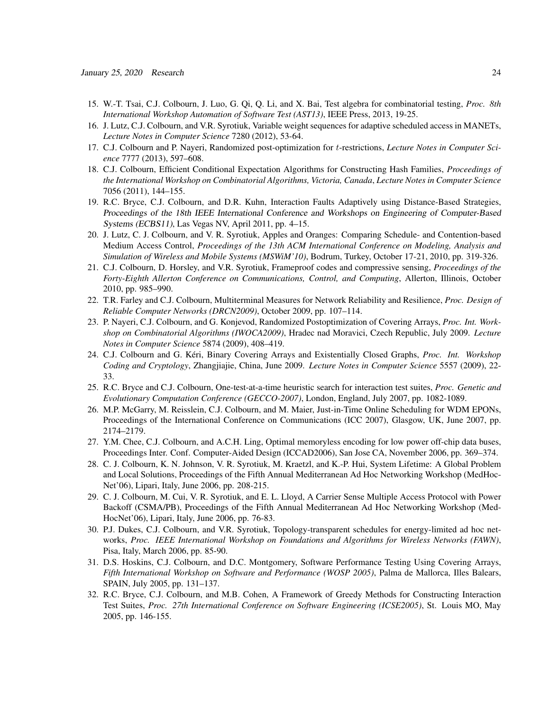- 15. W.-T. Tsai, C.J. Colbourn, J. Luo, G. Qi, Q. Li, and X. Bai, Test algebra for combinatorial testing, *Proc. 8th International Workshop Automation of Software Test (AST13)*, IEEE Press, 2013, 19-25.
- 16. J. Lutz, C.J. Colbourn, and V.R. Syrotiuk, Variable weight sequences for adaptive scheduled access in MANETs, *Lecture Notes in Computer Science* 7280 (2012), 53-64.
- 17. C.J. Colbourn and P. Nayeri, Randomized post-optimization for t-restrictions, *Lecture Notes in Computer Science* 7777 (2013), 597–608.
- 18. C.J. Colbourn, Efficient Conditional Expectation Algorithms for Constructing Hash Families, *Proceedings of the International Workshop on Combinatorial Algorithms, Victoria, Canada*, *Lecture Notes in Computer Science* 7056 (2011), 144–155.
- 19. R.C. Bryce, C.J. Colbourn, and D.R. Kuhn, Interaction Faults Adaptively using Distance-Based Strategies, Proceedings of the 18th IEEE International Conference and Workshops on Engineering of Computer-Based Systems (ECBS11), Las Vegas NV, April 2011, pp. 4–15.
- 20. J. Lutz, C. J. Colbourn, and V. R. Syrotiuk, Apples and Oranges: Comparing Schedule- and Contention-based Medium Access Control, *Proceedings of the 13th ACM International Conference on Modeling, Analysis and Simulation of Wireless and Mobile Systems (MSWiM'10)*, Bodrum, Turkey, October 17-21, 2010, pp. 319-326.
- 21. C.J. Colbourn, D. Horsley, and V.R. Syrotiuk, Frameproof codes and compressive sensing, *Proceedings of the Forty-Eighth Allerton Conference on Communications, Control, and Computing*, Allerton, Illinois, October 2010, pp. 985–990.
- 22. T.R. Farley and C.J. Colbourn, Multiterminal Measures for Network Reliability and Resilience, *Proc. Design of Reliable Computer Networks (DRCN2009)*, October 2009, pp. 107–114.
- 23. P. Nayeri, C.J. Colbourn, and G. Konjevod, Randomized Postoptimization of Covering Arrays, *Proc. Int. Workshop on Combinatorial Algorithms (IWOCA2009)*, Hradec nad Moravici, Czech Republic, July 2009. *Lecture Notes in Computer Science* 5874 (2009), 408–419.
- 24. C.J. Colbourn and G. Kéri, Binary Covering Arrays and Existentially Closed Graphs, Proc. Int. Workshop *Coding and Cryptology*, Zhangjiajie, China, June 2009. *Lecture Notes in Computer Science* 5557 (2009), 22- 33.
- 25. R.C. Bryce and C.J. Colbourn, One-test-at-a-time heuristic search for interaction test suites, *Proc. Genetic and Evolutionary Computation Conference (GECCO-2007)*, London, England, July 2007, pp. 1082-1089.
- 26. M.P. McGarry, M. Reisslein, C.J. Colbourn, and M. Maier, Just-in-Time Online Scheduling for WDM EPONs, Proceedings of the International Conference on Communications (ICC 2007), Glasgow, UK, June 2007, pp. 2174–2179.
- 27. Y.M. Chee, C.J. Colbourn, and A.C.H. Ling, Optimal memoryless encoding for low power off-chip data buses, Proceedings Inter. Conf. Computer-Aided Design (ICCAD2006), San Jose CA, November 2006, pp. 369–374.
- 28. C. J. Colbourn, K. N. Johnson, V. R. Syrotiuk, M. Kraetzl, and K.-P. Hui, System Lifetime: A Global Problem and Local Solutions, Proceedings of the Fifth Annual Mediterranean Ad Hoc Networking Workshop (MedHoc-Net'06), Lipari, Italy, June 2006, pp. 208-215.
- 29. C. J. Colbourn, M. Cui, V. R. Syrotiuk, and E. L. Lloyd, A Carrier Sense Multiple Access Protocol with Power Backoff (CSMA/PB), Proceedings of the Fifth Annual Mediterranean Ad Hoc Networking Workshop (Med-HocNet'06), Lipari, Italy, June 2006, pp. 76-83.
- 30. P.J. Dukes, C.J. Colbourn, and V.R. Syrotiuk, Topology-transparent schedules for energy-limited ad hoc networks, *Proc. IEEE International Workshop on Foundations and Algorithms for Wireless Networks (FAWN)*, Pisa, Italy, March 2006, pp. 85-90.
- 31. D.S. Hoskins, C.J. Colbourn, and D.C. Montgomery, Software Performance Testing Using Covering Arrays, *Fifth International Workshop on Software and Performance (WOSP 2005)*, Palma de Mallorca, Illes Balears, SPAIN, July 2005, pp. 131–137.
- 32. R.C. Bryce, C.J. Colbourn, and M.B. Cohen, A Framework of Greedy Methods for Constructing Interaction Test Suites, *Proc. 27th International Conference on Software Engineering (ICSE2005)*, St. Louis MO, May 2005, pp. 146-155.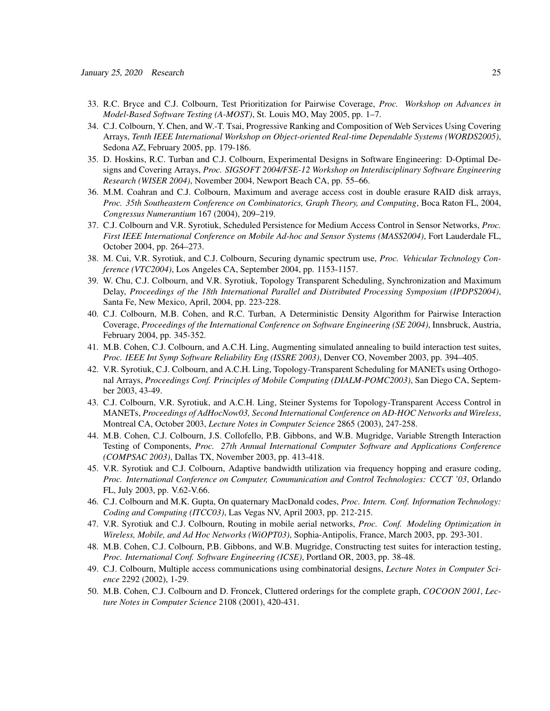- 33. R.C. Bryce and C.J. Colbourn, Test Prioritization for Pairwise Coverage, *Proc. Workshop on Advances in Model-Based Software Testing (A-MOST)*, St. Louis MO, May 2005, pp. 1–7.
- 34. C.J. Colbourn, Y. Chen, and W.-T. Tsai, Progressive Ranking and Composition of Web Services Using Covering Arrays, *Tenth IEEE International Workshop on Object-oriented Real-time Dependable Systems (WORDS2005)*, Sedona AZ, February 2005, pp. 179-186.
- 35. D. Hoskins, R.C. Turban and C.J. Colbourn, Experimental Designs in Software Engineering: D-Optimal Designs and Covering Arrays, *Proc. SIGSOFT 2004/FSE-12 Workshop on Interdisciplinary Software Engineering Research (WISER 2004)*, November 2004, Newport Beach CA, pp. 55–66.
- 36. M.M. Coahran and C.J. Colbourn, Maximum and average access cost in double erasure RAID disk arrays, *Proc. 35th Southeastern Conference on Combinatorics, Graph Theory, and Computing*, Boca Raton FL, 2004, *Congressus Numerantium* 167 (2004), 209–219.
- 37. C.J. Colbourn and V.R. Syrotiuk, Scheduled Persistence for Medium Access Control in Sensor Networks, *Proc. First IEEE International Conference on Mobile Ad-hoc and Sensor Systems (MASS2004)*, Fort Lauderdale FL, October 2004, pp. 264–273.
- 38. M. Cui, V.R. Syrotiuk, and C.J. Colbourn, Securing dynamic spectrum use, *Proc. Vehicular Technology Conference (VTC2004)*, Los Angeles CA, September 2004, pp. 1153-1157.
- 39. W. Chu, C.J. Colbourn, and V.R. Syrotiuk, Topology Transparent Scheduling, Synchronization and Maximum Delay, *Proceedings of the 18th International Parallel and Distributed Processing Symposium (IPDPS2004)*, Santa Fe, New Mexico, April, 2004, pp. 223-228.
- 40. C.J. Colbourn, M.B. Cohen, and R.C. Turban, A Deterministic Density Algorithm for Pairwise Interaction Coverage, *Proceedings of the International Conference on Software Engineering (SE 2004)*, Innsbruck, Austria, February 2004, pp. 345-352.
- 41. M.B. Cohen, C.J. Colbourn, and A.C.H. Ling, Augmenting simulated annealing to build interaction test suites, *Proc. IEEE Int Symp Software Reliability Eng (ISSRE 2003)*, Denver CO, November 2003, pp. 394–405.
- 42. V.R. Syrotiuk, C.J. Colbourn, and A.C.H. Ling, Topology-Transparent Scheduling for MANETs using Orthogonal Arrays, *Proceedings Conf. Principles of Mobile Computing (DIALM-POMC2003)*, San Diego CA, September 2003, 43-49.
- 43. C.J. Colbourn, V.R. Syrotiuk, and A.C.H. Ling, Steiner Systems for Topology-Transparent Access Control in MANETs, *Proceedings of AdHocNow03, Second International Conference on AD-HOC Networks and Wireless*, Montreal CA, October 2003, *Lecture Notes in Computer Science* 2865 (2003), 247-258.
- 44. M.B. Cohen, C.J. Colbourn, J.S. Collofello, P.B. Gibbons, and W.B. Mugridge, Variable Strength Interaction Testing of Components, *Proc. 27th Annual International Computer Software and Applications Conference (COMPSAC 2003)*, Dallas TX, November 2003, pp. 413-418.
- 45. V.R. Syrotiuk and C.J. Colbourn, Adaptive bandwidth utilization via frequency hopping and erasure coding, *Proc. International Conference on Computer, Communication and Control Technologies: CCCT '03*, Orlando FL, July 2003, pp. V.62-V.66.
- 46. C.J. Colbourn and M.K. Gupta, On quaternary MacDonald codes, *Proc. Intern. Conf. Information Technology: Coding and Computing (ITCC03)*, Las Vegas NV, April 2003, pp. 212-215.
- 47. V.R. Syrotiuk and C.J. Colbourn, Routing in mobile aerial networks, *Proc. Conf. Modeling Optimization in Wireless, Mobile, and Ad Hoc Networks (WiOPT03)*, Sophia-Antipolis, France, March 2003, pp. 293-301.
- 48. M.B. Cohen, C.J. Colbourn, P.B. Gibbons, and W.B. Mugridge, Constructing test suites for interaction testing, *Proc. International Conf. Software Engineering (ICSE)*, Portland OR, 2003, pp. 38-48.
- 49. C.J. Colbourn, Multiple access communications using combinatorial designs, *Lecture Notes in Computer Science* 2292 (2002), 1-29.
- 50. M.B. Cohen, C.J. Colbourn and D. Froncek, Cluttered orderings for the complete graph, *COCOON 2001*, *Lecture Notes in Computer Science* 2108 (2001), 420-431.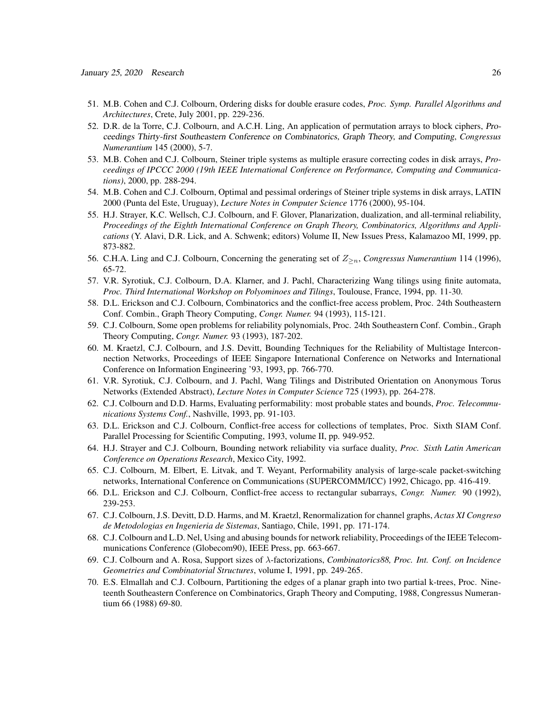- 51. M.B. Cohen and C.J. Colbourn, Ordering disks for double erasure codes, *Proc. Symp. Parallel Algorithms and Architectures*, Crete, July 2001, pp. 229-236.
- 52. D.R. de la Torre, C.J. Colbourn, and A.C.H. Ling, An application of permutation arrays to block ciphers, Proceedings Thirty-first Southeastern Conference on Combinatorics, Graph Theory, and Computing, *Congressus Numerantium* 145 (2000), 5-7.
- 53. M.B. Cohen and C.J. Colbourn, Steiner triple systems as multiple erasure correcting codes in disk arrays, *Proceedings of IPCCC 2000 (19th IEEE International Conference on Performance, Computing and Communications)*, 2000, pp. 288-294.
- 54. M.B. Cohen and C.J. Colbourn, Optimal and pessimal orderings of Steiner triple systems in disk arrays, LATIN 2000 (Punta del Este, Uruguay), *Lecture Notes in Computer Science* 1776 (2000), 95-104.
- 55. H.J. Strayer, K.C. Wellsch, C.J. Colbourn, and F. Glover, Planarization, dualization, and all-terminal reliability, *Proceedings of the Eighth International Conference on Graph Theory, Combinatorics, Algorithms and Applications* (Y. Alavi, D.R. Lick, and A. Schwenk; editors) Volume II, New Issues Press, Kalamazoo MI, 1999, pp. 873-882.
- 56. C.H.A. Ling and C.J. Colbourn, Concerning the generating set of  $Z_{\ge n}$ , *Congressus Numerantium* 114 (1996), 65-72.
- 57. V.R. Syrotiuk, C.J. Colbourn, D.A. Klarner, and J. Pachl, Characterizing Wang tilings using finite automata, *Proc. Third International Workshop on Polyominoes and Tilings*, Toulouse, France, 1994, pp. 11-30.
- 58. D.L. Erickson and C.J. Colbourn, Combinatorics and the conflict-free access problem, Proc. 24th Southeastern Conf. Combin., Graph Theory Computing, *Congr. Numer.* 94 (1993), 115-121.
- 59. C.J. Colbourn, Some open problems for reliability polynomials, Proc. 24th Southeastern Conf. Combin., Graph Theory Computing, *Congr. Numer.* 93 (1993), 187-202.
- 60. M. Kraetzl, C.J. Colbourn, and J.S. Devitt, Bounding Techniques for the Reliability of Multistage Interconnection Networks, Proceedings of IEEE Singapore International Conference on Networks and International Conference on Information Engineering '93, 1993, pp. 766-770.
- 61. V.R. Syrotiuk, C.J. Colbourn, and J. Pachl, Wang Tilings and Distributed Orientation on Anonymous Torus Networks (Extended Abstract), *Lecture Notes in Computer Science* 725 (1993), pp. 264-278.
- 62. C.J. Colbourn and D.D. Harms, Evaluating performability: most probable states and bounds, *Proc. Telecommunications Systems Conf.*, Nashville, 1993, pp. 91-103.
- 63. D.L. Erickson and C.J. Colbourn, Conflict-free access for collections of templates, Proc. Sixth SIAM Conf. Parallel Processing for Scientific Computing, 1993, volume II, pp. 949-952.
- 64. H.J. Strayer and C.J. Colbourn, Bounding network reliability via surface duality, *Proc. Sixth Latin American Conference on Operations Research*, Mexico City, 1992.
- 65. C.J. Colbourn, M. Elbert, E. Litvak, and T. Weyant, Performability analysis of large-scale packet-switching networks, International Conference on Communications (SUPERCOMM/ICC) 1992, Chicago, pp. 416-419.
- 66. D.L. Erickson and C.J. Colbourn, Conflict-free access to rectangular subarrays, *Congr. Numer.* 90 (1992), 239-253.
- 67. C.J. Colbourn, J.S. Devitt, D.D. Harms, and M. Kraetzl, Renormalization for channel graphs, *Actas XI Congreso de Metodologias en Ingenieria de Sistemas*, Santiago, Chile, 1991, pp. 171-174.
- 68. C.J. Colbourn and L.D. Nel, Using and abusing bounds for network reliability, Proceedings of the IEEE Telecommunications Conference (Globecom90), IEEE Press, pp. 663-667.
- 69. C.J. Colbourn and A. Rosa, Support sizes of λ-factorizations, *Combinatorics88, Proc. Int. Conf. on Incidence Geometries and Combinatorial Structures*, volume I, 1991, pp. 249-265.
- 70. E.S. Elmallah and C.J. Colbourn, Partitioning the edges of a planar graph into two partial k-trees, Proc. Nineteenth Southeastern Conference on Combinatorics, Graph Theory and Computing, 1988, Congressus Numerantium 66 (1988) 69-80.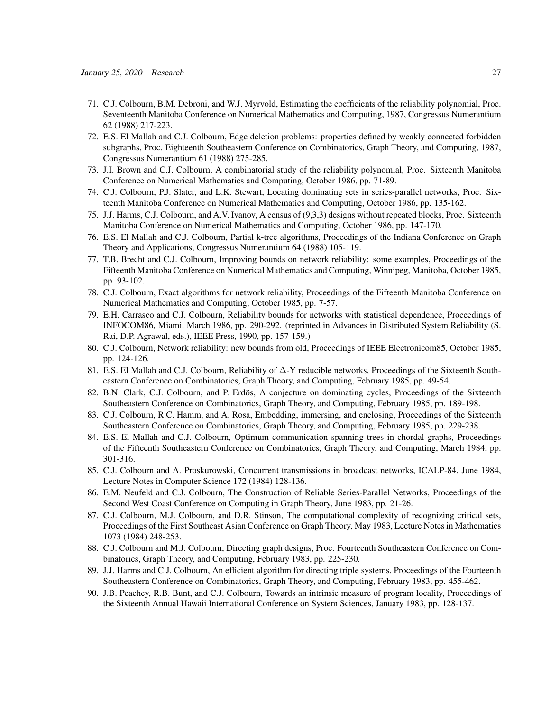- 71. C.J. Colbourn, B.M. Debroni, and W.J. Myrvold, Estimating the coefficients of the reliability polynomial, Proc. Seventeenth Manitoba Conference on Numerical Mathematics and Computing, 1987, Congressus Numerantium 62 (1988) 217-223.
- 72. E.S. El Mallah and C.J. Colbourn, Edge deletion problems: properties defined by weakly connected forbidden subgraphs, Proc. Eighteenth Southeastern Conference on Combinatorics, Graph Theory, and Computing, 1987, Congressus Numerantium 61 (1988) 275-285.
- 73. J.I. Brown and C.J. Colbourn, A combinatorial study of the reliability polynomial, Proc. Sixteenth Manitoba Conference on Numerical Mathematics and Computing, October 1986, pp. 71-89.
- 74. C.J. Colbourn, P.J. Slater, and L.K. Stewart, Locating dominating sets in series-parallel networks, Proc. Sixteenth Manitoba Conference on Numerical Mathematics and Computing, October 1986, pp. 135-162.
- 75. J.J. Harms, C.J. Colbourn, and A.V. Ivanov, A census of (9,3,3) designs without repeated blocks, Proc. Sixteenth Manitoba Conference on Numerical Mathematics and Computing, October 1986, pp. 147-170.
- 76. E.S. El Mallah and C.J. Colbourn, Partial k-tree algorithms, Proceedings of the Indiana Conference on Graph Theory and Applications, Congressus Numerantium 64 (1988) 105-119.
- 77. T.B. Brecht and C.J. Colbourn, Improving bounds on network reliability: some examples, Proceedings of the Fifteenth Manitoba Conference on Numerical Mathematics and Computing, Winnipeg, Manitoba, October 1985, pp. 93-102.
- 78. C.J. Colbourn, Exact algorithms for network reliability, Proceedings of the Fifteenth Manitoba Conference on Numerical Mathematics and Computing, October 1985, pp. 7-57.
- 79. E.H. Carrasco and C.J. Colbourn, Reliability bounds for networks with statistical dependence, Proceedings of INFOCOM86, Miami, March 1986, pp. 290-292. (reprinted in Advances in Distributed System Reliability (S. Rai, D.P. Agrawal, eds.), IEEE Press, 1990, pp. 157-159.)
- 80. C.J. Colbourn, Network reliability: new bounds from old, Proceedings of IEEE Electronicom85, October 1985, pp. 124-126.
- 81. E.S. El Mallah and C.J. Colbourn, Reliability of ∆-Y reducible networks, Proceedings of the Sixteenth Southeastern Conference on Combinatorics, Graph Theory, and Computing, February 1985, pp. 49-54.
- 82. B.N. Clark, C.J. Colbourn, and P. Erdös, A conjecture on dominating cycles, Proceedings of the Sixteenth Southeastern Conference on Combinatorics, Graph Theory, and Computing, February 1985, pp. 189-198.
- 83. C.J. Colbourn, R.C. Hamm, and A. Rosa, Embedding, immersing, and enclosing, Proceedings of the Sixteenth Southeastern Conference on Combinatorics, Graph Theory, and Computing, February 1985, pp. 229-238.
- 84. E.S. El Mallah and C.J. Colbourn, Optimum communication spanning trees in chordal graphs, Proceedings of the Fifteenth Southeastern Conference on Combinatorics, Graph Theory, and Computing, March 1984, pp. 301-316.
- 85. C.J. Colbourn and A. Proskurowski, Concurrent transmissions in broadcast networks, ICALP-84, June 1984, Lecture Notes in Computer Science 172 (1984) 128-136.
- 86. E.M. Neufeld and C.J. Colbourn, The Construction of Reliable Series-Parallel Networks, Proceedings of the Second West Coast Conference on Computing in Graph Theory, June 1983, pp. 21-26.
- 87. C.J. Colbourn, M.J. Colbourn, and D.R. Stinson, The computational complexity of recognizing critical sets, Proceedings of the First Southeast Asian Conference on Graph Theory, May 1983, Lecture Notes in Mathematics 1073 (1984) 248-253.
- 88. C.J. Colbourn and M.J. Colbourn, Directing graph designs, Proc. Fourteenth Southeastern Conference on Combinatorics, Graph Theory, and Computing, February 1983, pp. 225-230.
- 89. J.J. Harms and C.J. Colbourn, An efficient algorithm for directing triple systems, Proceedings of the Fourteenth Southeastern Conference on Combinatorics, Graph Theory, and Computing, February 1983, pp. 455-462.
- 90. J.B. Peachey, R.B. Bunt, and C.J. Colbourn, Towards an intrinsic measure of program locality, Proceedings of the Sixteenth Annual Hawaii International Conference on System Sciences, January 1983, pp. 128-137.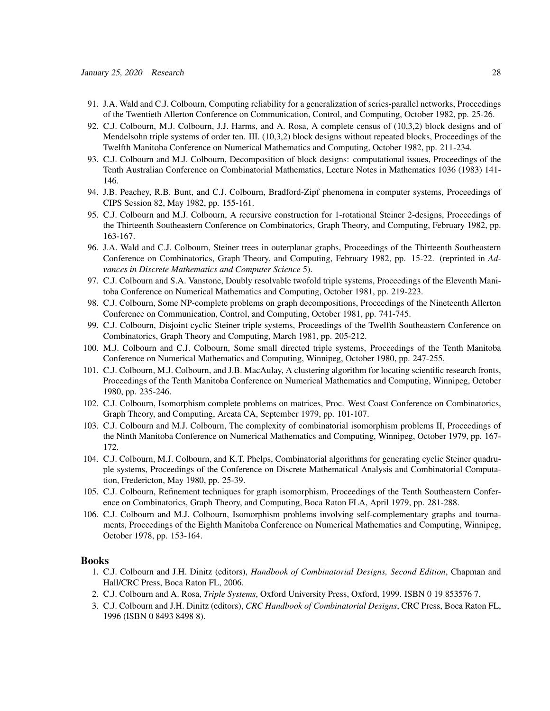- 91. J.A. Wald and C.J. Colbourn, Computing reliability for a generalization of series-parallel networks, Proceedings of the Twentieth Allerton Conference on Communication, Control, and Computing, October 1982, pp. 25-26.
- 92. C.J. Colbourn, M.J. Colbourn, J.J. Harms, and A. Rosa, A complete census of (10,3,2) block designs and of Mendelsohn triple systems of order ten. III. (10,3,2) block designs without repeated blocks, Proceedings of the Twelfth Manitoba Conference on Numerical Mathematics and Computing, October 1982, pp. 211-234.
- 93. C.J. Colbourn and M.J. Colbourn, Decomposition of block designs: computational issues, Proceedings of the Tenth Australian Conference on Combinatorial Mathematics, Lecture Notes in Mathematics 1036 (1983) 141- 146.
- 94. J.B. Peachey, R.B. Bunt, and C.J. Colbourn, Bradford-Zipf phenomena in computer systems, Proceedings of CIPS Session 82, May 1982, pp. 155-161.
- 95. C.J. Colbourn and M.J. Colbourn, A recursive construction for 1-rotational Steiner 2-designs, Proceedings of the Thirteenth Southeastern Conference on Combinatorics, Graph Theory, and Computing, February 1982, pp. 163-167.
- 96. J.A. Wald and C.J. Colbourn, Steiner trees in outerplanar graphs, Proceedings of the Thirteenth Southeastern Conference on Combinatorics, Graph Theory, and Computing, February 1982, pp. 15-22. (reprinted in *Advances in Discrete Mathematics and Computer Science* 5).
- 97. C.J. Colbourn and S.A. Vanstone, Doubly resolvable twofold triple systems, Proceedings of the Eleventh Manitoba Conference on Numerical Mathematics and Computing, October 1981, pp. 219-223.
- 98. C.J. Colbourn, Some NP-complete problems on graph decompositions, Proceedings of the Nineteenth Allerton Conference on Communication, Control, and Computing, October 1981, pp. 741-745.
- 99. C.J. Colbourn, Disjoint cyclic Steiner triple systems, Proceedings of the Twelfth Southeastern Conference on Combinatorics, Graph Theory and Computing, March 1981, pp. 205-212.
- 100. M.J. Colbourn and C.J. Colbourn, Some small directed triple systems, Proceedings of the Tenth Manitoba Conference on Numerical Mathematics and Computing, Winnipeg, October 1980, pp. 247-255.
- 101. C.J. Colbourn, M.J. Colbourn, and J.B. MacAulay, A clustering algorithm for locating scientific research fronts, Proceedings of the Tenth Manitoba Conference on Numerical Mathematics and Computing, Winnipeg, October 1980, pp. 235-246.
- 102. C.J. Colbourn, Isomorphism complete problems on matrices, Proc. West Coast Conference on Combinatorics, Graph Theory, and Computing, Arcata CA, September 1979, pp. 101-107.
- 103. C.J. Colbourn and M.J. Colbourn, The complexity of combinatorial isomorphism problems II, Proceedings of the Ninth Manitoba Conference on Numerical Mathematics and Computing, Winnipeg, October 1979, pp. 167- 172.
- 104. C.J. Colbourn, M.J. Colbourn, and K.T. Phelps, Combinatorial algorithms for generating cyclic Steiner quadruple systems, Proceedings of the Conference on Discrete Mathematical Analysis and Combinatorial Computation, Fredericton, May 1980, pp. 25-39.
- 105. C.J. Colbourn, Refinement techniques for graph isomorphism, Proceedings of the Tenth Southeastern Conference on Combinatorics, Graph Theory, and Computing, Boca Raton FLA, April 1979, pp. 281-288.
- 106. C.J. Colbourn and M.J. Colbourn, Isomorphism problems involving self-complementary graphs and tournaments, Proceedings of the Eighth Manitoba Conference on Numerical Mathematics and Computing, Winnipeg, October 1978, pp. 153-164.

#### Books

- 1. C.J. Colbourn and J.H. Dinitz (editors), *Handbook of Combinatorial Designs, Second Edition*, Chapman and Hall/CRC Press, Boca Raton FL, 2006.
- 2. C.J. Colbourn and A. Rosa, *Triple Systems*, Oxford University Press, Oxford, 1999. ISBN 0 19 853576 7.
- 3. C.J. Colbourn and J.H. Dinitz (editors), *CRC Handbook of Combinatorial Designs*, CRC Press, Boca Raton FL, 1996 (ISBN 0 8493 8498 8).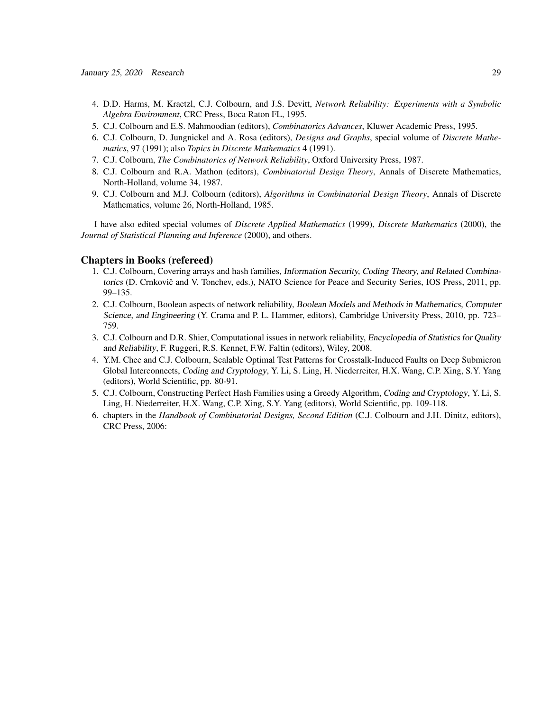- 4. D.D. Harms, M. Kraetzl, C.J. Colbourn, and J.S. Devitt, *Network Reliability: Experiments with a Symbolic Algebra Environment*, CRC Press, Boca Raton FL, 1995.
- 5. C.J. Colbourn and E.S. Mahmoodian (editors), *Combinatorics Advances*, Kluwer Academic Press, 1995.
- 6. C.J. Colbourn, D. Jungnickel and A. Rosa (editors), *Designs and Graphs*, special volume of *Discrete Mathematics*, 97 (1991); also *Topics in Discrete Mathematics* 4 (1991).
- 7. C.J. Colbourn, *The Combinatorics of Network Reliability*, Oxford University Press, 1987.
- 8. C.J. Colbourn and R.A. Mathon (editors), *Combinatorial Design Theory*, Annals of Discrete Mathematics, North-Holland, volume 34, 1987.
- 9. C.J. Colbourn and M.J. Colbourn (editors), *Algorithms in Combinatorial Design Theory*, Annals of Discrete Mathematics, volume 26, North-Holland, 1985.

I have also edited special volumes of *Discrete Applied Mathematics* (1999), *Discrete Mathematics* (2000), the *Journal of Statistical Planning and Inference* (2000), and others.

#### Chapters in Books (refereed)

- 1. C.J. Colbourn, Covering arrays and hash families, Information Security, Coding Theory, and Related Combinatorics (D. Crnkovič and V. Tonchev, eds.), NATO Science for Peace and Security Series, IOS Press, 2011, pp. 99–135.
- 2. C.J. Colbourn, Boolean aspects of network reliability, Boolean Models and Methods in Mathematics, Computer Science, and Engineering (Y. Crama and P. L. Hammer, editors), Cambridge University Press, 2010, pp. 723– 759.
- 3. C.J. Colbourn and D.R. Shier, Computational issues in network reliability, Encyclopedia of Statistics for Quality and Reliability, F. Ruggeri, R.S. Kennet, F.W. Faltin (editors), Wiley, 2008.
- 4. Y.M. Chee and C.J. Colbourn, Scalable Optimal Test Patterns for Crosstalk-Induced Faults on Deep Submicron Global Interconnects, Coding and Cryptology, Y. Li, S. Ling, H. Niederreiter, H.X. Wang, C.P. Xing, S.Y. Yang (editors), World Scientific, pp. 80-91.
- 5. C.J. Colbourn, Constructing Perfect Hash Families using a Greedy Algorithm, Coding and Cryptology, Y. Li, S. Ling, H. Niederreiter, H.X. Wang, C.P. Xing, S.Y. Yang (editors), World Scientific, pp. 109-118.
- 6. chapters in the *Handbook of Combinatorial Designs, Second Edition* (C.J. Colbourn and J.H. Dinitz, editors), CRC Press, 2006: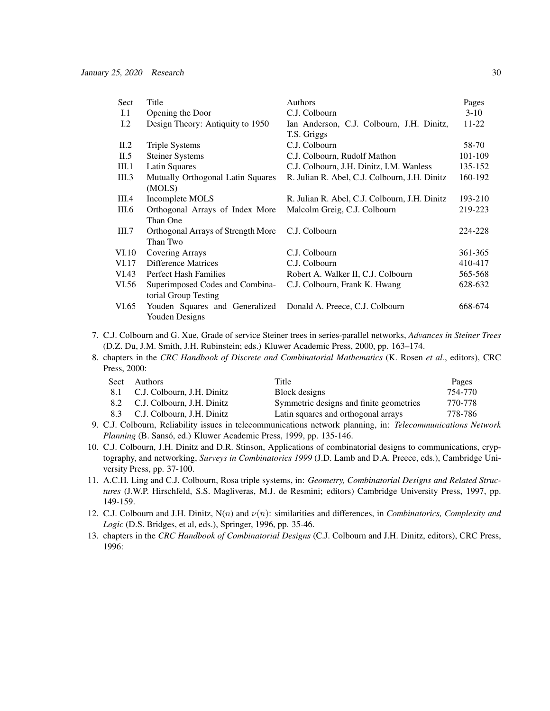| Sect  | Title                              | Authors                                       | Pages     |
|-------|------------------------------------|-----------------------------------------------|-----------|
| I.1   | Opening the Door                   | C.J. Colbourn                                 | $3-10$    |
| I.2   | Design Theory: Antiquity to 1950   | Ian Anderson, C.J. Colbourn, J.H. Dinitz,     | $11 - 22$ |
|       |                                    | T.S. Griggs                                   |           |
| II.2  | <b>Triple Systems</b>              | C.J. Colbourn                                 | 58-70     |
| II.5  | <b>Steiner Systems</b>             | C.J. Colbourn, Rudolf Mathon                  | 101-109   |
| III.1 | Latin Squares                      | C.J. Colbourn, J.H. Dinitz, I.M. Wanless      | 135-152   |
| III.3 | Mutually Orthogonal Latin Squares  | R. Julian R. Abel, C.J. Colbourn, J.H. Dinitz | 160-192   |
|       | (MOLS)                             |                                               |           |
| III.4 | Incomplete MOLS                    | R. Julian R. Abel, C.J. Colbourn, J.H. Dinitz | 193-210   |
| III.6 | Orthogonal Arrays of Index More    | Malcolm Greig, C.J. Colbourn                  | 219-223   |
|       | Than One                           |                                               |           |
| III.7 | Orthogonal Arrays of Strength More | C.J. Colbourn                                 | 224-228   |
|       | Than Two                           |                                               |           |
| VI.10 | Covering Arrays                    | C.J. Colbourn                                 | 361-365   |
| VI.17 | Difference Matrices                | C.J. Colbourn                                 | 410-417   |
| VI.43 | <b>Perfect Hash Families</b>       | Robert A. Walker II, C.J. Colbourn            | 565-568   |
| VI.56 | Superimposed Codes and Combina-    | C.J. Colbourn, Frank K. Hwang                 | 628-632   |
|       | torial Group Testing               |                                               |           |
| VI.65 | Youden Squares and Generalized     | Donald A. Preece, C.J. Colbourn               | 668-674   |
|       | Youden Designs                     |                                               |           |

- 7. C.J. Colbourn and G. Xue, Grade of service Steiner trees in series-parallel networks, *Advances in Steiner Trees* (D.Z. Du, J.M. Smith, J.H. Rubinstein; eds.) Kluwer Academic Press, 2000, pp. 163–174.
- 8. chapters in the *CRC Handbook of Discrete and Combinatorial Mathematics* (K. Rosen *et al.*, editors), CRC Press, 2000:

| Sect | Authors                        | Title                                   | Pages   |
|------|--------------------------------|-----------------------------------------|---------|
|      | 8.1 C.J. Colbourn, J.H. Dinitz | Block designs                           | 754-770 |
|      | 8.2 C.J. Colbourn, J.H. Dinitz | Symmetric designs and finite geometries | 770-778 |
|      | 8.3 C.J. Colbourn, J.H. Dinitz | Latin squares and orthogonal arrays     | 778-786 |

- 9. C.J. Colbourn, Reliability issues in telecommunications network planning, in: *Telecommunications Network Planning* (B. Sansó, ed.) Kluwer Academic Press, 1999, pp. 135-146.
- 10. C.J. Colbourn, J.H. Dinitz and D.R. Stinson, Applications of combinatorial designs to communications, cryptography, and networking, *Surveys in Combinatorics 1999* (J.D. Lamb and D.A. Preece, eds.), Cambridge University Press, pp. 37-100.
- 11. A.C.H. Ling and C.J. Colbourn, Rosa triple systems, in: *Geometry, Combinatorial Designs and Related Structures* (J.W.P. Hirschfeld, S.S. Magliveras, M.J. de Resmini; editors) Cambridge University Press, 1997, pp. 149-159.
- 12. C.J. Colbourn and J.H. Dinitz, N(n) and ν(n): similarities and differences, in *Combinatorics, Complexity and Logic* (D.S. Bridges, et al, eds.), Springer, 1996, pp. 35-46.
- 13. chapters in the *CRC Handbook of Combinatorial Designs* (C.J. Colbourn and J.H. Dinitz, editors), CRC Press, 1996: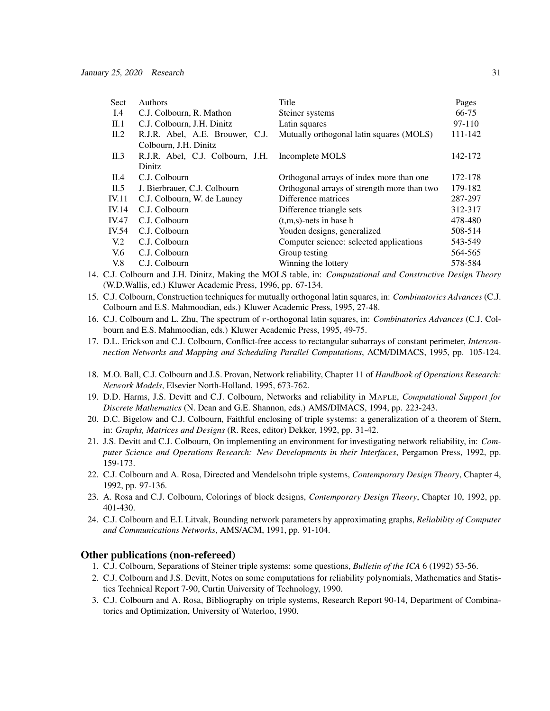| <b>Authors</b>                  | Title                                       | Pages                                            |
|---------------------------------|---------------------------------------------|--------------------------------------------------|
| C.J. Colbourn, R. Mathon        | Steiner systems                             | 66-75                                            |
| C.J. Colbourn, J.H. Dinitz      | Latin squares                               | 97-110                                           |
| R.J.R. Abel, A.E. Brouwer, C.J. | Mutually orthogonal latin squares (MOLS)    | 111-142                                          |
| Colbourn, J.H. Dinitz           |                                             |                                                  |
|                                 |                                             | 142-172                                          |
| <b>Dinitz</b>                   |                                             |                                                  |
| C.J. Colbourn                   | Orthogonal arrays of index more than one    | 172-178                                          |
| J. Bierbrauer, C.J. Colbourn    | Orthogonal arrays of strength more than two | 179-182                                          |
| C.J. Colbourn, W. de Launey     | Difference matrices                         | 287-297                                          |
| C.J. Colbourn                   | Difference triangle sets                    | 312-317                                          |
| C.J. Colbourn                   | $(t,m,s)$ -nets in base b                   | 478-480                                          |
| C.J. Colbourn                   | Youden designs, generalized                 | 508-514                                          |
| C.J. Colbourn                   | Computer science: selected applications     | 543-549                                          |
| C.J. Colbourn                   | Group testing                               | 564-565                                          |
| C.J. Colbourn                   | Winning the lottery                         | 578-584                                          |
|                                 |                                             | R.J.R. Abel, C.J. Colbourn, J.H. Incomplete MOLS |

- 14. C.J. Colbourn and J.H. Dinitz, Making the MOLS table, in: *Computational and Constructive Design Theory* (W.D.Wallis, ed.) Kluwer Academic Press, 1996, pp. 67-134.
- 15. C.J. Colbourn, Construction techniques for mutually orthogonal latin squares, in: *Combinatorics Advances* (C.J. Colbourn and E.S. Mahmoodian, eds.) Kluwer Academic Press, 1995, 27-48.
- 16. C.J. Colbourn and L. Zhu, The spectrum of r-orthogonal latin squares, in: *Combinatorics Advances* (C.J. Colbourn and E.S. Mahmoodian, eds.) Kluwer Academic Press, 1995, 49-75.
- 17. D.L. Erickson and C.J. Colbourn, Conflict-free access to rectangular subarrays of constant perimeter, *Interconnection Networks and Mapping and Scheduling Parallel Computations*, ACM/DIMACS, 1995, pp. 105-124.
- 18. M.O. Ball, C.J. Colbourn and J.S. Provan, Network reliability, Chapter 11 of *Handbook of Operations Research: Network Models*, Elsevier North-Holland, 1995, 673-762.
- 19. D.D. Harms, J.S. Devitt and C.J. Colbourn, Networks and reliability in MAPLE, *Computational Support for Discrete Mathematics* (N. Dean and G.E. Shannon, eds.) AMS/DIMACS, 1994, pp. 223-243.
- 20. D.C. Bigelow and C.J. Colbourn, Faithful enclosing of triple systems: a generalization of a theorem of Stern, in: *Graphs, Matrices and Designs* (R. Rees, editor) Dekker, 1992, pp. 31-42.
- 21. J.S. Devitt and C.J. Colbourn, On implementing an environment for investigating network reliability, in: *Computer Science and Operations Research: New Developments in their Interfaces*, Pergamon Press, 1992, pp. 159-173.
- 22. C.J. Colbourn and A. Rosa, Directed and Mendelsohn triple systems, *Contemporary Design Theory*, Chapter 4, 1992, pp. 97-136.
- 23. A. Rosa and C.J. Colbourn, Colorings of block designs, *Contemporary Design Theory*, Chapter 10, 1992, pp. 401-430.
- 24. C.J. Colbourn and E.I. Litvak, Bounding network parameters by approximating graphs, *Reliability of Computer and Communications Networks*, AMS/ACM, 1991, pp. 91-104.

#### Other publications (non-refereed)

- 1. C.J. Colbourn, Separations of Steiner triple systems: some questions, *Bulletin of the ICA* 6 (1992) 53-56.
- 2. C.J. Colbourn and J.S. Devitt, Notes on some computations for reliability polynomials, Mathematics and Statistics Technical Report 7-90, Curtin University of Technology, 1990.
- 3. C.J. Colbourn and A. Rosa, Bibliography on triple systems, Research Report 90-14, Department of Combinatorics and Optimization, University of Waterloo, 1990.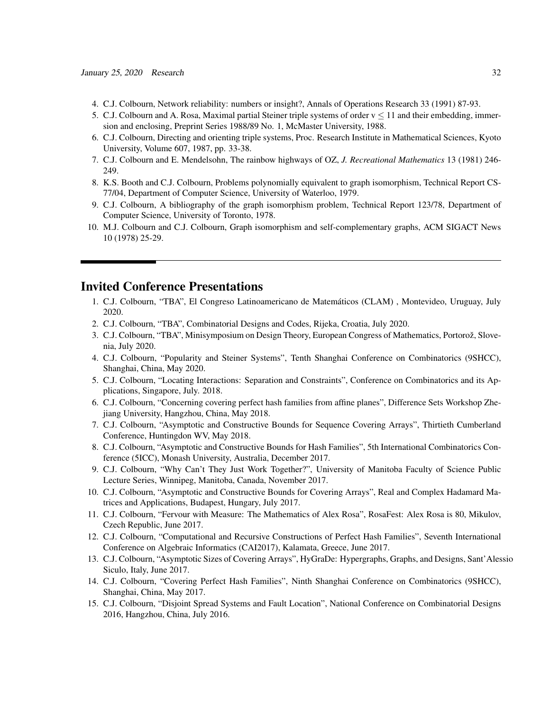- 4. C.J. Colbourn, Network reliability: numbers or insight?, Annals of Operations Research 33 (1991) 87-93.
- 5. C.J. Colbourn and A. Rosa, Maximal partial Steiner triple systems of order  $v \le 11$  and their embedding, immersion and enclosing, Preprint Series 1988/89 No. 1, McMaster University, 1988.
- 6. C.J. Colbourn, Directing and orienting triple systems, Proc. Research Institute in Mathematical Sciences, Kyoto University, Volume 607, 1987, pp. 33-38.
- 7. C.J. Colbourn and E. Mendelsohn, The rainbow highways of OZ, *J. Recreational Mathematics* 13 (1981) 246- 249.
- 8. K.S. Booth and C.J. Colbourn, Problems polynomially equivalent to graph isomorphism, Technical Report CS-77/04, Department of Computer Science, University of Waterloo, 1979.
- 9. C.J. Colbourn, A bibliography of the graph isomorphism problem, Technical Report 123/78, Department of Computer Science, University of Toronto, 1978.
- 10. M.J. Colbourn and C.J. Colbourn, Graph isomorphism and self-complementary graphs, ACM SIGACT News 10 (1978) 25-29.

### Invited Conference Presentations

- 1. C.J. Colbourn, "TBA", El Congreso Latinoamericano de Matematicos (CLAM) , Montevideo, Uruguay, July ´ 2020.
- 2. C.J. Colbourn, "TBA", Combinatorial Designs and Codes, Rijeka, Croatia, July 2020.
- 3. C.J. Colbourn, "TBA", Minisymposium on Design Theory, European Congress of Mathematics, Portorož, Slovenia, July 2020.
- 4. C.J. Colbourn, "Popularity and Steiner Systems", Tenth Shanghai Conference on Combinatorics (9SHCC), Shanghai, China, May 2020.
- 5. C.J. Colbourn, "Locating Interactions: Separation and Constraints", Conference on Combinatorics and its Applications, Singapore, July. 2018.
- 6. C.J. Colbourn, "Concerning covering perfect hash families from affine planes", Difference Sets Workshop Zhejiang University, Hangzhou, China, May 2018.
- 7. C.J. Colbourn, "Asymptotic and Constructive Bounds for Sequence Covering Arrays", Thirtieth Cumberland Conference, Huntingdon WV, May 2018.
- 8. C.J. Colbourn, "Asymptotic and Constructive Bounds for Hash Families", 5th International Combinatorics Conference (5ICC), Monash University, Australia, December 2017.
- 9. C.J. Colbourn, "Why Can't They Just Work Together?", University of Manitoba Faculty of Science Public Lecture Series, Winnipeg, Manitoba, Canada, November 2017.
- 10. C.J. Colbourn, "Asymptotic and Constructive Bounds for Covering Arrays", Real and Complex Hadamard Matrices and Applications, Budapest, Hungary, July 2017.
- 11. C.J. Colbourn, "Fervour with Measure: The Mathematics of Alex Rosa", RosaFest: Alex Rosa is 80, Mikulov, Czech Republic, June 2017.
- 12. C.J. Colbourn, "Computational and Recursive Constructions of Perfect Hash Families", Seventh International Conference on Algebraic Informatics (CAI2017), Kalamata, Greece, June 2017.
- 13. C.J. Colbourn, "Asymptotic Sizes of Covering Arrays", HyGraDe: Hypergraphs, Graphs, and Designs, Sant'Alessio Siculo, Italy, June 2017.
- 14. C.J. Colbourn, "Covering Perfect Hash Families", Ninth Shanghai Conference on Combinatorics (9SHCC), Shanghai, China, May 2017.
- 15. C.J. Colbourn, "Disjoint Spread Systems and Fault Location", National Conference on Combinatorial Designs 2016, Hangzhou, China, July 2016.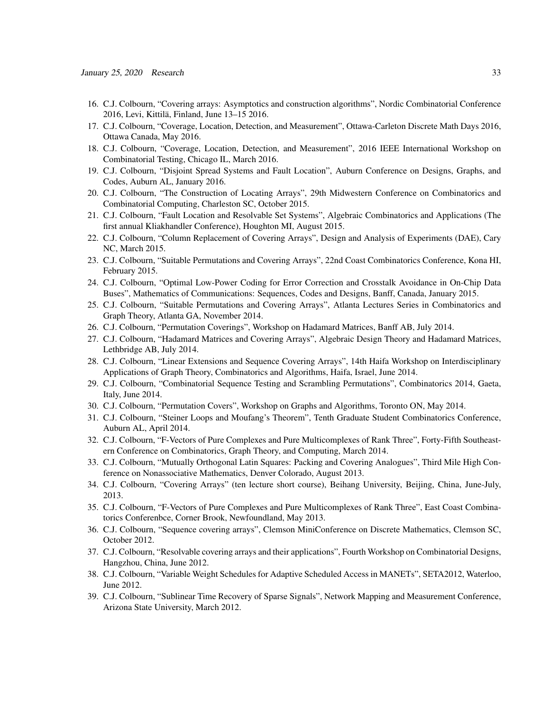- 16. C.J. Colbourn, "Covering arrays: Asymptotics and construction algorithms", Nordic Combinatorial Conference 2016, Levi, Kittila, Finland, June 13–15 2016. ¨
- 17. C.J. Colbourn, "Coverage, Location, Detection, and Measurement", Ottawa-Carleton Discrete Math Days 2016, Ottawa Canada, May 2016.
- 18. C.J. Colbourn, "Coverage, Location, Detection, and Measurement", 2016 IEEE International Workshop on Combinatorial Testing, Chicago IL, March 2016.
- 19. C.J. Colbourn, "Disjoint Spread Systems and Fault Location", Auburn Conference on Designs, Graphs, and Codes, Auburn AL, January 2016.
- 20. C.J. Colbourn, "The Construction of Locating Arrays", 29th Midwestern Conference on Combinatorics and Combinatorial Computing, Charleston SC, October 2015.
- 21. C.J. Colbourn, "Fault Location and Resolvable Set Systems", Algebraic Combinatorics and Applications (The first annual Kliakhandler Conference), Houghton MI, August 2015.
- 22. C.J. Colbourn, "Column Replacement of Covering Arrays", Design and Analysis of Experiments (DAE), Cary NC, March 2015.
- 23. C.J. Colbourn, "Suitable Permutations and Covering Arrays", 22nd Coast Combinatorics Conference, Kona HI, February 2015.
- 24. C.J. Colbourn, "Optimal Low-Power Coding for Error Correction and Crosstalk Avoidance in On-Chip Data Buses", Mathematics of Communications: Sequences, Codes and Designs, Banff, Canada, January 2015.
- 25. C.J. Colbourn, "Suitable Permutations and Covering Arrays", Atlanta Lectures Series in Combinatorics and Graph Theory, Atlanta GA, November 2014.
- 26. C.J. Colbourn, "Permutation Coverings", Workshop on Hadamard Matrices, Banff AB, July 2014.
- 27. C.J. Colbourn, "Hadamard Matrices and Covering Arrays", Algebraic Design Theory and Hadamard Matrices, Lethbridge AB, July 2014.
- 28. C.J. Colbourn, "Linear Extensions and Sequence Covering Arrays", 14th Haifa Workshop on Interdisciplinary Applications of Graph Theory, Combinatorics and Algorithms, Haifa, Israel, June 2014.
- 29. C.J. Colbourn, "Combinatorial Sequence Testing and Scrambling Permutations", Combinatorics 2014, Gaeta, Italy, June 2014.
- 30. C.J. Colbourn, "Permutation Covers", Workshop on Graphs and Algorithms, Toronto ON, May 2014.
- 31. C.J. Colbourn, "Steiner Loops and Moufang's Theorem", Tenth Graduate Student Combinatorics Conference, Auburn AL, April 2014.
- 32. C.J. Colbourn, "F-Vectors of Pure Complexes and Pure Multicomplexes of Rank Three", Forty-Fifth Southeastern Conference on Combinatorics, Graph Theory, and Computing, March 2014.
- 33. C.J. Colbourn, "Mutually Orthogonal Latin Squares: Packing and Covering Analogues", Third Mile High Conference on Nonassociative Mathematics, Denver Colorado, August 2013.
- 34. C.J. Colbourn, "Covering Arrays" (ten lecture short course), Beihang University, Beijing, China, June-July, 2013.
- 35. C.J. Colbourn, "F-Vectors of Pure Complexes and Pure Multicomplexes of Rank Three", East Coast Combinatorics Conferenbce, Corner Brook, Newfoundland, May 2013.
- 36. C.J. Colbourn, "Sequence covering arrays", Clemson MiniConference on Discrete Mathematics, Clemson SC, October 2012.
- 37. C.J. Colbourn, "Resolvable covering arrays and their applications", Fourth Workshop on Combinatorial Designs, Hangzhou, China, June 2012.
- 38. C.J. Colbourn, "Variable Weight Schedules for Adaptive Scheduled Access in MANETs", SETA2012, Waterloo, June 2012.
- 39. C.J. Colbourn, "Sublinear Time Recovery of Sparse Signals", Network Mapping and Measurement Conference, Arizona State University, March 2012.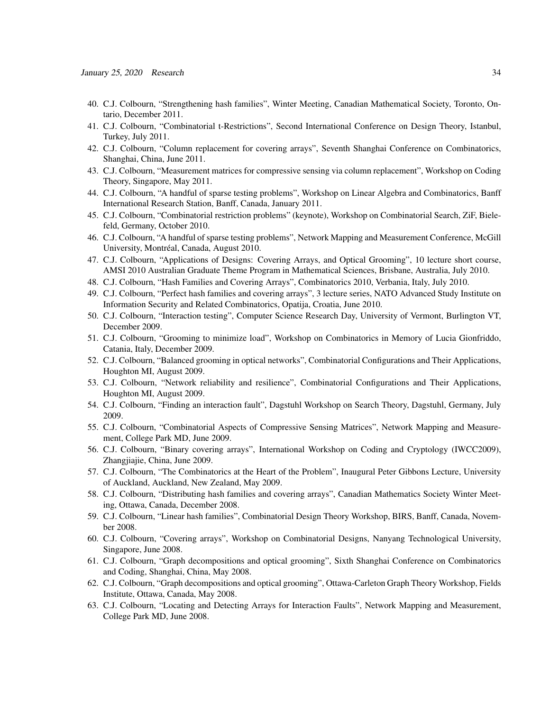- 40. C.J. Colbourn, "Strengthening hash families", Winter Meeting, Canadian Mathematical Society, Toronto, Ontario, December 2011.
- 41. C.J. Colbourn, "Combinatorial t-Restrictions", Second International Conference on Design Theory, Istanbul, Turkey, July 2011.
- 42. C.J. Colbourn, "Column replacement for covering arrays", Seventh Shanghai Conference on Combinatorics, Shanghai, China, June 2011.
- 43. C.J. Colbourn, "Measurement matrices for compressive sensing via column replacement", Workshop on Coding Theory, Singapore, May 2011.
- 44. C.J. Colbourn, "A handful of sparse testing problems", Workshop on Linear Algebra and Combinatorics, Banff International Research Station, Banff, Canada, January 2011.
- 45. C.J. Colbourn, "Combinatorial restriction problems" (keynote), Workshop on Combinatorial Search, ZiF, Bielefeld, Germany, October 2010.
- 46. C.J. Colbourn, "A handful of sparse testing problems", Network Mapping and Measurement Conference, McGill University, Montréal, Canada, August 2010.
- 47. C.J. Colbourn, "Applications of Designs: Covering Arrays, and Optical Grooming", 10 lecture short course, AMSI 2010 Australian Graduate Theme Program in Mathematical Sciences, Brisbane, Australia, July 2010.
- 48. C.J. Colbourn, "Hash Families and Covering Arrays", Combinatorics 2010, Verbania, Italy, July 2010.
- 49. C.J. Colbourn, "Perfect hash families and covering arrays", 3 lecture series, NATO Advanced Study Institute on Information Security and Related Combinatorics, Opatija, Croatia, June 2010.
- 50. C.J. Colbourn, "Interaction testing", Computer Science Research Day, University of Vermont, Burlington VT, December 2009.
- 51. C.J. Colbourn, "Grooming to minimize load", Workshop on Combinatorics in Memory of Lucia Gionfriddo, Catania, Italy, December 2009.
- 52. C.J. Colbourn, "Balanced grooming in optical networks", Combinatorial Configurations and Their Applications, Houghton MI, August 2009.
- 53. C.J. Colbourn, "Network reliability and resilience", Combinatorial Configurations and Their Applications, Houghton MI, August 2009.
- 54. C.J. Colbourn, "Finding an interaction fault", Dagstuhl Workshop on Search Theory, Dagstuhl, Germany, July 2009.
- 55. C.J. Colbourn, "Combinatorial Aspects of Compressive Sensing Matrices", Network Mapping and Measurement, College Park MD, June 2009.
- 56. C.J. Colbourn, "Binary covering arrays", International Workshop on Coding and Cryptology (IWCC2009), Zhangjiajie, China, June 2009.
- 57. C.J. Colbourn, "The Combinatorics at the Heart of the Problem", Inaugural Peter Gibbons Lecture, University of Auckland, Auckland, New Zealand, May 2009.
- 58. C.J. Colbourn, "Distributing hash families and covering arrays", Canadian Mathematics Society Winter Meeting, Ottawa, Canada, December 2008.
- 59. C.J. Colbourn, "Linear hash families", Combinatorial Design Theory Workshop, BIRS, Banff, Canada, November 2008.
- 60. C.J. Colbourn, "Covering arrays", Workshop on Combinatorial Designs, Nanyang Technological University, Singapore, June 2008.
- 61. C.J. Colbourn, "Graph decompositions and optical grooming", Sixth Shanghai Conference on Combinatorics and Coding, Shanghai, China, May 2008.
- 62. C.J. Colbourn, "Graph decompositions and optical grooming", Ottawa-Carleton Graph Theory Workshop, Fields Institute, Ottawa, Canada, May 2008.
- 63. C.J. Colbourn, "Locating and Detecting Arrays for Interaction Faults", Network Mapping and Measurement, College Park MD, June 2008.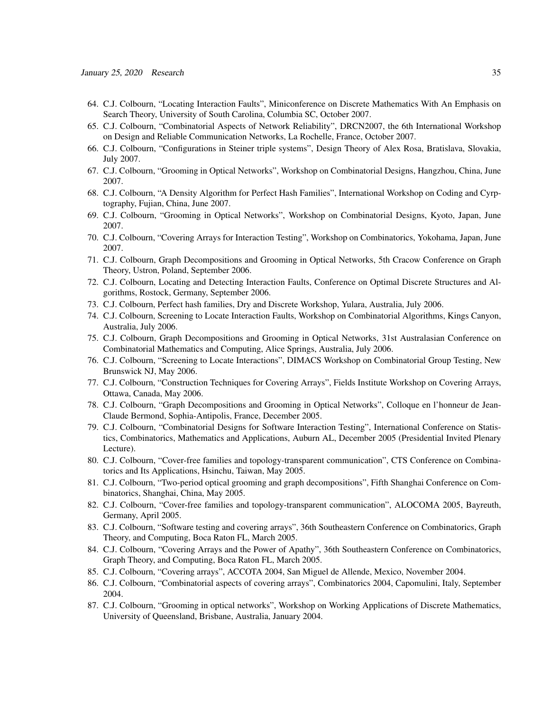- 64. C.J. Colbourn, "Locating Interaction Faults", Miniconference on Discrete Mathematics With An Emphasis on Search Theory, University of South Carolina, Columbia SC, October 2007.
- 65. C.J. Colbourn, "Combinatorial Aspects of Network Reliability", DRCN2007, the 6th International Workshop on Design and Reliable Communication Networks, La Rochelle, France, October 2007.
- 66. C.J. Colbourn, "Configurations in Steiner triple systems", Design Theory of Alex Rosa, Bratislava, Slovakia, July 2007.
- 67. C.J. Colbourn, "Grooming in Optical Networks", Workshop on Combinatorial Designs, Hangzhou, China, June 2007.
- 68. C.J. Colbourn, "A Density Algorithm for Perfect Hash Families", International Workshop on Coding and Cyrptography, Fujian, China, June 2007.
- 69. C.J. Colbourn, "Grooming in Optical Networks", Workshop on Combinatorial Designs, Kyoto, Japan, June 2007.
- 70. C.J. Colbourn, "Covering Arrays for Interaction Testing", Workshop on Combinatorics, Yokohama, Japan, June 2007.
- 71. C.J. Colbourn, Graph Decompositions and Grooming in Optical Networks, 5th Cracow Conference on Graph Theory, Ustron, Poland, September 2006.
- 72. C.J. Colbourn, Locating and Detecting Interaction Faults, Conference on Optimal Discrete Structures and Algorithms, Rostock, Germany, September 2006.
- 73. C.J. Colbourn, Perfect hash families, Dry and Discrete Workshop, Yulara, Australia, July 2006.
- 74. C.J. Colbourn, Screening to Locate Interaction Faults, Workshop on Combinatorial Algorithms, Kings Canyon, Australia, July 2006.
- 75. C.J. Colbourn, Graph Decompositions and Grooming in Optical Networks, 31st Australasian Conference on Combinatorial Mathematics and Computing, Alice Springs, Australia, July 2006.
- 76. C.J. Colbourn, "Screening to Locate Interactions", DIMACS Workshop on Combinatorial Group Testing, New Brunswick NJ, May 2006.
- 77. C.J. Colbourn, "Construction Techniques for Covering Arrays", Fields Institute Workshop on Covering Arrays, Ottawa, Canada, May 2006.
- 78. C.J. Colbourn, "Graph Decompositions and Grooming in Optical Networks", Colloque en l'honneur de Jean-Claude Bermond, Sophia-Antipolis, France, December 2005.
- 79. C.J. Colbourn, "Combinatorial Designs for Software Interaction Testing", International Conference on Statistics, Combinatorics, Mathematics and Applications, Auburn AL, December 2005 (Presidential Invited Plenary Lecture).
- 80. C.J. Colbourn, "Cover-free families and topology-transparent communication", CTS Conference on Combinatorics and Its Applications, Hsinchu, Taiwan, May 2005.
- 81. C.J. Colbourn, "Two-period optical grooming and graph decompositions", Fifth Shanghai Conference on Combinatorics, Shanghai, China, May 2005.
- 82. C.J. Colbourn, "Cover-free families and topology-transparent communication", ALOCOMA 2005, Bayreuth, Germany, April 2005.
- 83. C.J. Colbourn, "Software testing and covering arrays", 36th Southeastern Conference on Combinatorics, Graph Theory, and Computing, Boca Raton FL, March 2005.
- 84. C.J. Colbourn, "Covering Arrays and the Power of Apathy", 36th Southeastern Conference on Combinatorics, Graph Theory, and Computing, Boca Raton FL, March 2005.
- 85. C.J. Colbourn, "Covering arrays", ACCOTA 2004, San Miguel de Allende, Mexico, November 2004.
- 86. C.J. Colbourn, "Combinatorial aspects of covering arrays", Combinatorics 2004, Capomulini, Italy, September 2004.
- 87. C.J. Colbourn, "Grooming in optical networks", Workshop on Working Applications of Discrete Mathematics, University of Queensland, Brisbane, Australia, January 2004.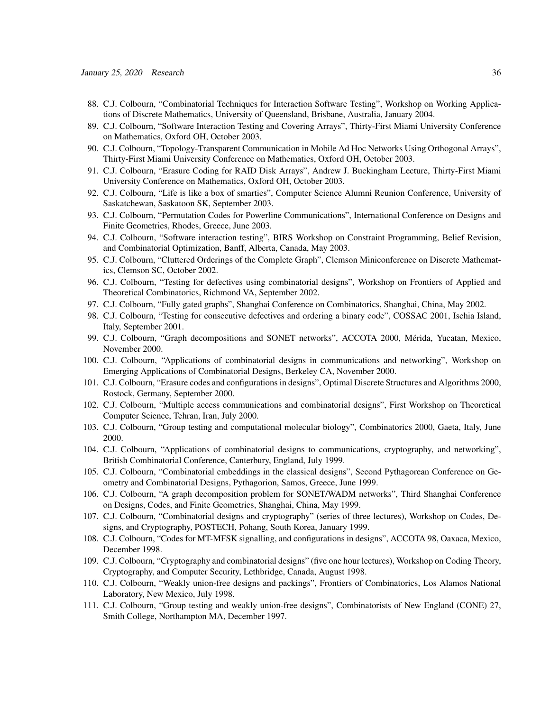- 88. C.J. Colbourn, "Combinatorial Techniques for Interaction Software Testing", Workshop on Working Applications of Discrete Mathematics, University of Queensland, Brisbane, Australia, January 2004.
- 89. C.J. Colbourn, "Software Interaction Testing and Covering Arrays", Thirty-First Miami University Conference on Mathematics, Oxford OH, October 2003.
- 90. C.J. Colbourn, "Topology-Transparent Communication in Mobile Ad Hoc Networks Using Orthogonal Arrays", Thirty-First Miami University Conference on Mathematics, Oxford OH, October 2003.
- 91. C.J. Colbourn, "Erasure Coding for RAID Disk Arrays", Andrew J. Buckingham Lecture, Thirty-First Miami University Conference on Mathematics, Oxford OH, October 2003.
- 92. C.J. Colbourn, "Life is like a box of smarties", Computer Science Alumni Reunion Conference, University of Saskatchewan, Saskatoon SK, September 2003.
- 93. C.J. Colbourn, "Permutation Codes for Powerline Communications", International Conference on Designs and Finite Geometries, Rhodes, Greece, June 2003.
- 94. C.J. Colbourn, "Software interaction testing", BIRS Workshop on Constraint Programming, Belief Revision, and Combinatorial Optimization, Banff, Alberta, Canada, May 2003.
- 95. C.J. Colbourn, "Cluttered Orderings of the Complete Graph", Clemson Miniconference on Discrete Mathematics, Clemson SC, October 2002.
- 96. C.J. Colbourn, "Testing for defectives using combinatorial designs", Workshop on Frontiers of Applied and Theoretical Combinatorics, Richmond VA, September 2002.
- 97. C.J. Colbourn, "Fully gated graphs", Shanghai Conference on Combinatorics, Shanghai, China, May 2002.
- 98. C.J. Colbourn, "Testing for consecutive defectives and ordering a binary code", COSSAC 2001, Ischia Island, Italy, September 2001.
- 99. C.J. Colbourn, "Graph decompositions and SONET networks", ACCOTA 2000, Merida, Yucatan, Mexico, ´ November 2000.
- 100. C.J. Colbourn, "Applications of combinatorial designs in communications and networking", Workshop on Emerging Applications of Combinatorial Designs, Berkeley CA, November 2000.
- 101. C.J. Colbourn, "Erasure codes and configurations in designs", Optimal Discrete Structures and Algorithms 2000, Rostock, Germany, September 2000.
- 102. C.J. Colbourn, "Multiple access communications and combinatorial designs", First Workshop on Theoretical Computer Science, Tehran, Iran, July 2000.
- 103. C.J. Colbourn, "Group testing and computational molecular biology", Combinatorics 2000, Gaeta, Italy, June 2000.
- 104. C.J. Colbourn, "Applications of combinatorial designs to communications, cryptography, and networking", British Combinatorial Conference, Canterbury, England, July 1999.
- 105. C.J. Colbourn, "Combinatorial embeddings in the classical designs", Second Pythagorean Conference on Geometry and Combinatorial Designs, Pythagorion, Samos, Greece, June 1999.
- 106. C.J. Colbourn, "A graph decomposition problem for SONET/WADM networks", Third Shanghai Conference on Designs, Codes, and Finite Geometries, Shanghai, China, May 1999.
- 107. C.J. Colbourn, "Combinatorial designs and cryptography" (series of three lectures), Workshop on Codes, Designs, and Cryptography, POSTECH, Pohang, South Korea, January 1999.
- 108. C.J. Colbourn, "Codes for MT-MFSK signalling, and configurations in designs", ACCOTA 98, Oaxaca, Mexico, December 1998.
- 109. C.J. Colbourn, "Cryptography and combinatorial designs" (five one hour lectures), Workshop on Coding Theory, Cryptography, and Computer Security, Lethbridge, Canada, August 1998.
- 110. C.J. Colbourn, "Weakly union-free designs and packings", Frontiers of Combinatorics, Los Alamos National Laboratory, New Mexico, July 1998.
- 111. C.J. Colbourn, "Group testing and weakly union-free designs", Combinatorists of New England (CONE) 27, Smith College, Northampton MA, December 1997.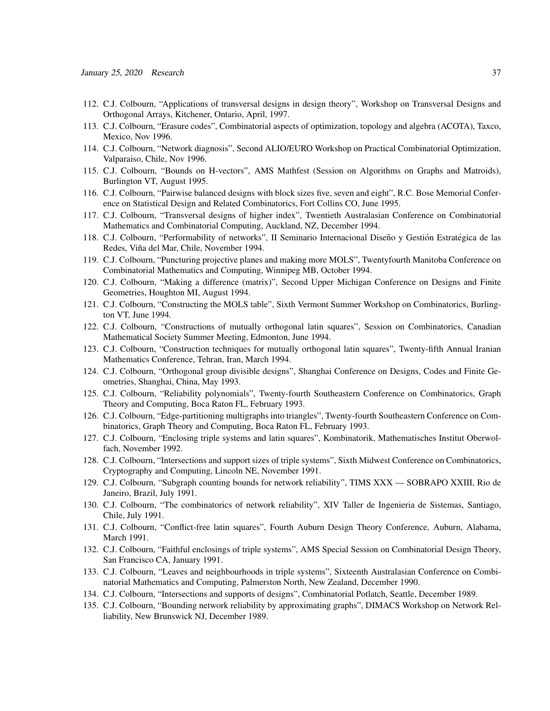- 112. C.J. Colbourn, "Applications of transversal designs in design theory", Workshop on Transversal Designs and Orthogonal Arrays, Kitchener, Ontario, April, 1997.
- 113. C.J. Colbourn, "Erasure codes", Combinatorial aspects of optimization, topology and algebra (ACOTA), Taxco, Mexico, Nov 1996.
- 114. C.J. Colbourn, "Network diagnosis", Second ALIO/EURO Workshop on Practical Combinatorial Optimization, Valparaiso, Chile, Nov 1996.
- 115. C.J. Colbourn, "Bounds on H-vectors", AMS Mathfest (Session on Algorithms on Graphs and Matroids), Burlington VT, August 1995.
- 116. C.J. Colbourn, "Pairwise balanced designs with block sizes five, seven and eight", R.C. Bose Memorial Conference on Statistical Design and Related Combinatorics, Fort Collins CO, June 1995.
- 117. C.J. Colbourn, "Transversal designs of higher index", Twentieth Australasian Conference on Combinatorial Mathematics and Combinatorial Computing, Auckland, NZ, December 1994.
- 118. C.J. Colbourn, "Performability of networks", II Seminario Internacional Diseño y Gestión Estratégica de las Redes, Viña del Mar, Chile, November 1994.
- 119. C.J. Colbourn, "Puncturing projective planes and making more MOLS", Twentyfourth Manitoba Conference on Combinatorial Mathematics and Computing, Winnipeg MB, October 1994.
- 120. C.J. Colbourn, "Making a difference (matrix)", Second Upper Michigan Conference on Designs and Finite Geometries, Houghton MI, August 1994.
- 121. C.J. Colbourn, "Constructing the MOLS table", Sixth Vermont Summer Workshop on Combinatorics, Burlington VT, June 1994.
- 122. C.J. Colbourn, "Constructions of mutually orthogonal latin squares", Session on Combinatorics, Canadian Mathematical Society Summer Meeting, Edmonton, June 1994.
- 123. C.J. Colbourn, "Construction techniques for mutually orthogonal latin squares", Twenty-fifth Annual Iranian Mathematics Conference, Tehran, Iran, March 1994.
- 124. C.J. Colbourn, "Orthogonal group divisible designs", Shanghai Conference on Designs, Codes and Finite Geometries, Shanghai, China, May 1993.
- 125. C.J. Colbourn, "Reliability polynomials", Twenty-fourth Southeastern Conference on Combinatorics, Graph Theory and Computing, Boca Raton FL, February 1993.
- 126. C.J. Colbourn, "Edge-partitioning multigraphs into triangles", Twenty-fourth Southeastern Conference on Combinatorics, Graph Theory and Computing, Boca Raton FL, February 1993.
- 127. C.J. Colbourn, "Enclosing triple systems and latin squares", Kombinatorik, Mathematisches Institut Oberwolfach, November 1992.
- 128. C.J. Colbourn, "Intersections and support sizes of triple systems", Sixth Midwest Conference on Combinatorics, Cryptography and Computing, Lincoln NE, November 1991.
- 129. C.J. Colbourn, "Subgraph counting bounds for network reliability", TIMS XXX SOBRAPO XXIII, Rio de Janeiro, Brazil, July 1991.
- 130. C.J. Colbourn, "The combinatorics of network reliability", XIV Taller de Ingenieria de Sistemas, Santiago, Chile, July 1991.
- 131. C.J. Colbourn, "Conflict-free latin squares", Fourth Auburn Design Theory Conference, Auburn, Alabama, March 1991.
- 132. C.J. Colbourn, "Faithful enclosings of triple systems", AMS Special Session on Combinatorial Design Theory, San Francisco CA, January 1991.
- 133. C.J. Colbourn, "Leaves and neighbourhoods in triple systems", Sixteenth Australasian Conference on Combinatorial Mathematics and Computing, Palmerston North, New Zealand, December 1990.
- 134. C.J. Colbourn, "Intersections and supports of designs", Combinatorial Potlatch, Seattle, December 1989.
- 135. C.J. Colbourn, "Bounding network reliability by approximating graphs", DIMACS Workshop on Network Relliability, New Brunswick NJ, December 1989.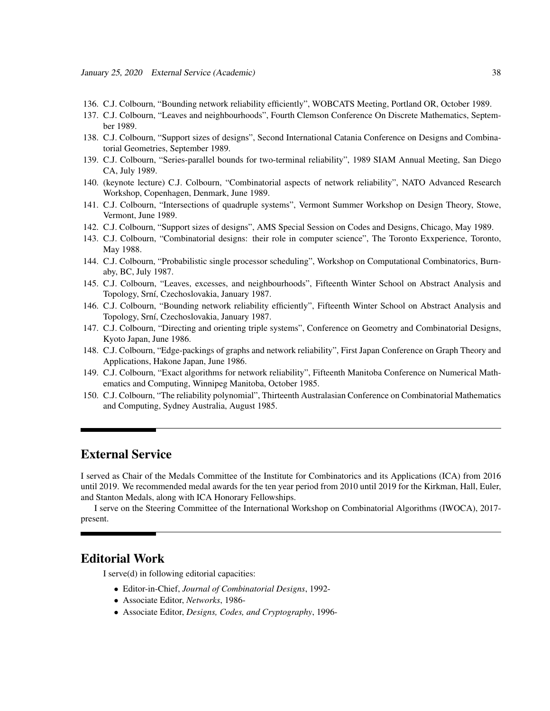- 136. C.J. Colbourn, "Bounding network reliability efficiently", WOBCATS Meeting, Portland OR, October 1989.
- 137. C.J. Colbourn, "Leaves and neighbourhoods", Fourth Clemson Conference On Discrete Mathematics, September 1989.
- 138. C.J. Colbourn, "Support sizes of designs", Second International Catania Conference on Designs and Combinatorial Geometries, September 1989.
- 139. C.J. Colbourn, "Series-parallel bounds for two-terminal reliability", 1989 SIAM Annual Meeting, San Diego CA, July 1989.
- 140. (keynote lecture) C.J. Colbourn, "Combinatorial aspects of network reliability", NATO Advanced Research Workshop, Copenhagen, Denmark, June 1989.
- 141. C.J. Colbourn, "Intersections of quadruple systems", Vermont Summer Workshop on Design Theory, Stowe, Vermont, June 1989.
- 142. C.J. Colbourn, "Support sizes of designs", AMS Special Session on Codes and Designs, Chicago, May 1989.
- 143. C.J. Colbourn, "Combinatorial designs: their role in computer science", The Toronto Exxperience, Toronto, May 1988.
- 144. C.J. Colbourn, "Probabilistic single processor scheduling", Workshop on Computational Combinatorics, Burnaby, BC, July 1987.
- 145. C.J. Colbourn, "Leaves, excesses, and neighbourhoods", Fifteenth Winter School on Abstract Analysis and Topology, Srní, Czechoslovakia, January 1987.
- 146. C.J. Colbourn, "Bounding network reliability efficiently", Fifteenth Winter School on Abstract Analysis and Topology, Srní, Czechoslovakia, January 1987.
- 147. C.J. Colbourn, "Directing and orienting triple systems", Conference on Geometry and Combinatorial Designs, Kyoto Japan, June 1986.
- 148. C.J. Colbourn, "Edge-packings of graphs and network reliability", First Japan Conference on Graph Theory and Applications, Hakone Japan, June 1986.
- 149. C.J. Colbourn, "Exact algorithms for network reliability", Fifteenth Manitoba Conference on Numerical Mathematics and Computing, Winnipeg Manitoba, October 1985.
- 150. C.J. Colbourn, "The reliability polynomial", Thirteenth Australasian Conference on Combinatorial Mathematics and Computing, Sydney Australia, August 1985.

## External Service

I served as Chair of the Medals Committee of the Institute for Combinatorics and its Applications (ICA) from 2016 until 2019. We recommended medal awards for the ten year period from 2010 until 2019 for the Kirkman, Hall, Euler, and Stanton Medals, along with ICA Honorary Fellowships.

I serve on the Steering Committee of the International Workshop on Combinatorial Algorithms (IWOCA), 2017 present.

## Editorial Work

I serve(d) in following editorial capacities:

- Editor-in-Chief, *Journal of Combinatorial Designs*, 1992-
- Associate Editor, *Networks*, 1986-
- Associate Editor, *Designs, Codes, and Cryptography*, 1996-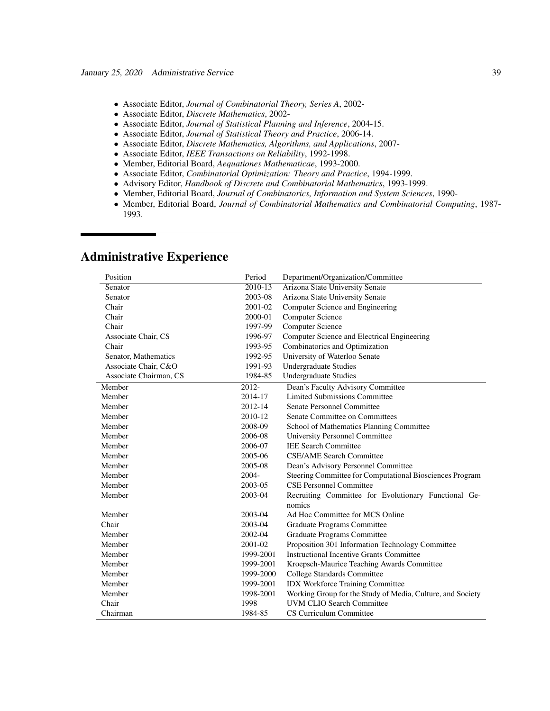- Associate Editor, *Journal of Combinatorial Theory, Series A*, 2002-
- Associate Editor, *Discrete Mathematics*, 2002-
- Associate Editor, *Journal of Statistical Planning and Inference*, 2004-15.
- Associate Editor, *Journal of Statistical Theory and Practice*, 2006-14.
- Associate Editor, *Discrete Mathematics, Algorithms, and Applications*, 2007-
- Associate Editor, *IEEE Transactions on Reliability*, 1992-1998.
- Member, Editorial Board, *Aequationes Mathematicae*, 1993-2000.
- Associate Editor, *Combinatorial Optimization: Theory and Practice*, 1994-1999.
- Advisory Editor, *Handbook of Discrete and Combinatorial Mathematics*, 1993-1999.
- Member, Editorial Board, *Journal of Combinatorics, Information and System Sciences*, 1990-
- Member, Editorial Board, *Journal of Combinatorial Mathematics and Combinatorial Computing*, 1987- 1993.

| Position               | Period    | Department/Organization/Committee                          |
|------------------------|-----------|------------------------------------------------------------|
| Senator                | 2010-13   | Arizona State University Senate                            |
| Senator                | 2003-08   | Arizona State University Senate                            |
| Chair                  | 2001-02   | Computer Science and Engineering                           |
| Chair                  | 2000-01   | <b>Computer Science</b>                                    |
| Chair                  | 1997-99   | <b>Computer Science</b>                                    |
| Associate Chair, CS    | 1996-97   | Computer Science and Electrical Engineering                |
| Chair                  | 1993-95   | Combinatorics and Optimization                             |
| Senator, Mathematics   | 1992-95   | University of Waterloo Senate                              |
| Associate Chair, C&O   | 1991-93   | <b>Undergraduate Studies</b>                               |
| Associate Chairman, CS | 1984-85   | <b>Undergraduate Studies</b>                               |
| Member                 | 2012-     | Dean's Faculty Advisory Committee                          |
| Member                 | 2014-17   | <b>Limited Submissions Committee</b>                       |
| Member                 | 2012-14   | Senate Personnel Committee                                 |
| Member                 | 2010-12   | Senate Committee on Committees                             |
| Member                 | 2008-09   | School of Mathematics Planning Committee                   |
| Member                 | 2006-08   | <b>University Personnel Committee</b>                      |
| Member                 | 2006-07   | <b>IEE Search Committee</b>                                |
| Member                 | 2005-06   | <b>CSE/AME Search Committee</b>                            |
| Member                 | 2005-08   | Dean's Advisory Personnel Committee                        |
| Member                 | $2004 -$  | Steering Committee for Computational Biosciences Program   |
| Member                 | 2003-05   | <b>CSE Personnel Committee</b>                             |
| Member                 | 2003-04   | Recruiting Committee for Evolutionary Functional Ge-       |
|                        |           | nomics                                                     |
| Member                 | 2003-04   | Ad Hoc Committee for MCS Online                            |
| Chair                  | 2003-04   | Graduate Programs Committee                                |
| Member                 | 2002-04   | Graduate Programs Committee                                |
| Member                 | 2001-02   | Proposition 301 Information Technology Committee           |
| Member                 | 1999-2001 | <b>Instructional Incentive Grants Committee</b>            |
| Member                 | 1999-2001 | Kroepsch-Maurice Teaching Awards Committee                 |
| Member                 | 1999-2000 | College Standards Committee                                |
| Member                 | 1999-2001 | <b>IDX Workforce Training Committee</b>                    |
| Member                 | 1998-2001 | Working Group for the Study of Media, Culture, and Society |
| Chair                  | 1998      | <b>UVM CLIO Search Committee</b>                           |
| Chairman               | 1984-85   | CS Curriculum Committee                                    |

# Administrative Experience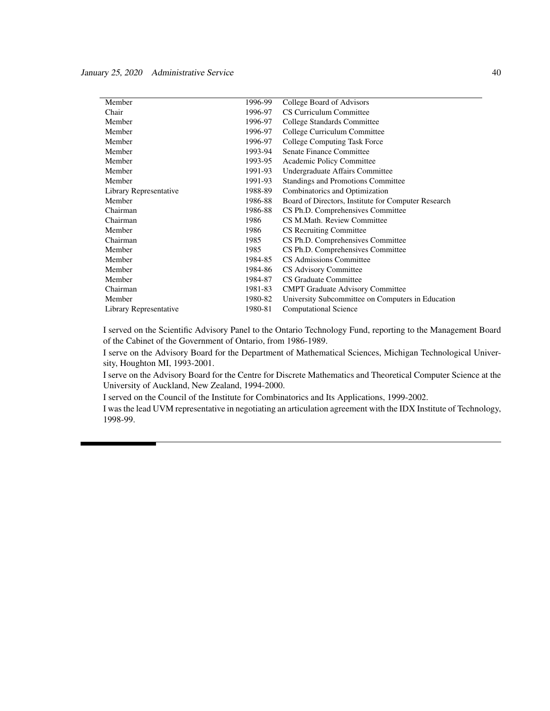| Member                 | 1996-99 | College Board of Advisors                           |
|------------------------|---------|-----------------------------------------------------|
| Chair                  | 1996-97 | CS Curriculum Committee                             |
| Member                 | 1996-97 | College Standards Committee                         |
| Member                 | 1996-97 | College Curriculum Committee                        |
| Member                 | 1996-97 | College Computing Task Force                        |
| Member                 | 1993-94 | Senate Finance Committee                            |
| Member                 | 1993-95 | Academic Policy Committee                           |
| Member                 | 1991-93 | Undergraduate Affairs Committee                     |
| Member                 | 1991-93 | Standings and Promotions Committee                  |
| Library Representative | 1988-89 | Combinatorics and Optimization                      |
| Member                 | 1986-88 | Board of Directors, Institute for Computer Research |
| Chairman               | 1986-88 | CS Ph.D. Comprehensives Committee                   |
| Chairman               | 1986    | CS M.Math. Review Committee                         |
| Member                 | 1986    | <b>CS</b> Recruiting Committee                      |
| Chairman               | 1985    | CS Ph.D. Comprehensives Committee                   |
| Member                 | 1985    | CS Ph.D. Comprehensives Committee                   |
| Member                 | 1984-85 | CS Admissions Committee                             |
| Member                 | 1984-86 | CS Advisory Committee                               |
| Member                 | 1984-87 | CS Graduate Committee                               |
| Chairman               | 1981-83 | <b>CMPT</b> Graduate Advisory Committee             |
| Member                 | 1980-82 | University Subcommittee on Computers in Education   |
| Library Representative | 1980-81 | <b>Computational Science</b>                        |

I served on the Scientific Advisory Panel to the Ontario Technology Fund, reporting to the Management Board of the Cabinet of the Government of Ontario, from 1986-1989.

I serve on the Advisory Board for the Department of Mathematical Sciences, Michigan Technological University, Houghton MI, 1993-2001.

I serve on the Advisory Board for the Centre for Discrete Mathematics and Theoretical Computer Science at the University of Auckland, New Zealand, 1994-2000.

I served on the Council of the Institute for Combinatorics and Its Applications, 1999-2002.

I was the lead UVM representative in negotiating an articulation agreement with the IDX Institute of Technology, 1998-99.